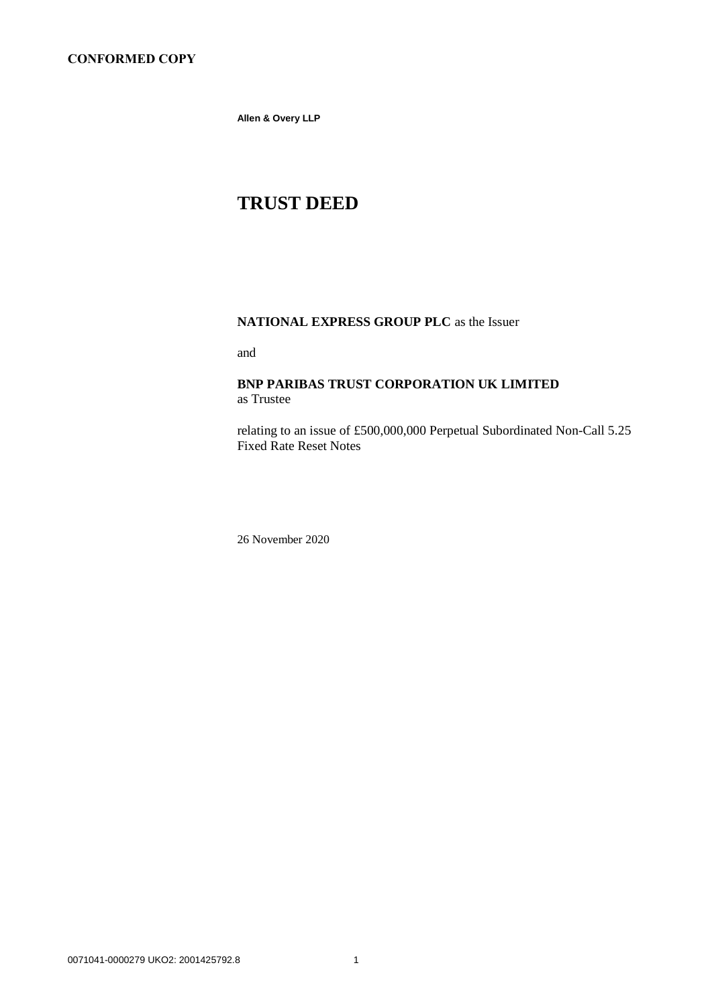**Allen & Overy LLP**

# **TRUST DEED**

# **NATIONAL EXPRESS GROUP PLC** as the Issuer

and

# **BNP PARIBAS TRUST CORPORATION UK LIMITED** as Trustee

relating to an issue of £500,000,000 Perpetual Subordinated Non-Call 5.25 Fixed Rate Reset Notes

26 November 2020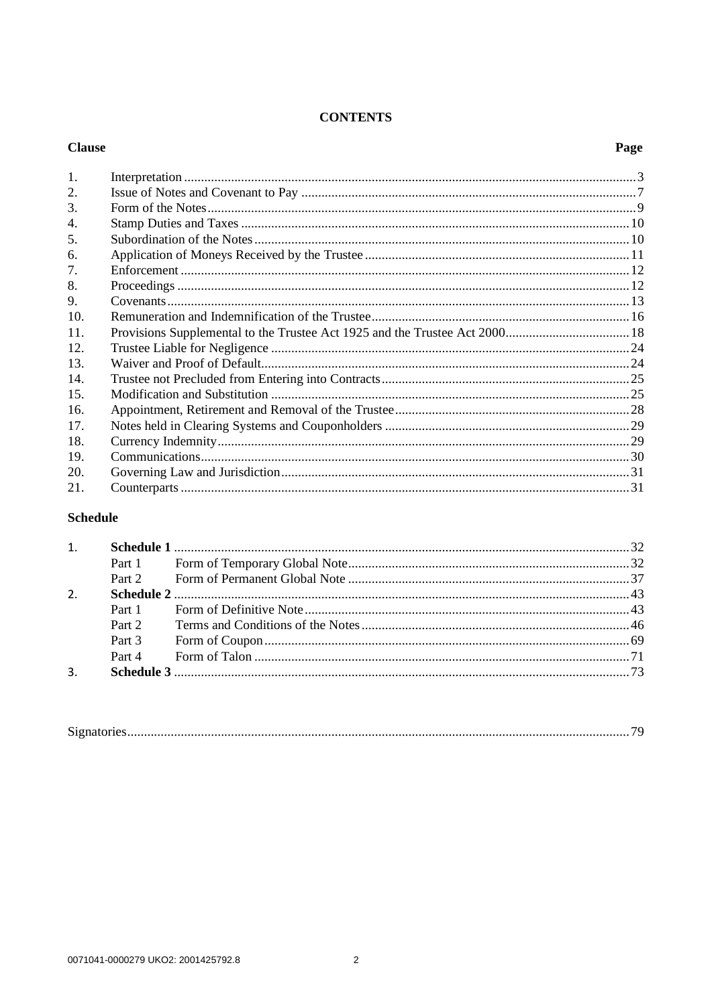#### **CONTENTS**

#### **Clause** Page 1.  $\mathcal{L}$  $\mathcal{E}$  $\overline{4}$ .  $5^{\circ}$ 6. 7.  $\mathsf{R}$ 9.  $10^{-7}$  $11.$  $12.$ 13.  $14$ 15.  $16.$ 17. 18 19. 20.  $21$

# **Schedule**

| 2. |        |  |  |
|----|--------|--|--|
|    |        |  |  |
|    | Part 2 |  |  |
|    |        |  |  |
|    |        |  |  |
| 3. |        |  |  |
|    |        |  |  |

| $\sim$ |
|--------|
|--------|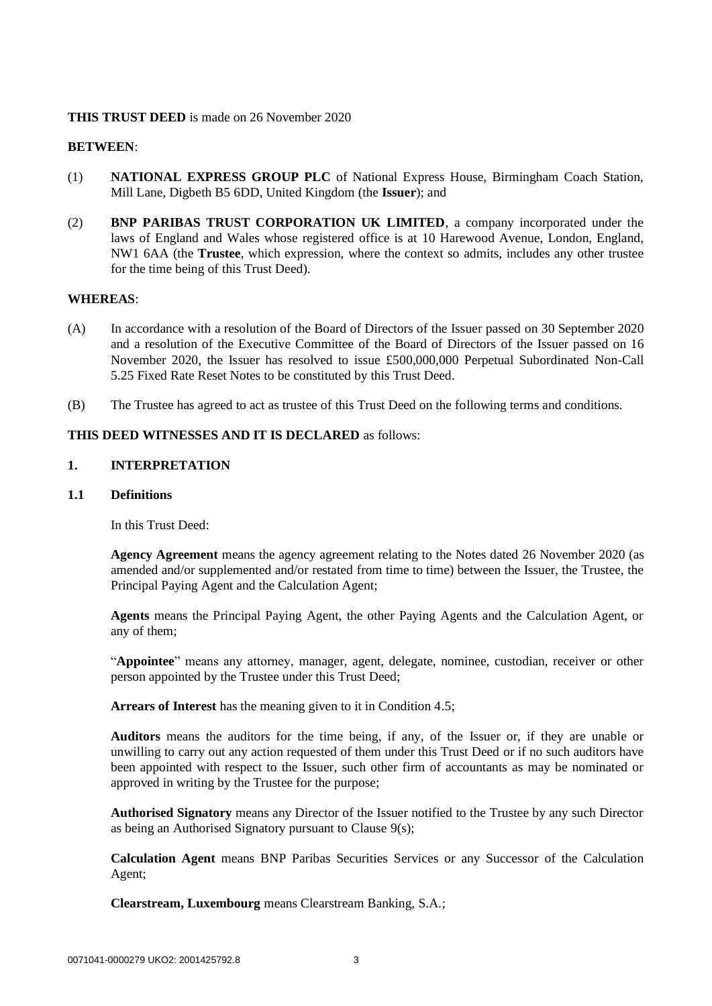# **THIS TRUST DEED** is made on 26 November 2020

# **BETWEEN**:

- (1) **NATIONAL EXPRESS GROUP PLC** of National Express House, Birmingham Coach Station, Mill Lane, Digbeth B5 6DD, United Kingdom (the **Issuer**); and
- (2) **BNP PARIBAS TRUST CORPORATION UK LIMITED**, a company incorporated under the laws of England and Wales whose registered office is at 10 Harewood Avenue, London, England, NW1 6AA (the **Trustee**, which expression, where the context so admits, includes any other trustee for the time being of this Trust Deed).

# **WHEREAS**:

- (A) In accordance with a resolution of the Board of Directors of the Issuer passed on 30 September 2020 and a resolution of the Executive Committee of the Board of Directors of the Issuer passed on 16 November 2020, the Issuer has resolved to issue £500,000,000 Perpetual Subordinated Non-Call 5.25 Fixed Rate Reset Notes to be constituted by this Trust Deed.
- (B) The Trustee has agreed to act as trustee of this Trust Deed on the following terms and conditions.

# <span id="page-2-0"></span>**THIS DEED WITNESSES AND IT IS DECLARED** as follows:

# **1. INTERPRETATION**

### **1.1 Definitions**

In this Trust Deed:

**Agency Agreement** means the agency agreement relating to the Notes dated 26 November 2020 (as amended and/or supplemented and/or restated from time to time) between the Issuer, the Trustee, the Principal Paying Agent and the Calculation Agent;

**Agents** means the Principal Paying Agent, the other Paying Agents and the Calculation Agent, or any of them;

"**Appointee**" means any attorney, manager, agent, delegate, nominee, custodian, receiver or other person appointed by the Trustee under this Trust Deed;

**Arrears of Interest** has the meaning given to it in Condition 4.5;

**Auditors** means the auditors for the time being, if any, of the Issuer or, if they are unable or unwilling to carry out any action requested of them under this Trust Deed or if no such auditors have been appointed with respect to the Issuer, such other firm of accountants as may be nominated or approved in writing by the Trustee for the purpose;

**Authorised Signatory** means any Director of the Issuer notified to the Trustee by any such Director as being an Authorised Signatory pursuant to Clause [9\(s\);](#page-15-0)

**Calculation Agent** means BNP Paribas Securities Services or any Successor of the Calculation Agent;

**Clearstream, Luxembourg** means Clearstream Banking, S.A.;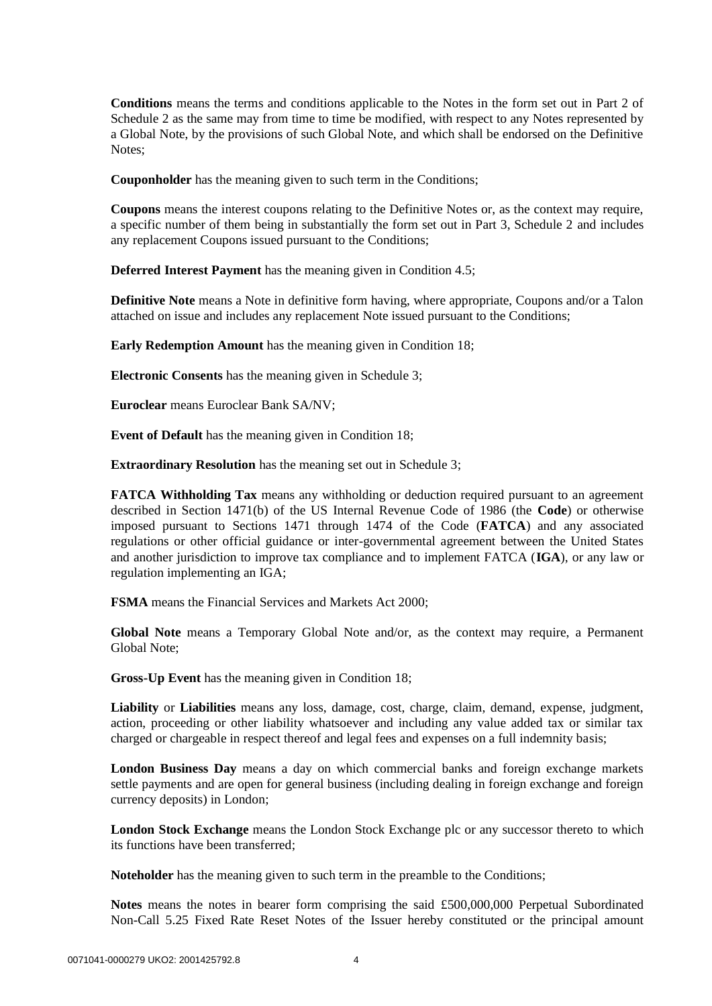**Conditions** means the terms and conditions applicable to the Notes in the form set out in Part 2 of Schedule 2 as the same may from time to time be modified, with respect to any Notes represented by a Global Note, by the provisions of such Global Note, and which shall be endorsed on the Definitive Notes;

**Couponholder** has the meaning given to such term in the Conditions;

**Coupons** means the interest coupons relating to the Definitive Notes or, as the context may require, a specific number of them being in substantially the form set out in Part 3, Schedule 2 and includes any replacement Coupons issued pursuant to the Conditions;

**Deferred Interest Payment** has the meaning given in Condition 4.5;

**Definitive Note** means a Note in definitive form having, where appropriate, Coupons and/or a Talon attached on issue and includes any replacement Note issued pursuant to the Conditions;

**Early Redemption Amount** has the meaning given in Condition 18;

**Electronic Consents** has the meaning given in Schedule 3;

**Euroclear** means Euroclear Bank SA/NV;

**Event of Default** has the meaning given in Condition 18;

**Extraordinary Resolution** has the meaning set out in [Schedule 3;](#page-73-0)

**FATCA Withholding Tax** means any withholding or deduction required pursuant to an agreement described in Section 1471(b) of the US Internal Revenue Code of 1986 (the **Code**) or otherwise imposed pursuant to Sections 1471 through 1474 of the Code (**FATCA**) and any associated regulations or other official guidance or inter-governmental agreement between the United States and another jurisdiction to improve tax compliance and to implement FATCA (**IGA**), or any law or regulation implementing an IGA;

**FSMA** means the Financial Services and Markets Act 2000;

**Global Note** means a Temporary Global Note and/or, as the context may require, a Permanent Global Note;

**Gross-Up Event** has the meaning given in Condition 18;

**Liability** or **Liabilities** means any loss, damage, cost, charge, claim, demand, expense, judgment, action, proceeding or other liability whatsoever and including any value added tax or similar tax charged or chargeable in respect thereof and legal fees and expenses on a full indemnity basis;

**London Business Day** means a day on which commercial banks and foreign exchange markets settle payments and are open for general business (including dealing in foreign exchange and foreign currency deposits) in London;

**London Stock Exchange** means the London Stock Exchange plc or any successor thereto to which its functions have been transferred;

**Noteholder** has the meaning given to such term in the preamble to the Conditions;

**Notes** means the notes in bearer form comprising the said £500,000,000 Perpetual Subordinated Non-Call 5.25 Fixed Rate Reset Notes of the Issuer hereby constituted or the principal amount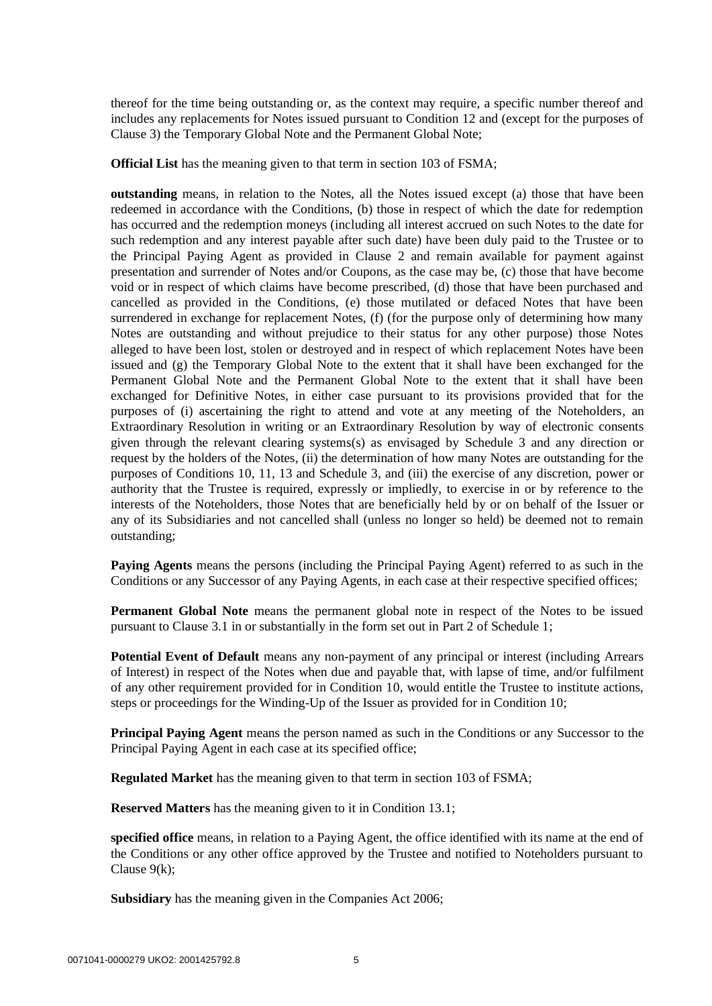thereof for the time being outstanding or, as the context may require, a specific number thereof and includes any replacements for Notes issued pursuant to Condition 12 and (except for the purposes of Clause 3) the Temporary Global Note and the Permanent Global Note;

**Official List** has the meaning given to that term in section 103 of FSMA;

**outstanding** means, in relation to the Notes, all the Notes issued except (a) those that have been redeemed in accordance with the Conditions, (b) those in respect of which the date for redemption has occurred and the redemption moneys (including all interest accrued on such Notes to the date for such redemption and any interest payable after such date) have been duly paid to the Trustee or to the Principal Paying Agent as provided in Clause [2](#page-6-0) and remain available for payment against presentation and surrender of Notes and/or Coupons, as the case may be, (c) those that have become void or in respect of which claims have become prescribed, (d) those that have been purchased and cancelled as provided in the Conditions, (e) those mutilated or defaced Notes that have been surrendered in exchange for replacement Notes, (f) (for the purpose only of determining how many Notes are outstanding and without prejudice to their status for any other purpose) those Notes alleged to have been lost, stolen or destroyed and in respect of which replacement Notes have been issued and (g) the Temporary Global Note to the extent that it shall have been exchanged for the Permanent Global Note and the Permanent Global Note to the extent that it shall have been exchanged for Definitive Notes, in either case pursuant to its provisions provided that for the purposes of (i) ascertaining the right to attend and vote at any meeting of the Noteholders, an Extraordinary Resolution in writing or an Extraordinary Resolution by way of electronic consents given through the relevant clearing systems(s) as envisaged by Schedule 3 and any direction or request by the holders of the Notes, (ii) the determination of how many Notes are outstanding for the purposes of Conditions 10, 11, 13 and [Schedule 3,](#page-73-0) and (iii) the exercise of any discretion, power or authority that the Trustee is required, expressly or impliedly, to exercise in or by reference to the interests of the Noteholders, those Notes that are beneficially held by or on behalf of the Issuer or any of its Subsidiaries and not cancelled shall (unless no longer so held) be deemed not to remain outstanding;

**Paying Agents** means the persons (including the Principal Paying Agent) referred to as such in the Conditions or any Successor of any Paying Agents, in each case at their respective specified offices;

**Permanent Global Note** means the permanent global note in respect of the Notes to be issued pursuant to Clause 3.1 in or substantially in the form set out in [Part 2](#page-36-0) of [Schedule 1;](#page-31-0)

**Potential Event of Default** means any non-payment of any principal or interest (including Arrears of Interest) in respect of the Notes when due and payable that, with lapse of time, and/or fulfilment of any other requirement provided for in Condition 10, would entitle the Trustee to institute actions, steps or proceedings for the Winding-Up of the Issuer as provided for in Condition 10;

**Principal Paying Agent** means the person named as such in the Conditions or any Successor to the Principal Paying Agent in each case at its specified office;

**Regulated Market** has the meaning given to that term in section 103 of FSMA;

**Reserved Matters** has the meaning given to it in Condition 13.1;

**specified office** means, in relation to a Paying Agent, the office identified with its name at the end of the Conditions or any other office approved by the Trustee and notified to Noteholders pursuant to Clause [9\(k\);](#page-14-0)

**Subsidiary** has the meaning given in the Companies Act 2006;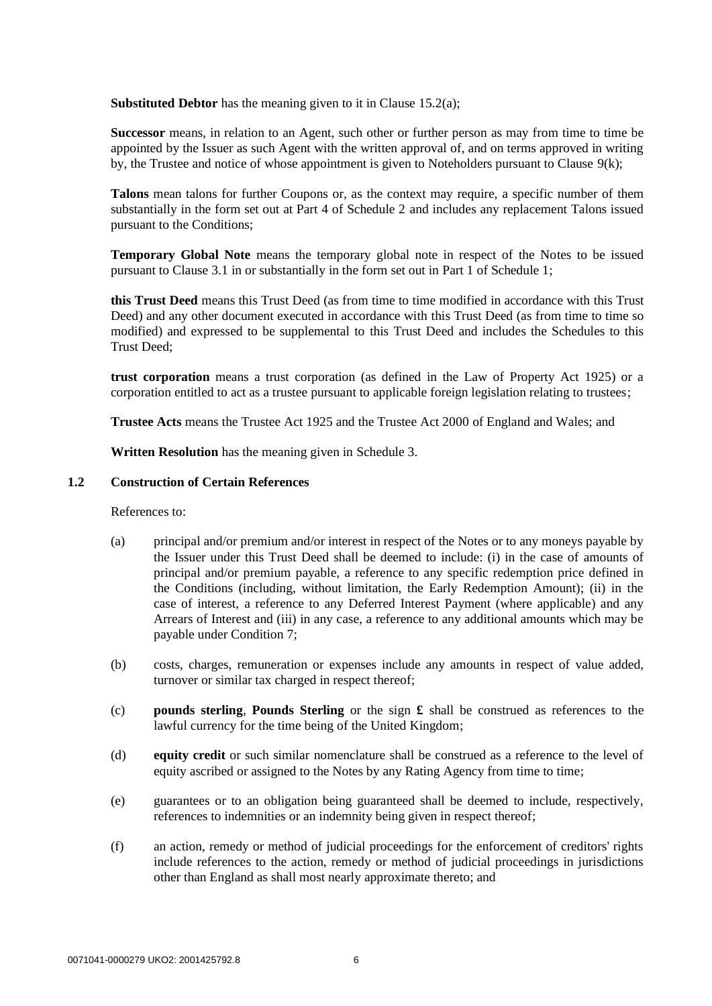**Substituted Debtor** has the meaning given to it in Clause [15.2\(a\);](#page-24-0)

**Successor** means, in relation to an Agent, such other or further person as may from time to time be appointed by the Issuer as such Agent with the written approval of, and on terms approved in writing by, the Trustee and notice of whose appointment is given to Noteholders pursuant to Clause [9\(k\);](#page-14-0)

**Talons** mean talons for further Coupons or, as the context may require, a specific number of them substantially in the form set out at Part 4 of Schedule 2 and includes any replacement Talons issued pursuant to the Conditions;

**Temporary Global Note** means the temporary global note in respect of the Notes to be issued pursuant to Clause 3.1 in or substantially in the form set out in [Part 1](#page-31-1) of [Schedule 1;](#page-31-0)

**this Trust Deed** means this Trust Deed (as from time to time modified in accordance with this Trust Deed) and any other document executed in accordance with this Trust Deed (as from time to time so modified) and expressed to be supplemental to this Trust Deed and includes the Schedules to this Trust Deed;

**trust corporation** means a trust corporation (as defined in the Law of Property Act 1925) or a corporation entitled to act as a trustee pursuant to applicable foreign legislation relating to trustees;

**Trustee Acts** means the Trustee Act 1925 and the Trustee Act 2000 of England and Wales; and

**Written Resolution** has the meaning given in Schedule 3.

### **1.2 Construction of Certain References**

References to:

- (a) principal and/or premium and/or interest in respect of the Notes or to any moneys payable by the Issuer under this Trust Deed shall be deemed to include: (i) in the case of amounts of principal and/or premium payable, a reference to any specific redemption price defined in the Conditions (including, without limitation, the Early Redemption Amount); (ii) in the case of interest, a reference to any Deferred Interest Payment (where applicable) and any Arrears of Interest and (iii) in any case, a reference to any additional amounts which may be payable under Condition 7;
- (b) costs, charges, remuneration or expenses include any amounts in respect of value added, turnover or similar tax charged in respect thereof;
- (c) **pounds sterling**, **Pounds Sterling** or the sign **£** shall be construed as references to the lawful currency for the time being of the United Kingdom;
- (d) **equity credit** or such similar nomenclature shall be construed as a reference to the level of equity ascribed or assigned to the Notes by any Rating Agency from time to time;
- (e) guarantees or to an obligation being guaranteed shall be deemed to include, respectively, references to indemnities or an indemnity being given in respect thereof;
- (f) an action, remedy or method of judicial proceedings for the enforcement of creditors' rights include references to the action, remedy or method of judicial proceedings in jurisdictions other than England as shall most nearly approximate thereto; and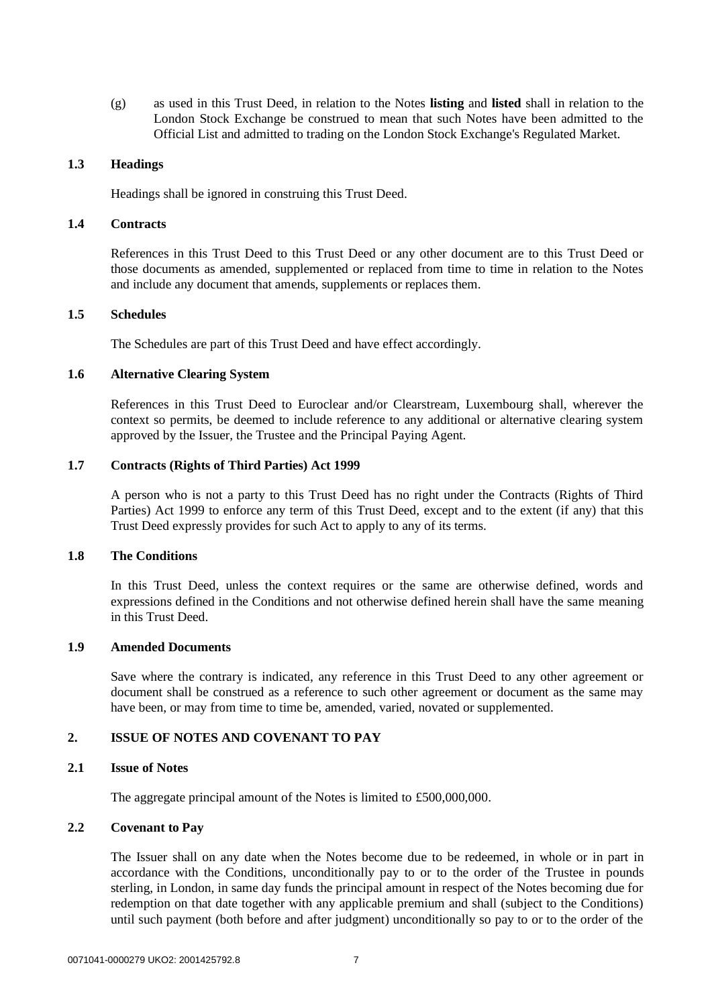(g) as used in this Trust Deed, in relation to the Notes **listing** and **listed** shall in relation to the London Stock Exchange be construed to mean that such Notes have been admitted to the Official List and admitted to trading on the London Stock Exchange's Regulated Market.

# **1.3 Headings**

Headings shall be ignored in construing this Trust Deed.

#### **1.4 Contracts**

References in this Trust Deed to this Trust Deed or any other document are to this Trust Deed or those documents as amended, supplemented or replaced from time to time in relation to the Notes and include any document that amends, supplements or replaces them.

### **1.5 Schedules**

The Schedules are part of this Trust Deed and have effect accordingly.

### **1.6 Alternative Clearing System**

References in this Trust Deed to Euroclear and/or Clearstream, Luxembourg shall, wherever the context so permits, be deemed to include reference to any additional or alternative clearing system approved by the Issuer, the Trustee and the Principal Paying Agent.

## **1.7 Contracts (Rights of Third Parties) Act 1999**

A person who is not a party to this Trust Deed has no right under the Contracts (Rights of Third Parties) Act 1999 to enforce any term of this Trust Deed, except and to the extent (if any) that this Trust Deed expressly provides for such Act to apply to any of its terms.

#### **1.8 The Conditions**

In this Trust Deed, unless the context requires or the same are otherwise defined, words and expressions defined in the Conditions and not otherwise defined herein shall have the same meaning in this Trust Deed.

#### **1.9 Amended Documents**

Save where the contrary is indicated, any reference in this Trust Deed to any other agreement or document shall be construed as a reference to such other agreement or document as the same may have been, or may from time to time be, amended, varied, novated or supplemented.

# <span id="page-6-0"></span>**2. ISSUE OF NOTES AND COVENANT TO PAY**

#### **2.1 Issue of Notes**

The aggregate principal amount of the Notes is limited to £500,000,000.

# **2.2 Covenant to Pay**

The Issuer shall on any date when the Notes become due to be redeemed, in whole or in part in accordance with the Conditions, unconditionally pay to or to the order of the Trustee in pounds sterling, in London, in same day funds the principal amount in respect of the Notes becoming due for redemption on that date together with any applicable premium and shall (subject to the Conditions) until such payment (both before and after judgment) unconditionally so pay to or to the order of the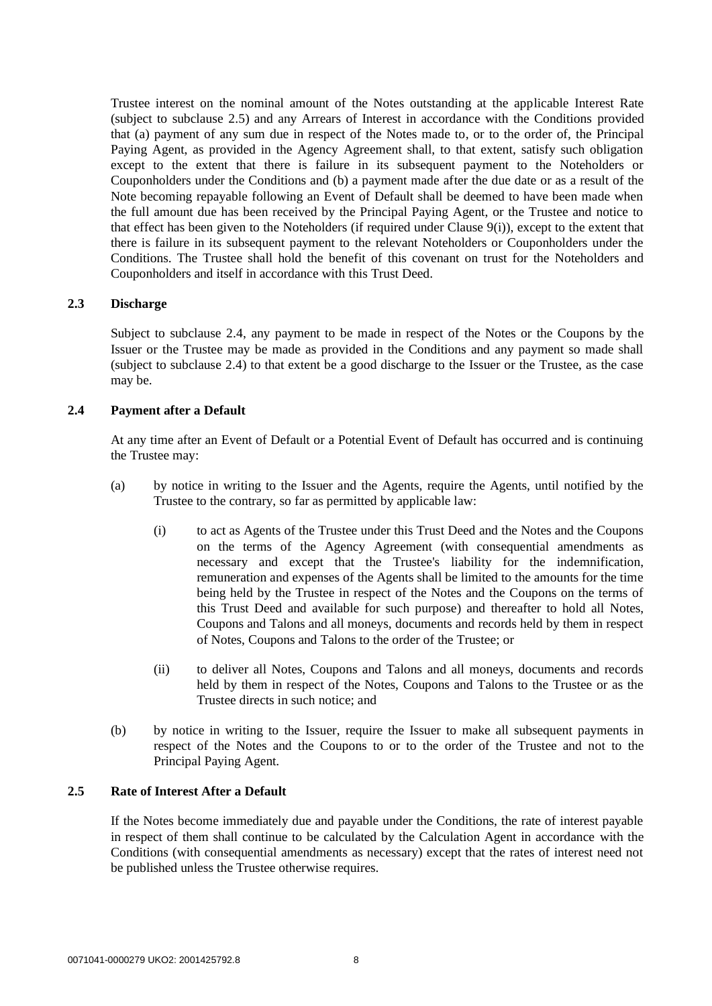Trustee interest on the nominal amount of the Notes outstanding at the applicable Interest Rate (subject to subclause [2.5\)](#page-7-0) and any Arrears of Interest in accordance with the Conditions provided that (a) payment of any sum due in respect of the Notes made to, or to the order of, the Principal Paying Agent, as provided in the Agency Agreement shall, to that extent, satisfy such obligation except to the extent that there is failure in its subsequent payment to the Noteholders or Couponholders under the Conditions and (b) a payment made after the due date or as a result of the Note becoming repayable following an Event of Default shall be deemed to have been made when the full amount due has been received by the Principal Paying Agent, or the Trustee and notice to that effect has been given to the Noteholders (if required under Clause [9\(i\)\)](#page-13-0), except to the extent that there is failure in its subsequent payment to the relevant Noteholders or Couponholders under the Conditions. The Trustee shall hold the benefit of this covenant on trust for the Noteholders and Couponholders and itself in accordance with this Trust Deed.

# **2.3 Discharge**

Subject to subclause [2.4,](#page-7-1) any payment to be made in respect of the Notes or the Coupons by the Issuer or the Trustee may be made as provided in the Conditions and any payment so made shall (subject to subclause [2.4\)](#page-7-1) to that extent be a good discharge to the Issuer or the Trustee, as the case may be.

### <span id="page-7-1"></span>**2.4 Payment after a Default**

At any time after an Event of Default or a Potential Event of Default has occurred and is continuing the Trustee may:

- (a) by notice in writing to the Issuer and the Agents, require the Agents, until notified by the Trustee to the contrary, so far as permitted by applicable law:
	- (i) to act as Agents of the Trustee under this Trust Deed and the Notes and the Coupons on the terms of the Agency Agreement (with consequential amendments as necessary and except that the Trustee's liability for the indemnification, remuneration and expenses of the Agents shall be limited to the amounts for the time being held by the Trustee in respect of the Notes and the Coupons on the terms of this Trust Deed and available for such purpose) and thereafter to hold all Notes, Coupons and Talons and all moneys, documents and records held by them in respect of Notes, Coupons and Talons to the order of the Trustee; or
	- (ii) to deliver all Notes, Coupons and Talons and all moneys, documents and records held by them in respect of the Notes, Coupons and Talons to the Trustee or as the Trustee directs in such notice; and
- (b) by notice in writing to the Issuer, require the Issuer to make all subsequent payments in respect of the Notes and the Coupons to or to the order of the Trustee and not to the Principal Paying Agent.

# <span id="page-7-0"></span>**2.5 Rate of Interest After a Default**

If the Notes become immediately due and payable under the Conditions, the rate of interest payable in respect of them shall continue to be calculated by the Calculation Agent in accordance with the Conditions (with consequential amendments as necessary) except that the rates of interest need not be published unless the Trustee otherwise requires.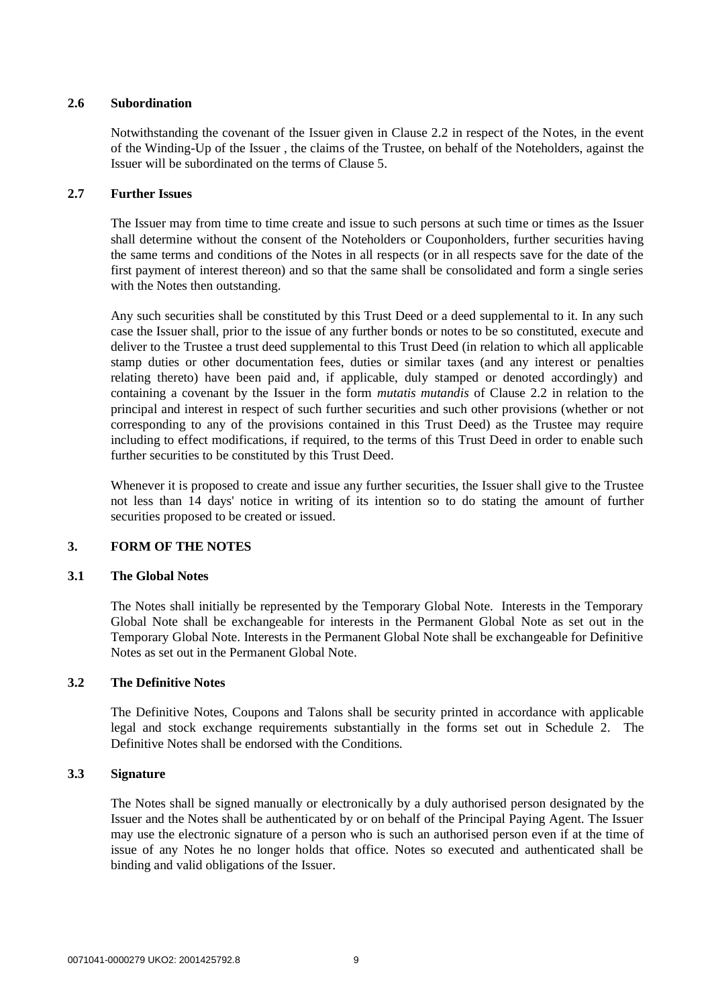# **2.6 Subordination**

Notwithstanding the covenant of the Issuer given in Clause 2.2 in respect of the Notes, in the event of the Winding-Up of the Issuer , the claims of the Trustee, on behalf of the Noteholders, against the Issuer will be subordinated on the terms of Clause 5.

# **2.7 Further Issues**

The Issuer may from time to time create and issue to such persons at such time or times as the Issuer shall determine without the consent of the Noteholders or Couponholders, further securities having the same terms and conditions of the Notes in all respects (or in all respects save for the date of the first payment of interest thereon) and so that the same shall be consolidated and form a single series with the Notes then outstanding.

Any such securities shall be constituted by this Trust Deed or a deed supplemental to it. In any such case the Issuer shall, prior to the issue of any further bonds or notes to be so constituted, execute and deliver to the Trustee a trust deed supplemental to this Trust Deed (in relation to which all applicable stamp duties or other documentation fees, duties or similar taxes (and any interest or penalties relating thereto) have been paid and, if applicable, duly stamped or denoted accordingly) and containing a covenant by the Issuer in the form *mutatis mutandis* of Clause 2.2 in relation to the principal and interest in respect of such further securities and such other provisions (whether or not corresponding to any of the provisions contained in this Trust Deed) as the Trustee may require including to effect modifications, if required, to the terms of this Trust Deed in order to enable such further securities to be constituted by this Trust Deed.

Whenever it is proposed to create and issue any further securities, the Issuer shall give to the Trustee not less than 14 days' notice in writing of its intention so to do stating the amount of further securities proposed to be created or issued.

# **3. FORM OF THE NOTES**

# **3.1 The Global Notes**

The Notes shall initially be represented by the Temporary Global Note. Interests in the Temporary Global Note shall be exchangeable for interests in the Permanent Global Note as set out in the Temporary Global Note. Interests in the Permanent Global Note shall be exchangeable for Definitive Notes as set out in the Permanent Global Note.

# **3.2 The Definitive Notes**

The Definitive Notes, Coupons and Talons shall be security printed in accordance with applicable legal and stock exchange requirements substantially in the forms set out in [Schedule 2.](#page-42-0) The Definitive Notes shall be endorsed with the Conditions.

# **3.3 Signature**

The Notes shall be signed manually or electronically by a duly authorised person designated by the Issuer and the Notes shall be authenticated by or on behalf of the Principal Paying Agent. The Issuer may use the electronic signature of a person who is such an authorised person even if at the time of issue of any Notes he no longer holds that office. Notes so executed and authenticated shall be binding and valid obligations of the Issuer.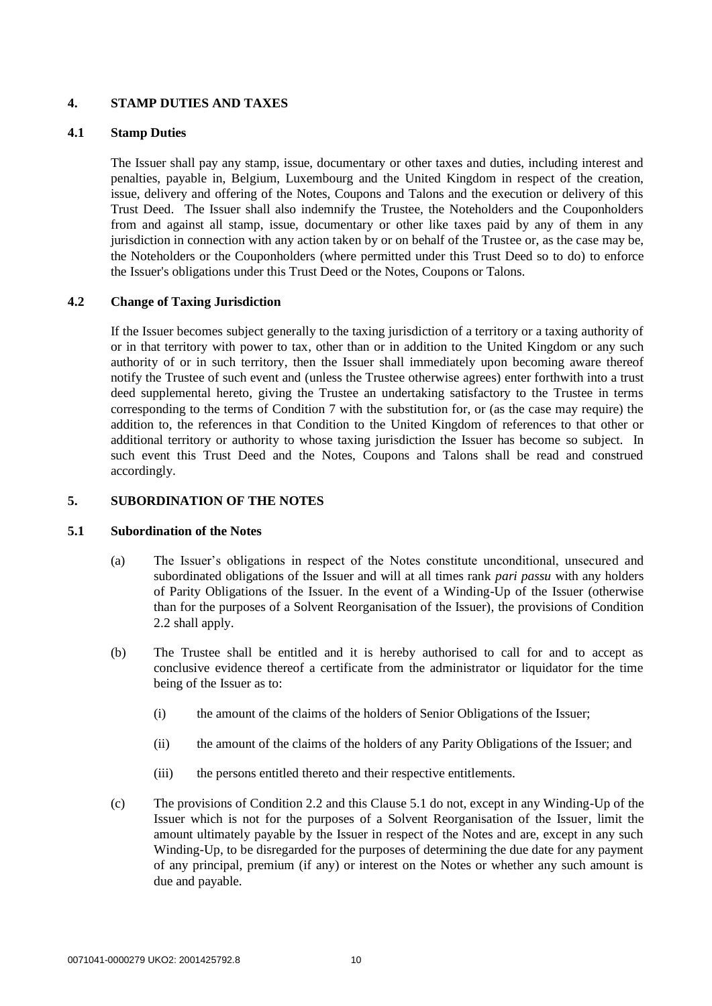# **4. STAMP DUTIES AND TAXES**

# **4.1 Stamp Duties**

The Issuer shall pay any stamp, issue, documentary or other taxes and duties, including interest and penalties, payable in, Belgium, Luxembourg and the United Kingdom in respect of the creation, issue, delivery and offering of the Notes, Coupons and Talons and the execution or delivery of this Trust Deed. The Issuer shall also indemnify the Trustee, the Noteholders and the Couponholders from and against all stamp, issue, documentary or other like taxes paid by any of them in any jurisdiction in connection with any action taken by or on behalf of the Trustee or, as the case may be, the Noteholders or the Couponholders (where permitted under this Trust Deed so to do) to enforce the Issuer's obligations under this Trust Deed or the Notes, Coupons or Talons.

# **4.2 Change of Taxing Jurisdiction**

If the Issuer becomes subject generally to the taxing jurisdiction of a territory or a taxing authority of or in that territory with power to tax, other than or in addition to the United Kingdom or any such authority of or in such territory, then the Issuer shall immediately upon becoming aware thereof notify the Trustee of such event and (unless the Trustee otherwise agrees) enter forthwith into a trust deed supplemental hereto, giving the Trustee an undertaking satisfactory to the Trustee in terms corresponding to the terms of Condition 7 with the substitution for, or (as the case may require) the addition to, the references in that Condition to the United Kingdom of references to that other or additional territory or authority to whose taxing jurisdiction the Issuer has become so subject. In such event this Trust Deed and the Notes, Coupons and Talons shall be read and construed accordingly.

# **5. SUBORDINATION OF THE NOTES**

# **5.1 Subordination of the Notes**

- (a) The Issuer's obligations in respect of the Notes constitute unconditional, unsecured and subordinated obligations of the Issuer and will at all times rank *pari passu* with any holders of Parity Obligations of the Issuer. In the event of a Winding-Up of the Issuer (otherwise than for the purposes of a Solvent Reorganisation of the Issuer), the provisions of Condition 2.2 shall apply.
- (b) The Trustee shall be entitled and it is hereby authorised to call for and to accept as conclusive evidence thereof a certificate from the administrator or liquidator for the time being of the Issuer as to:
	- (i) the amount of the claims of the holders of Senior Obligations of the Issuer;
	- (ii) the amount of the claims of the holders of any Parity Obligations of the Issuer; and
	- (iii) the persons entitled thereto and their respective entitlements.
- (c) The provisions of Condition 2.2 and this Clause 5.1 do not, except in any Winding-Up of the Issuer which is not for the purposes of a Solvent Reorganisation of the Issuer, limit the amount ultimately payable by the Issuer in respect of the Notes and are, except in any such Winding-Up, to be disregarded for the purposes of determining the due date for any payment of any principal, premium (if any) or interest on the Notes or whether any such amount is due and payable.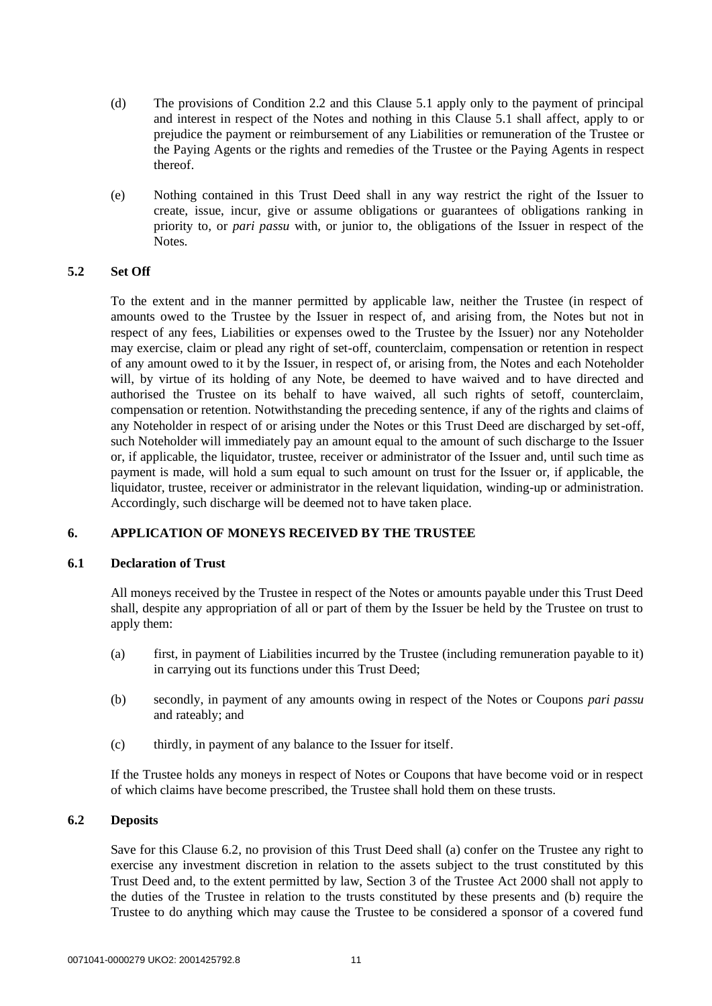- (d) The provisions of Condition 2.2 and this Clause 5.1 apply only to the payment of principal and interest in respect of the Notes and nothing in this Clause 5.1 shall affect, apply to or prejudice the payment or reimbursement of any Liabilities or remuneration of the Trustee or the Paying Agents or the rights and remedies of the Trustee or the Paying Agents in respect thereof.
- (e) Nothing contained in this Trust Deed shall in any way restrict the right of the Issuer to create, issue, incur, give or assume obligations or guarantees of obligations ranking in priority to, or *pari passu* with, or junior to, the obligations of the Issuer in respect of the Notes.

# **5.2 Set Off**

To the extent and in the manner permitted by applicable law, neither the Trustee (in respect of amounts owed to the Trustee by the Issuer in respect of, and arising from, the Notes but not in respect of any fees, Liabilities or expenses owed to the Trustee by the Issuer) nor any Noteholder may exercise, claim or plead any right of set-off, counterclaim, compensation or retention in respect of any amount owed to it by the Issuer, in respect of, or arising from, the Notes and each Noteholder will, by virtue of its holding of any Note, be deemed to have waived and to have directed and authorised the Trustee on its behalf to have waived, all such rights of setoff, counterclaim, compensation or retention. Notwithstanding the preceding sentence, if any of the rights and claims of any Noteholder in respect of or arising under the Notes or this Trust Deed are discharged by set-off, such Noteholder will immediately pay an amount equal to the amount of such discharge to the Issuer or, if applicable, the liquidator, trustee, receiver or administrator of the Issuer and, until such time as payment is made, will hold a sum equal to such amount on trust for the Issuer or, if applicable, the liquidator, trustee, receiver or administrator in the relevant liquidation, winding-up or administration. Accordingly, such discharge will be deemed not to have taken place.

# <span id="page-10-0"></span>**6. APPLICATION OF MONEYS RECEIVED BY THE TRUSTEE**

#### **6.1 Declaration of Trust**

All moneys received by the Trustee in respect of the Notes or amounts payable under this Trust Deed shall, despite any appropriation of all or part of them by the Issuer be held by the Trustee on trust to apply them:

- (a) first, in payment of Liabilities incurred by the Trustee (including remuneration payable to it) in carrying out its functions under this Trust Deed;
- (b) secondly, in payment of any amounts owing in respect of the Notes or Coupons *pari passu*  and rateably; and
- (c) thirdly, in payment of any balance to the Issuer for itself.

If the Trustee holds any moneys in respect of Notes or Coupons that have become void or in respect of which claims have become prescribed, the Trustee shall hold them on these trusts.

# **6.2 Deposits**

Save for this Clause 6.2, no provision of this Trust Deed shall (a) confer on the Trustee any right to exercise any investment discretion in relation to the assets subject to the trust constituted by this Trust Deed and, to the extent permitted by law, Section 3 of the Trustee Act 2000 shall not apply to the duties of the Trustee in relation to the trusts constituted by these presents and (b) require the Trustee to do anything which may cause the Trustee to be considered a sponsor of a covered fund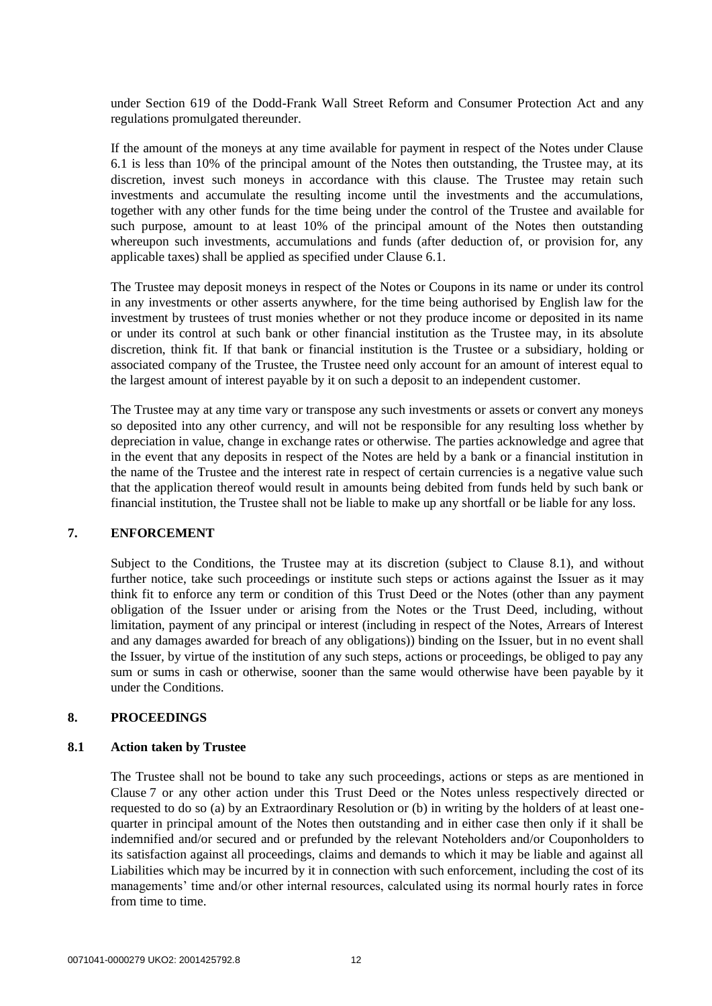under Section 619 of the Dodd-Frank Wall Street Reform and Consumer Protection Act and any regulations promulgated thereunder.

If the amount of the moneys at any time available for payment in respect of the Notes under Clause 6.1 is less than 10% of the principal amount of the Notes then outstanding, the Trustee may, at its discretion, invest such moneys in accordance with this clause. The Trustee may retain such investments and accumulate the resulting income until the investments and the accumulations, together with any other funds for the time being under the control of the Trustee and available for such purpose, amount to at least 10% of the principal amount of the Notes then outstanding whereupon such investments, accumulations and funds (after deduction of, or provision for, any applicable taxes) shall be applied as specified under Clause [6.1.](#page-10-0)

The Trustee may deposit moneys in respect of the Notes or Coupons in its name or under its control in any investments or other asserts anywhere, for the time being authorised by English law for the investment by trustees of trust monies whether or not they produce income or deposited in its name or under its control at such bank or other financial institution as the Trustee may, in its absolute discretion, think fit. If that bank or financial institution is the Trustee or a subsidiary, holding or associated company of the Trustee, the Trustee need only account for an amount of interest equal to the largest amount of interest payable by it on such a deposit to an independent customer.

The Trustee may at any time vary or transpose any such investments or assets or convert any moneys so deposited into any other currency, and will not be responsible for any resulting loss whether by depreciation in value, change in exchange rates or otherwise. The parties acknowledge and agree that in the event that any deposits in respect of the Notes are held by a bank or a financial institution in the name of the Trustee and the interest rate in respect of certain currencies is a negative value such that the application thereof would result in amounts being debited from funds held by such bank or financial institution, the Trustee shall not be liable to make up any shortfall or be liable for any loss.

# <span id="page-11-1"></span>**7. ENFORCEMENT**

Subject to the Conditions, the Trustee may at its discretion (subject to Clause [8.1\)](#page-11-0), and without further notice, take such proceedings or institute such steps or actions against the Issuer as it may think fit to enforce any term or condition of this Trust Deed or the Notes (other than any payment obligation of the Issuer under or arising from the Notes or the Trust Deed, including, without limitation, payment of any principal or interest (including in respect of the Notes, Arrears of Interest and any damages awarded for breach of any obligations)) binding on the Issuer, but in no event shall the Issuer, by virtue of the institution of any such steps, actions or proceedings, be obliged to pay any sum or sums in cash or otherwise, sooner than the same would otherwise have been payable by it under the Conditions.

#### <span id="page-11-0"></span>**8. PROCEEDINGS**

#### **8.1 Action taken by Trustee**

The Trustee shall not be bound to take any such proceedings, actions or steps as are mentioned in Clause [7](#page-11-1) or any other action under this Trust Deed or the Notes unless respectively directed or requested to do so (a) by an Extraordinary Resolution or (b) in writing by the holders of at least onequarter in principal amount of the Notes then outstanding and in either case then only if it shall be indemnified and/or secured and or prefunded by the relevant Noteholders and/or Couponholders to its satisfaction against all proceedings, claims and demands to which it may be liable and against all Liabilities which may be incurred by it in connection with such enforcement, including the cost of its managements' time and/or other internal resources, calculated using its normal hourly rates in force from time to time.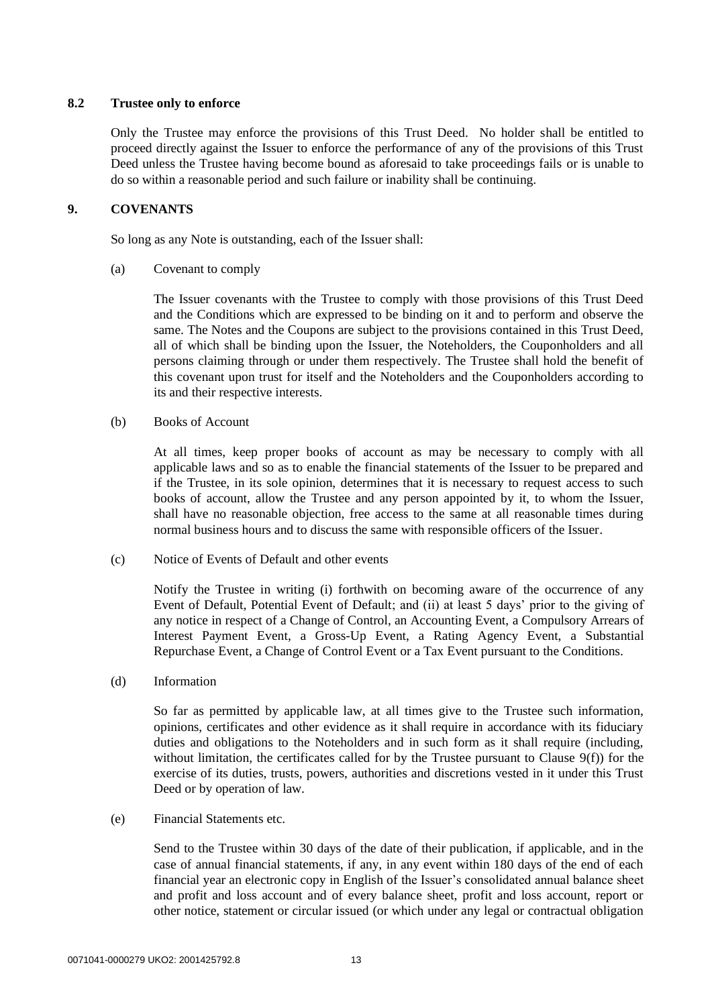# **8.2 Trustee only to enforce**

Only the Trustee may enforce the provisions of this Trust Deed. No holder shall be entitled to proceed directly against the Issuer to enforce the performance of any of the provisions of this Trust Deed unless the Trustee having become bound as aforesaid to take proceedings fails or is unable to do so within a reasonable period and such failure or inability shall be continuing.

# **9. COVENANTS**

So long as any Note is outstanding, each of the Issuer shall:

(a) Covenant to comply

The Issuer covenants with the Trustee to comply with those provisions of this Trust Deed and the Conditions which are expressed to be binding on it and to perform and observe the same. The Notes and the Coupons are subject to the provisions contained in this Trust Deed, all of which shall be binding upon the Issuer, the Noteholders, the Couponholders and all persons claiming through or under them respectively. The Trustee shall hold the benefit of this covenant upon trust for itself and the Noteholders and the Couponholders according to its and their respective interests.

(b) Books of Account

At all times, keep proper books of account as may be necessary to comply with all applicable laws and so as to enable the financial statements of the Issuer to be prepared and if the Trustee, in its sole opinion, determines that it is necessary to request access to such books of account, allow the Trustee and any person appointed by it, to whom the Issuer, shall have no reasonable objection, free access to the same at all reasonable times during normal business hours and to discuss the same with responsible officers of the Issuer.

(c) Notice of Events of Default and other events

Notify the Trustee in writing (i) forthwith on becoming aware of the occurrence of any Event of Default, Potential Event of Default; and (ii) at least 5 days' prior to the giving of any notice in respect of a Change of Control, an Accounting Event, a Compulsory Arrears of Interest Payment Event, a Gross-Up Event, a Rating Agency Event, a Substantial Repurchase Event, a Change of Control Event or a Tax Event pursuant to the Conditions.

(d) Information

So far as permitted by applicable law, at all times give to the Trustee such information, opinions, certificates and other evidence as it shall require in accordance with its fiduciary duties and obligations to the Noteholders and in such form as it shall require (including, without limitation, the certificates called for by the Trustee pursuant to Clause  $9(f)$  for the exercise of its duties, trusts, powers, authorities and discretions vested in it under this Trust Deed or by operation of law.

(e) Financial Statements etc.

Send to the Trustee within 30 days of the date of their publication, if applicable, and in the case of annual financial statements, if any, in any event within 180 days of the end of each financial year an electronic copy in English of the Issuer's consolidated annual balance sheet and profit and loss account and of every balance sheet, profit and loss account, report or other notice, statement or circular issued (or which under any legal or contractual obligation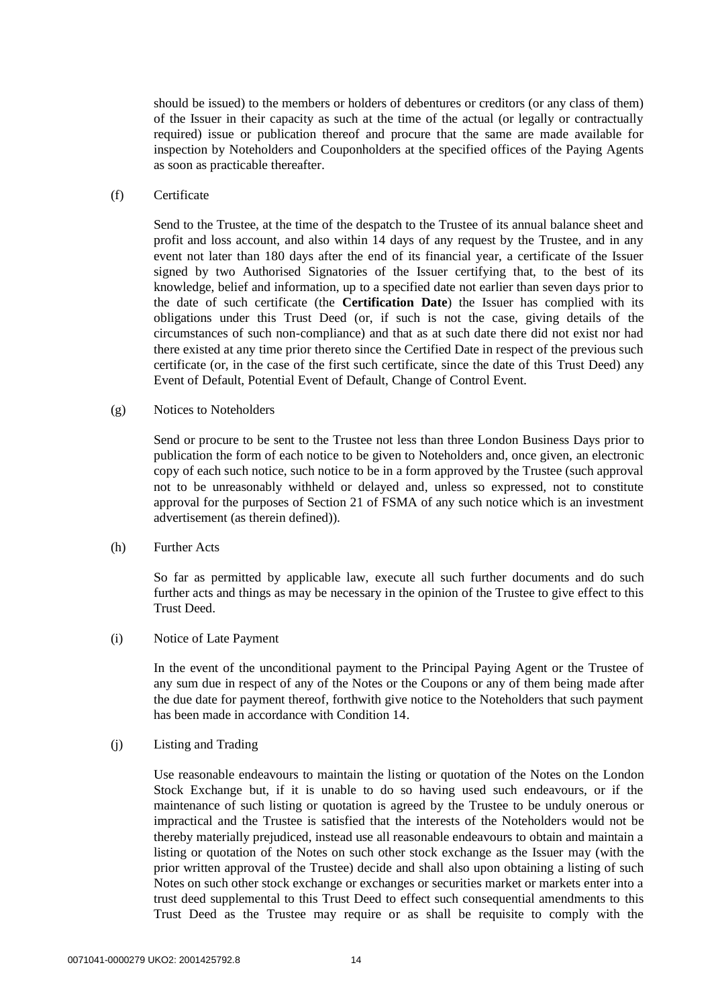should be issued) to the members or holders of debentures or creditors (or any class of them) of the Issuer in their capacity as such at the time of the actual (or legally or contractually required) issue or publication thereof and procure that the same are made available for inspection by Noteholders and Couponholders at the specified offices of the Paying Agents as soon as practicable thereafter.

#### <span id="page-13-1"></span>(f) Certificate

Send to the Trustee, at the time of the despatch to the Trustee of its annual balance sheet and profit and loss account, and also within 14 days of any request by the Trustee, and in any event not later than 180 days after the end of its financial year, a certificate of the Issuer signed by two Authorised Signatories of the Issuer certifying that, to the best of its knowledge, belief and information, up to a specified date not earlier than seven days prior to the date of such certificate (the **Certification Date**) the Issuer has complied with its obligations under this Trust Deed (or, if such is not the case, giving details of the circumstances of such non-compliance) and that as at such date there did not exist nor had there existed at any time prior thereto since the Certified Date in respect of the previous such certificate (or, in the case of the first such certificate, since the date of this Trust Deed) any Event of Default, Potential Event of Default, Change of Control Event.

<span id="page-13-2"></span>(g) Notices to Noteholders

Send or procure to be sent to the Trustee not less than three London Business Days prior to publication the form of each notice to be given to Noteholders and, once given, an electronic copy of each such notice, such notice to be in a form approved by the Trustee (such approval not to be unreasonably withheld or delayed and, unless so expressed, not to constitute approval for the purposes of Section 21 of FSMA of any such notice which is an investment advertisement (as therein defined)).

(h) Further Acts

So far as permitted by applicable law, execute all such further documents and do such further acts and things as may be necessary in the opinion of the Trustee to give effect to this Trust Deed.

<span id="page-13-0"></span>(i) Notice of Late Payment

In the event of the unconditional payment to the Principal Paying Agent or the Trustee of any sum due in respect of any of the Notes or the Coupons or any of them being made after the due date for payment thereof, forthwith give notice to the Noteholders that such payment has been made in accordance with Condition 14.

(j) Listing and Trading

Use reasonable endeavours to maintain the listing or quotation of the Notes on the London Stock Exchange but, if it is unable to do so having used such endeavours, or if the maintenance of such listing or quotation is agreed by the Trustee to be unduly onerous or impractical and the Trustee is satisfied that the interests of the Noteholders would not be thereby materially prejudiced, instead use all reasonable endeavours to obtain and maintain a listing or quotation of the Notes on such other stock exchange as the Issuer may (with the prior written approval of the Trustee) decide and shall also upon obtaining a listing of such Notes on such other stock exchange or exchanges or securities market or markets enter into a trust deed supplemental to this Trust Deed to effect such consequential amendments to this Trust Deed as the Trustee may require or as shall be requisite to comply with the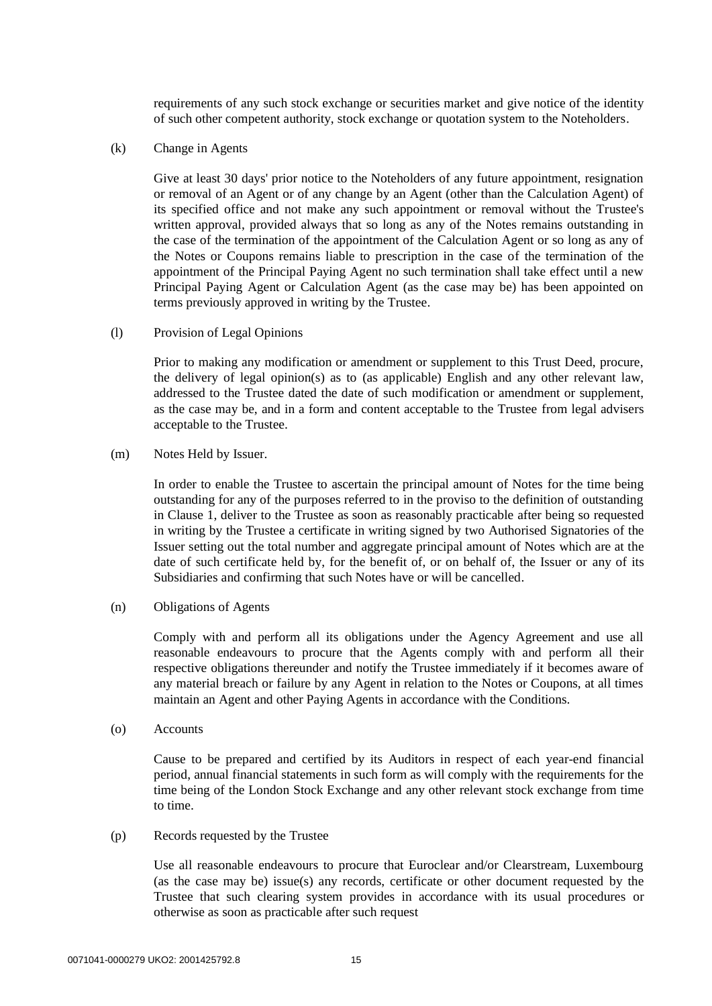requirements of any such stock exchange or securities market and give notice of the identity of such other competent authority, stock exchange or quotation system to the Noteholders.

<span id="page-14-0"></span>(k) Change in Agents

Give at least 30 days' prior notice to the Noteholders of any future appointment, resignation or removal of an Agent or of any change by an Agent (other than the Calculation Agent) of its specified office and not make any such appointment or removal without the Trustee's written approval, provided always that so long as any of the Notes remains outstanding in the case of the termination of the appointment of the Calculation Agent or so long as any of the Notes or Coupons remains liable to prescription in the case of the termination of the appointment of the Principal Paying Agent no such termination shall take effect until a new Principal Paying Agent or Calculation Agent (as the case may be) has been appointed on terms previously approved in writing by the Trustee.

(l) Provision of Legal Opinions

Prior to making any modification or amendment or supplement to this Trust Deed, procure, the delivery of legal opinion(s) as to (as applicable) English and any other relevant law, addressed to the Trustee dated the date of such modification or amendment or supplement, as the case may be, and in a form and content acceptable to the Trustee from legal advisers acceptable to the Trustee.

<span id="page-14-1"></span>(m) Notes Held by Issuer.

In order to enable the Trustee to ascertain the principal amount of Notes for the time being outstanding for any of the purposes referred to in the proviso to the definition of outstanding in Clause [1,](#page-2-0) deliver to the Trustee as soon as reasonably practicable after being so requested in writing by the Trustee a certificate in writing signed by two Authorised Signatories of the Issuer setting out the total number and aggregate principal amount of Notes which are at the date of such certificate held by, for the benefit of, or on behalf of, the Issuer or any of its Subsidiaries and confirming that such Notes have or will be cancelled.

(n) Obligations of Agents

Comply with and perform all its obligations under the Agency Agreement and use all reasonable endeavours to procure that the Agents comply with and perform all their respective obligations thereunder and notify the Trustee immediately if it becomes aware of any material breach or failure by any Agent in relation to the Notes or Coupons, at all times maintain an Agent and other Paying Agents in accordance with the Conditions.

(o) Accounts

Cause to be prepared and certified by its Auditors in respect of each year-end financial period, annual financial statements in such form as will comply with the requirements for the time being of the London Stock Exchange and any other relevant stock exchange from time to time.

(p) Records requested by the Trustee

Use all reasonable endeavours to procure that Euroclear and/or Clearstream, Luxembourg (as the case may be) issue(s) any records, certificate or other document requested by the Trustee that such clearing system provides in accordance with its usual procedures or otherwise as soon as practicable after such request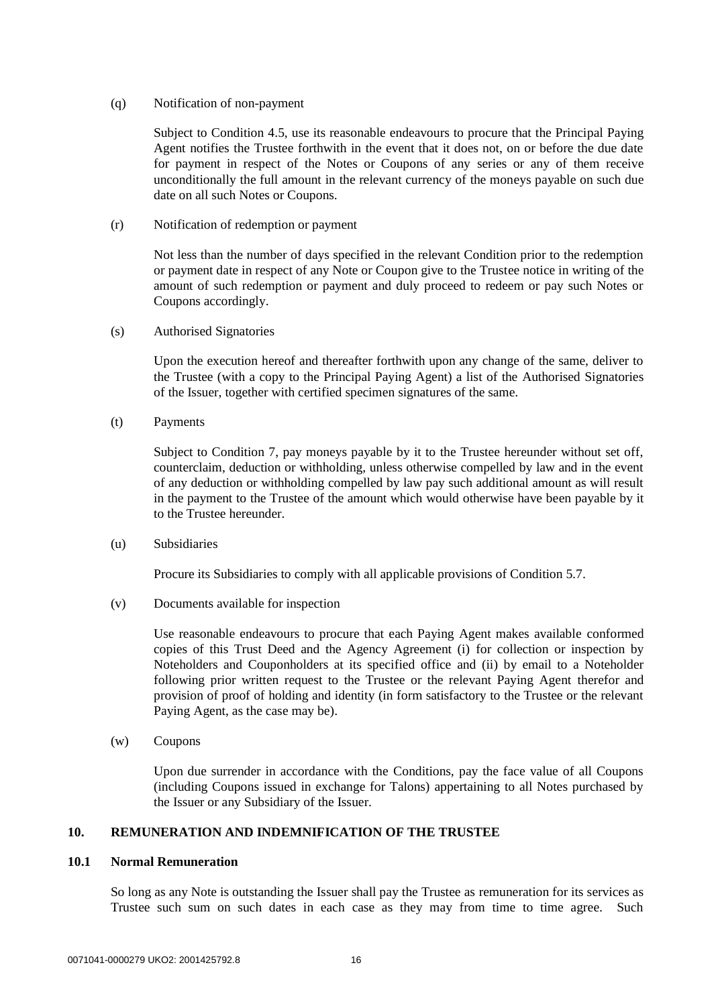#### (q) Notification of non-payment

Subject to Condition 4.5, use its reasonable endeavours to procure that the Principal Paying Agent notifies the Trustee forthwith in the event that it does not, on or before the due date for payment in respect of the Notes or Coupons of any series or any of them receive unconditionally the full amount in the relevant currency of the moneys payable on such due date on all such Notes or Coupons.

(r) Notification of redemption or payment

Not less than the number of days specified in the relevant Condition prior to the redemption or payment date in respect of any Note or Coupon give to the Trustee notice in writing of the amount of such redemption or payment and duly proceed to redeem or pay such Notes or Coupons accordingly.

<span id="page-15-0"></span>(s) Authorised Signatories

Upon the execution hereof and thereafter forthwith upon any change of the same, deliver to the Trustee (with a copy to the Principal Paying Agent) a list of the Authorised Signatories of the Issuer, together with certified specimen signatures of the same.

(t) Payments

Subject to Condition 7, pay moneys payable by it to the Trustee hereunder without set off, counterclaim, deduction or withholding, unless otherwise compelled by law and in the event of any deduction or withholding compelled by law pay such additional amount as will result in the payment to the Trustee of the amount which would otherwise have been payable by it to the Trustee hereunder.

(u) Subsidiaries

Procure its Subsidiaries to comply with all applicable provisions of Condition 5.7.

(v) Documents available for inspection

Use reasonable endeavours to procure that each Paying Agent makes available conformed copies of this Trust Deed and the Agency Agreement (i) for collection or inspection by Noteholders and Couponholders at its specified office and (ii) by email to a Noteholder following prior written request to the Trustee or the relevant Paying Agent therefor and provision of proof of holding and identity (in form satisfactory to the Trustee or the relevant Paying Agent, as the case may be).

(w) Coupons

Upon due surrender in accordance with the Conditions, pay the face value of all Coupons (including Coupons issued in exchange for Talons) appertaining to all Notes purchased by the Issuer or any Subsidiary of the Issuer.

# <span id="page-15-2"></span><span id="page-15-1"></span>**10. REMUNERATION AND INDEMNIFICATION OF THE TRUSTEE**

#### **10.1 Normal Remuneration**

So long as any Note is outstanding the Issuer shall pay the Trustee as remuneration for its services as Trustee such sum on such dates in each case as they may from time to time agree. Such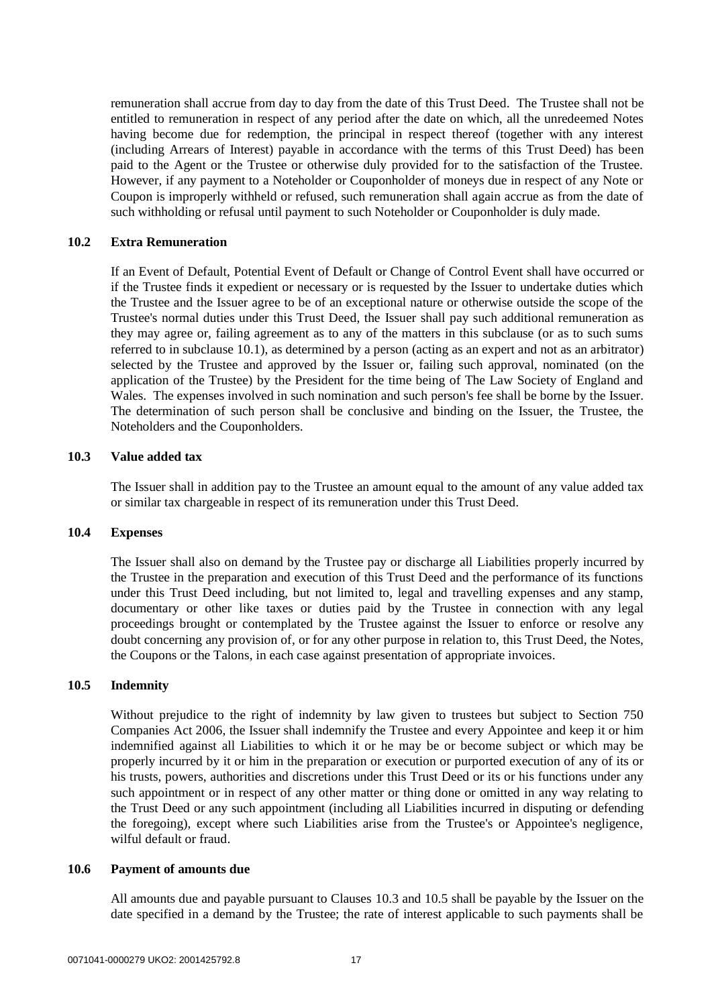remuneration shall accrue from day to day from the date of this Trust Deed. The Trustee shall not be entitled to remuneration in respect of any period after the date on which, all the unredeemed Notes having become due for redemption, the principal in respect thereof (together with any interest (including Arrears of Interest) payable in accordance with the terms of this Trust Deed) has been paid to the Agent or the Trustee or otherwise duly provided for to the satisfaction of the Trustee. However, if any payment to a Noteholder or Couponholder of moneys due in respect of any Note or Coupon is improperly withheld or refused, such remuneration shall again accrue as from the date of such withholding or refusal until payment to such Noteholder or Couponholder is duly made.

# **10.2 Extra Remuneration**

If an Event of Default, Potential Event of Default or Change of Control Event shall have occurred or if the Trustee finds it expedient or necessary or is requested by the Issuer to undertake duties which the Trustee and the Issuer agree to be of an exceptional nature or otherwise outside the scope of the Trustee's normal duties under this Trust Deed, the Issuer shall pay such additional remuneration as they may agree or, failing agreement as to any of the matters in this subclause (or as to such sums referred to in subclause [10.1\)](#page-15-1), as determined by a person (acting as an expert and not as an arbitrator) selected by the Trustee and approved by the Issuer or, failing such approval, nominated (on the application of the Trustee) by the President for the time being of The Law Society of England and Wales. The expenses involved in such nomination and such person's fee shall be borne by the Issuer. The determination of such person shall be conclusive and binding on the Issuer, the Trustee, the Noteholders and the Couponholders.

#### <span id="page-16-0"></span>**10.3 Value added tax**

The Issuer shall in addition pay to the Trustee an amount equal to the amount of any value added tax or similar tax chargeable in respect of its remuneration under this Trust Deed.

# **10.4 Expenses**

The Issuer shall also on demand by the Trustee pay or discharge all Liabilities properly incurred by the Trustee in the preparation and execution of this Trust Deed and the performance of its functions under this Trust Deed including, but not limited to, legal and travelling expenses and any stamp, documentary or other like taxes or duties paid by the Trustee in connection with any legal proceedings brought or contemplated by the Trustee against the Issuer to enforce or resolve any doubt concerning any provision of, or for any other purpose in relation to, this Trust Deed, the Notes, the Coupons or the Talons, in each case against presentation of appropriate invoices.

# <span id="page-16-1"></span>**10.5 Indemnity**

Without prejudice to the right of indemnity by law given to trustees but subject to Section 750 Companies Act 2006, the Issuer shall indemnify the Trustee and every Appointee and keep it or him indemnified against all Liabilities to which it or he may be or become subject or which may be properly incurred by it or him in the preparation or execution or purported execution of any of its or his trusts, powers, authorities and discretions under this Trust Deed or its or his functions under any such appointment or in respect of any other matter or thing done or omitted in any way relating to the Trust Deed or any such appointment (including all Liabilities incurred in disputing or defending the foregoing), except where such Liabilities arise from the Trustee's or Appointee's negligence, wilful default or fraud.

# <span id="page-16-2"></span>**10.6 Payment of amounts due**

All amounts due and payable pursuant to Clauses [10.3](#page-16-0) and [10.5](#page-16-1) shall be payable by the Issuer on the date specified in a demand by the Trustee; the rate of interest applicable to such payments shall be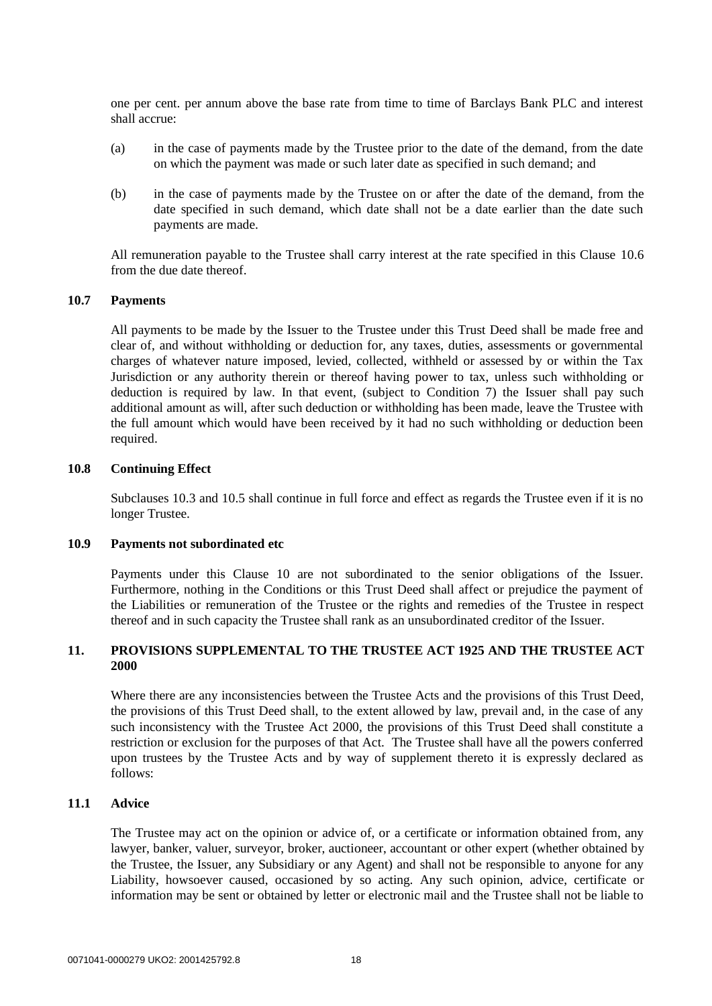one per cent. per annum above the base rate from time to time of Barclays Bank PLC and interest shall accrue:

- (a) in the case of payments made by the Trustee prior to the date of the demand, from the date on which the payment was made or such later date as specified in such demand; and
- (b) in the case of payments made by the Trustee on or after the date of the demand, from the date specified in such demand, which date shall not be a date earlier than the date such payments are made.

All remuneration payable to the Trustee shall carry interest at the rate specified in this Clause [10.6](#page-16-2) from the due date thereof.

## **10.7 Payments**

All payments to be made by the Issuer to the Trustee under this Trust Deed shall be made free and clear of, and without withholding or deduction for, any taxes, duties, assessments or governmental charges of whatever nature imposed, levied, collected, withheld or assessed by or within the Tax Jurisdiction or any authority therein or thereof having power to tax, unless such withholding or deduction is required by law. In that event, (subject to Condition 7) the Issuer shall pay such additional amount as will, after such deduction or withholding has been made, leave the Trustee with the full amount which would have been received by it had no such withholding or deduction been required.

#### **10.8 Continuing Effect**

Subclauses [10.3](#page-16-0) and [10.5](#page-16-1) shall continue in full force and effect as regards the Trustee even if it is no longer Trustee.

# **10.9 Payments not subordinated etc**

Payments under this Clause [10](#page-15-2) are not subordinated to the senior obligations of the Issuer. Furthermore, nothing in the Conditions or this Trust Deed shall affect or prejudice the payment of the Liabilities or remuneration of the Trustee or the rights and remedies of the Trustee in respect thereof and in such capacity the Trustee shall rank as an unsubordinated creditor of the Issuer.

# **11. PROVISIONS SUPPLEMENTAL TO THE TRUSTEE ACT 1925 AND THE TRUSTEE ACT 2000**

Where there are any inconsistencies between the Trustee Acts and the provisions of this Trust Deed, the provisions of this Trust Deed shall, to the extent allowed by law, prevail and, in the case of any such inconsistency with the Trustee Act 2000, the provisions of this Trust Deed shall constitute a restriction or exclusion for the purposes of that Act. The Trustee shall have all the powers conferred upon trustees by the Trustee Acts and by way of supplement thereto it is expressly declared as follows:

# **11.1 Advice**

The Trustee may act on the opinion or advice of, or a certificate or information obtained from, any lawyer, banker, valuer, surveyor, broker, auctioneer, accountant or other expert (whether obtained by the Trustee, the Issuer, any Subsidiary or any Agent) and shall not be responsible to anyone for any Liability, howsoever caused, occasioned by so acting. Any such opinion, advice, certificate or information may be sent or obtained by letter or electronic mail and the Trustee shall not be liable to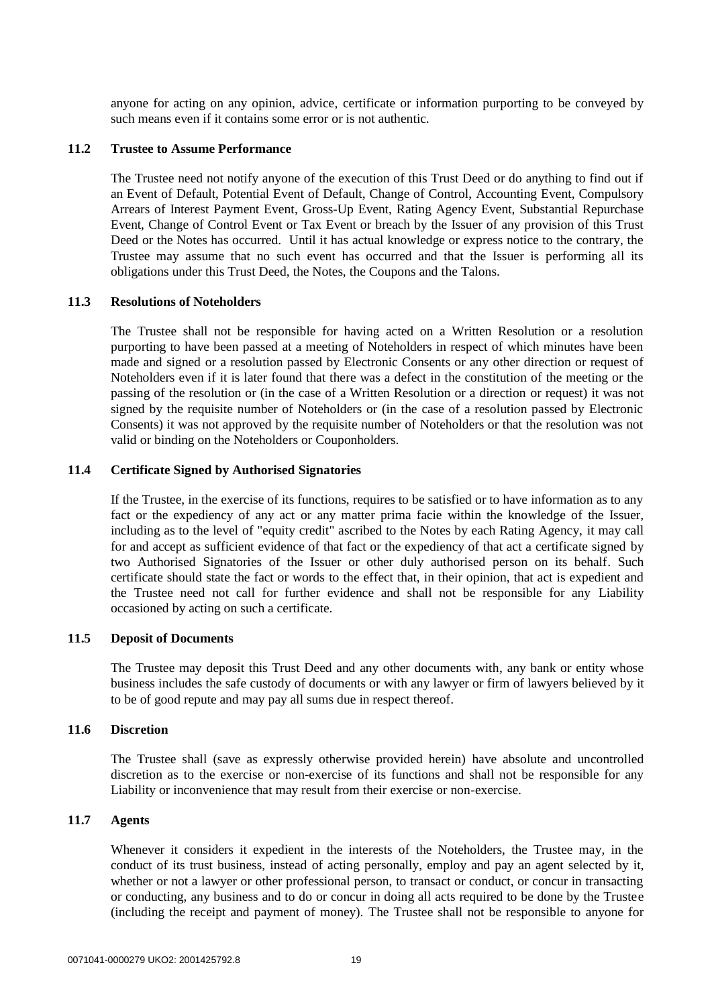anyone for acting on any opinion, advice, certificate or information purporting to be conveyed by such means even if it contains some error or is not authentic.

#### **11.2 Trustee to Assume Performance**

The Trustee need not notify anyone of the execution of this Trust Deed or do anything to find out if an Event of Default, Potential Event of Default, Change of Control, Accounting Event, Compulsory Arrears of Interest Payment Event, Gross-Up Event, Rating Agency Event, Substantial Repurchase Event, Change of Control Event or Tax Event or breach by the Issuer of any provision of this Trust Deed or the Notes has occurred. Until it has actual knowledge or express notice to the contrary, the Trustee may assume that no such event has occurred and that the Issuer is performing all its obligations under this Trust Deed, the Notes, the Coupons and the Talons.

#### **11.3 Resolutions of Noteholders**

The Trustee shall not be responsible for having acted on a Written Resolution or a resolution purporting to have been passed at a meeting of Noteholders in respect of which minutes have been made and signed or a resolution passed by Electronic Consents or any other direction or request of Noteholders even if it is later found that there was a defect in the constitution of the meeting or the passing of the resolution or (in the case of a Written Resolution or a direction or request) it was not signed by the requisite number of Noteholders or (in the case of a resolution passed by Electronic Consents) it was not approved by the requisite number of Noteholders or that the resolution was not valid or binding on the Noteholders or Couponholders.

# **11.4 Certificate Signed by Authorised Signatories**

If the Trustee, in the exercise of its functions, requires to be satisfied or to have information as to any fact or the expediency of any act or any matter prima facie within the knowledge of the Issuer, including as to the level of "equity credit" ascribed to the Notes by each Rating Agency, it may call for and accept as sufficient evidence of that fact or the expediency of that act a certificate signed by two Authorised Signatories of the Issuer or other duly authorised person on its behalf. Such certificate should state the fact or words to the effect that, in their opinion, that act is expedient and the Trustee need not call for further evidence and shall not be responsible for any Liability occasioned by acting on such a certificate.

# **11.5 Deposit of Documents**

The Trustee may deposit this Trust Deed and any other documents with, any bank or entity whose business includes the safe custody of documents or with any lawyer or firm of lawyers believed by it to be of good repute and may pay all sums due in respect thereof.

## **11.6 Discretion**

The Trustee shall (save as expressly otherwise provided herein) have absolute and uncontrolled discretion as to the exercise or non-exercise of its functions and shall not be responsible for any Liability or inconvenience that may result from their exercise or non-exercise.

# **11.7 Agents**

Whenever it considers it expedient in the interests of the Noteholders, the Trustee may, in the conduct of its trust business, instead of acting personally, employ and pay an agent selected by it, whether or not a lawyer or other professional person, to transact or conduct, or concur in transacting or conducting, any business and to do or concur in doing all acts required to be done by the Trustee (including the receipt and payment of money). The Trustee shall not be responsible to anyone for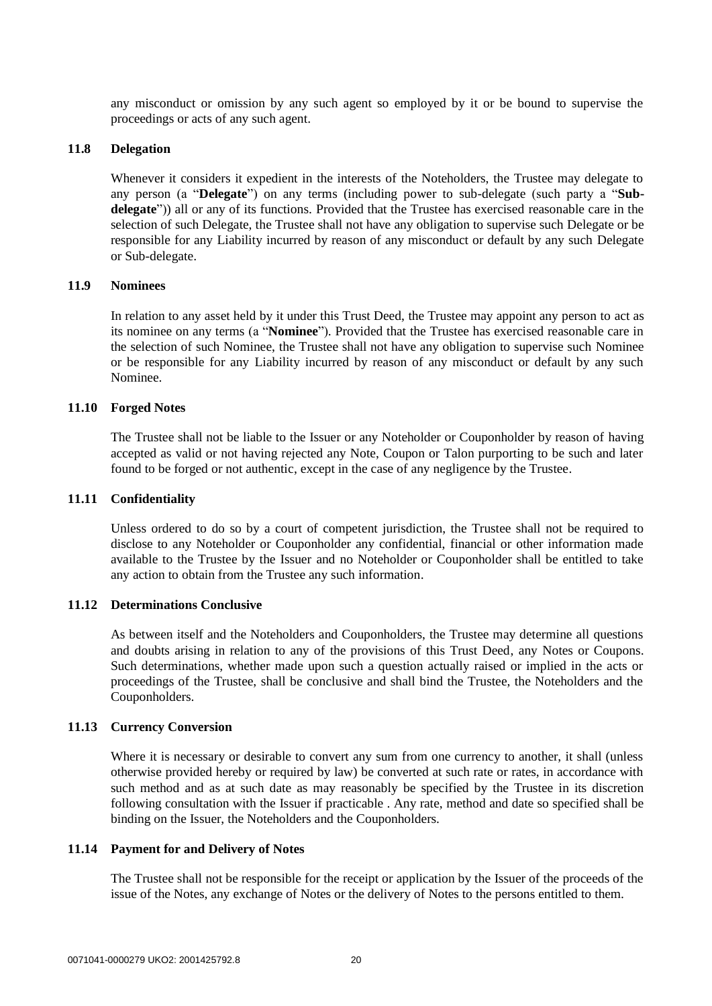any misconduct or omission by any such agent so employed by it or be bound to supervise the proceedings or acts of any such agent.

#### **11.8 Delegation**

Whenever it considers it expedient in the interests of the Noteholders, the Trustee may delegate to any person (a "**Delegate**") on any terms (including power to sub-delegate (such party a "**Subdelegate**")) all or any of its functions. Provided that the Trustee has exercised reasonable care in the selection of such Delegate, the Trustee shall not have any obligation to supervise such Delegate or be responsible for any Liability incurred by reason of any misconduct or default by any such Delegate or Sub-delegate.

# **11.9 Nominees**

In relation to any asset held by it under this Trust Deed, the Trustee may appoint any person to act as its nominee on any terms (a "**Nominee**"). Provided that the Trustee has exercised reasonable care in the selection of such Nominee, the Trustee shall not have any obligation to supervise such Nominee or be responsible for any Liability incurred by reason of any misconduct or default by any such Nominee.

#### **11.10 Forged Notes**

The Trustee shall not be liable to the Issuer or any Noteholder or Couponholder by reason of having accepted as valid or not having rejected any Note, Coupon or Talon purporting to be such and later found to be forged or not authentic, except in the case of any negligence by the Trustee.

#### **11.11 Confidentiality**

Unless ordered to do so by a court of competent jurisdiction, the Trustee shall not be required to disclose to any Noteholder or Couponholder any confidential, financial or other information made available to the Trustee by the Issuer and no Noteholder or Couponholder shall be entitled to take any action to obtain from the Trustee any such information.

#### **11.12 Determinations Conclusive**

As between itself and the Noteholders and Couponholders, the Trustee may determine all questions and doubts arising in relation to any of the provisions of this Trust Deed, any Notes or Coupons. Such determinations, whether made upon such a question actually raised or implied in the acts or proceedings of the Trustee, shall be conclusive and shall bind the Trustee, the Noteholders and the Couponholders.

#### **11.13 Currency Conversion**

Where it is necessary or desirable to convert any sum from one currency to another, it shall (unless otherwise provided hereby or required by law) be converted at such rate or rates, in accordance with such method and as at such date as may reasonably be specified by the Trustee in its discretion following consultation with the Issuer if practicable . Any rate, method and date so specified shall be binding on the Issuer, the Noteholders and the Couponholders.

#### **11.14 Payment for and Delivery of Notes**

The Trustee shall not be responsible for the receipt or application by the Issuer of the proceeds of the issue of the Notes, any exchange of Notes or the delivery of Notes to the persons entitled to them.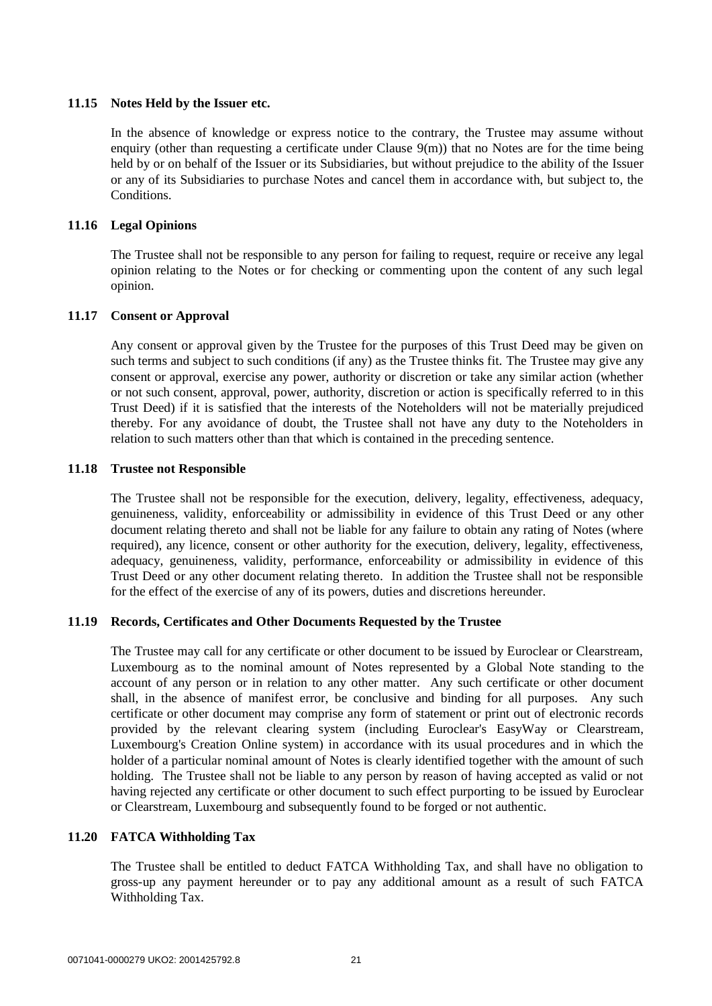# **11.15 Notes Held by the Issuer etc.**

In the absence of knowledge or express notice to the contrary, the Trustee may assume without enquiry (other than requesting a certificate under Clause [9\(m\)\)](#page-14-1) that no Notes are for the time being held by or on behalf of the Issuer or its Subsidiaries, but without prejudice to the ability of the Issuer or any of its Subsidiaries to purchase Notes and cancel them in accordance with, but subject to, the Conditions.

# **11.16 Legal Opinions**

The Trustee shall not be responsible to any person for failing to request, require or receive any legal opinion relating to the Notes or for checking or commenting upon the content of any such legal opinion.

### **11.17 Consent or Approval**

Any consent or approval given by the Trustee for the purposes of this Trust Deed may be given on such terms and subject to such conditions (if any) as the Trustee thinks fit. The Trustee may give any consent or approval, exercise any power, authority or discretion or take any similar action (whether or not such consent, approval, power, authority, discretion or action is specifically referred to in this Trust Deed) if it is satisfied that the interests of the Noteholders will not be materially prejudiced thereby. For any avoidance of doubt, the Trustee shall not have any duty to the Noteholders in relation to such matters other than that which is contained in the preceding sentence.

### **11.18 Trustee not Responsible**

The Trustee shall not be responsible for the execution, delivery, legality, effectiveness, adequacy, genuineness, validity, enforceability or admissibility in evidence of this Trust Deed or any other document relating thereto and shall not be liable for any failure to obtain any rating of Notes (where required), any licence, consent or other authority for the execution, delivery, legality, effectiveness, adequacy, genuineness, validity, performance, enforceability or admissibility in evidence of this Trust Deed or any other document relating thereto. In addition the Trustee shall not be responsible for the effect of the exercise of any of its powers, duties and discretions hereunder.

# **11.19 Records, Certificates and Other Documents Requested by the Trustee**

The Trustee may call for any certificate or other document to be issued by Euroclear or Clearstream, Luxembourg as to the nominal amount of Notes represented by a Global Note standing to the account of any person or in relation to any other matter. Any such certificate or other document shall, in the absence of manifest error, be conclusive and binding for all purposes. Any such certificate or other document may comprise any form of statement or print out of electronic records provided by the relevant clearing system (including Euroclear's EasyWay or Clearstream, Luxembourg's Creation Online system) in accordance with its usual procedures and in which the holder of a particular nominal amount of Notes is clearly identified together with the amount of such holding. The Trustee shall not be liable to any person by reason of having accepted as valid or not having rejected any certificate or other document to such effect purporting to be issued by Euroclear or Clearstream, Luxembourg and subsequently found to be forged or not authentic.

# **11.20 FATCA Withholding Tax**

The Trustee shall be entitled to deduct FATCA Withholding Tax, and shall have no obligation to gross-up any payment hereunder or to pay any additional amount as a result of such FATCA Withholding Tax.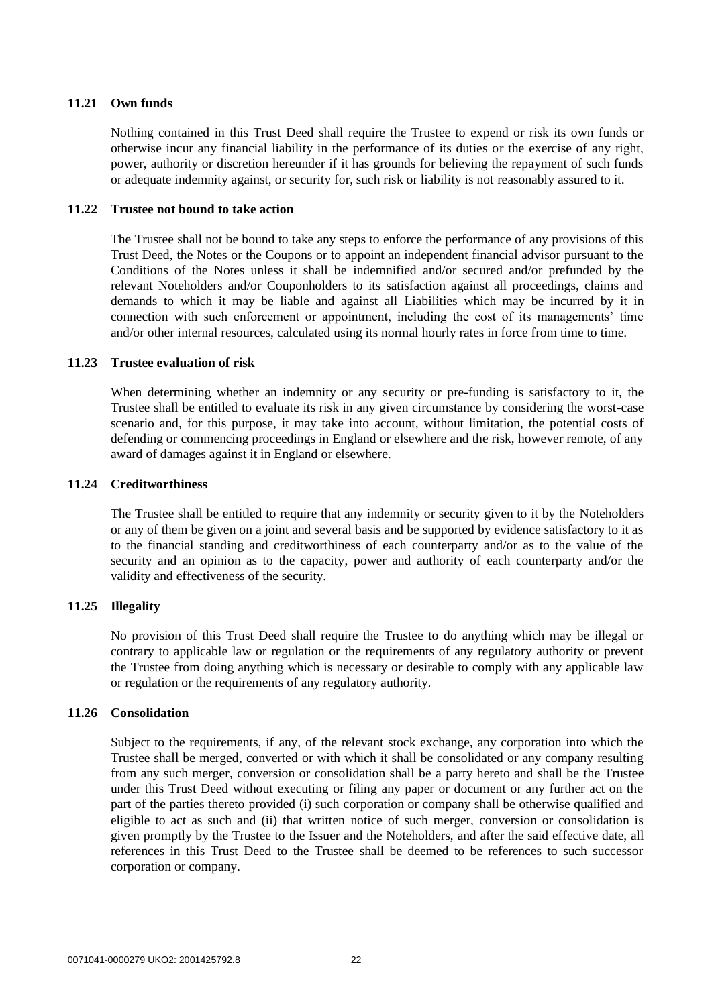# **11.21 Own funds**

Nothing contained in this Trust Deed shall require the Trustee to expend or risk its own funds or otherwise incur any financial liability in the performance of its duties or the exercise of any right, power, authority or discretion hereunder if it has grounds for believing the repayment of such funds or adequate indemnity against, or security for, such risk or liability is not reasonably assured to it.

## **11.22 Trustee not bound to take action**

The Trustee shall not be bound to take any steps to enforce the performance of any provisions of this Trust Deed, the Notes or the Coupons or to appoint an independent financial advisor pursuant to the Conditions of the Notes unless it shall be indemnified and/or secured and/or prefunded by the relevant Noteholders and/or Couponholders to its satisfaction against all proceedings, claims and demands to which it may be liable and against all Liabilities which may be incurred by it in connection with such enforcement or appointment, including the cost of its managements' time and/or other internal resources, calculated using its normal hourly rates in force from time to time.

### **11.23 Trustee evaluation of risk**

When determining whether an indemnity or any security or pre-funding is satisfactory to it, the Trustee shall be entitled to evaluate its risk in any given circumstance by considering the worst-case scenario and, for this purpose, it may take into account, without limitation, the potential costs of defending or commencing proceedings in England or elsewhere and the risk, however remote, of any award of damages against it in England or elsewhere.

### **11.24 Creditworthiness**

The Trustee shall be entitled to require that any indemnity or security given to it by the Noteholders or any of them be given on a joint and several basis and be supported by evidence satisfactory to it as to the financial standing and creditworthiness of each counterparty and/or as to the value of the security and an opinion as to the capacity, power and authority of each counterparty and/or the validity and effectiveness of the security.

# **11.25 Illegality**

No provision of this Trust Deed shall require the Trustee to do anything which may be illegal or contrary to applicable law or regulation or the requirements of any regulatory authority or prevent the Trustee from doing anything which is necessary or desirable to comply with any applicable law or regulation or the requirements of any regulatory authority.

#### **11.26 Consolidation**

Subject to the requirements, if any, of the relevant stock exchange, any corporation into which the Trustee shall be merged, converted or with which it shall be consolidated or any company resulting from any such merger, conversion or consolidation shall be a party hereto and shall be the Trustee under this Trust Deed without executing or filing any paper or document or any further act on the part of the parties thereto provided (i) such corporation or company shall be otherwise qualified and eligible to act as such and (ii) that written notice of such merger, conversion or consolidation is given promptly by the Trustee to the Issuer and the Noteholders, and after the said effective date, all references in this Trust Deed to the Trustee shall be deemed to be references to such successor corporation or company.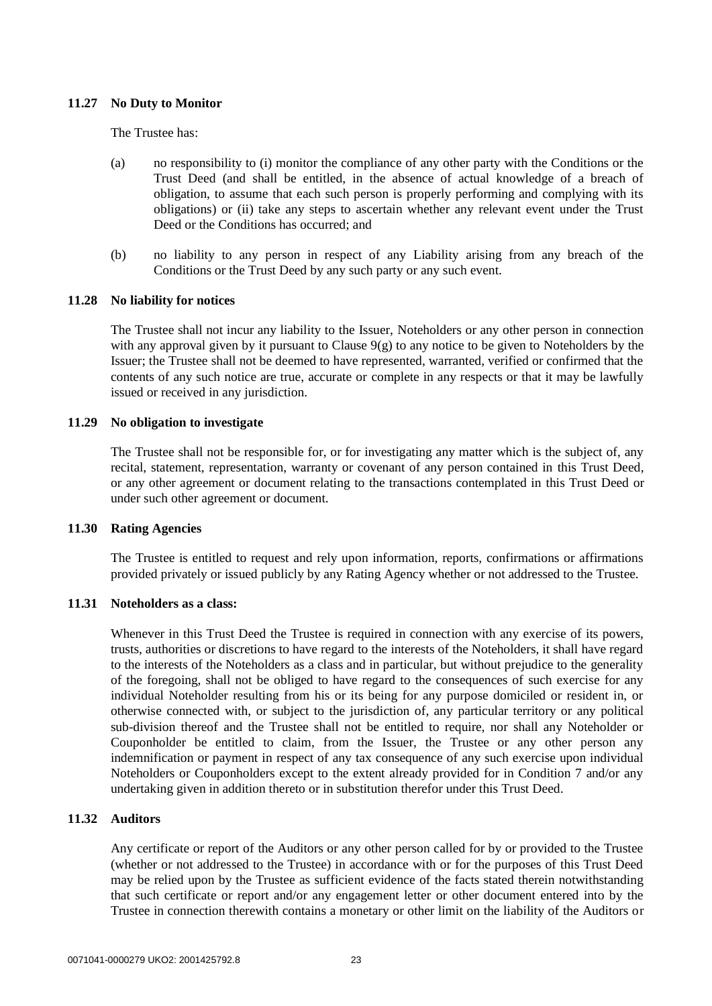# **11.27 No Duty to Monitor**

The Trustee has:

- (a) no responsibility to (i) monitor the compliance of any other party with the Conditions or the Trust Deed (and shall be entitled, in the absence of actual knowledge of a breach of obligation, to assume that each such person is properly performing and complying with its obligations) or (ii) take any steps to ascertain whether any relevant event under the Trust Deed or the Conditions has occurred; and
- (b) no liability to any person in respect of any Liability arising from any breach of the Conditions or the Trust Deed by any such party or any such event.

# **11.28 No liability for notices**

The Trustee shall not incur any liability to the Issuer, Noteholders or any other person in connection with any approval given by it pursuant to Clause [9\(g\)](#page-13-2) to any notice to be given to Noteholders by the Issuer; the Trustee shall not be deemed to have represented, warranted, verified or confirmed that the contents of any such notice are true, accurate or complete in any respects or that it may be lawfully issued or received in any jurisdiction.

### **11.29 No obligation to investigate**

The Trustee shall not be responsible for, or for investigating any matter which is the subject of, any recital, statement, representation, warranty or covenant of any person contained in this Trust Deed, or any other agreement or document relating to the transactions contemplated in this Trust Deed or under such other agreement or document.

# **11.30 Rating Agencies**

The Trustee is entitled to request and rely upon information, reports, confirmations or affirmations provided privately or issued publicly by any Rating Agency whether or not addressed to the Trustee.

# **11.31 Noteholders as a class:**

Whenever in this Trust Deed the Trustee is required in connection with any exercise of its powers, trusts, authorities or discretions to have regard to the interests of the Noteholders, it shall have regard to the interests of the Noteholders as a class and in particular, but without prejudice to the generality of the foregoing, shall not be obliged to have regard to the consequences of such exercise for any individual Noteholder resulting from his or its being for any purpose domiciled or resident in, or otherwise connected with, or subject to the jurisdiction of, any particular territory or any political sub-division thereof and the Trustee shall not be entitled to require, nor shall any Noteholder or Couponholder be entitled to claim, from the Issuer, the Trustee or any other person any indemnification or payment in respect of any tax consequence of any such exercise upon individual Noteholders or Couponholders except to the extent already provided for in Condition 7 and/or any undertaking given in addition thereto or in substitution therefor under this Trust Deed.

# **11.32 Auditors**

Any certificate or report of the Auditors or any other person called for by or provided to the Trustee (whether or not addressed to the Trustee) in accordance with or for the purposes of this Trust Deed may be relied upon by the Trustee as sufficient evidence of the facts stated therein notwithstanding that such certificate or report and/or any engagement letter or other document entered into by the Trustee in connection therewith contains a monetary or other limit on the liability of the Auditors or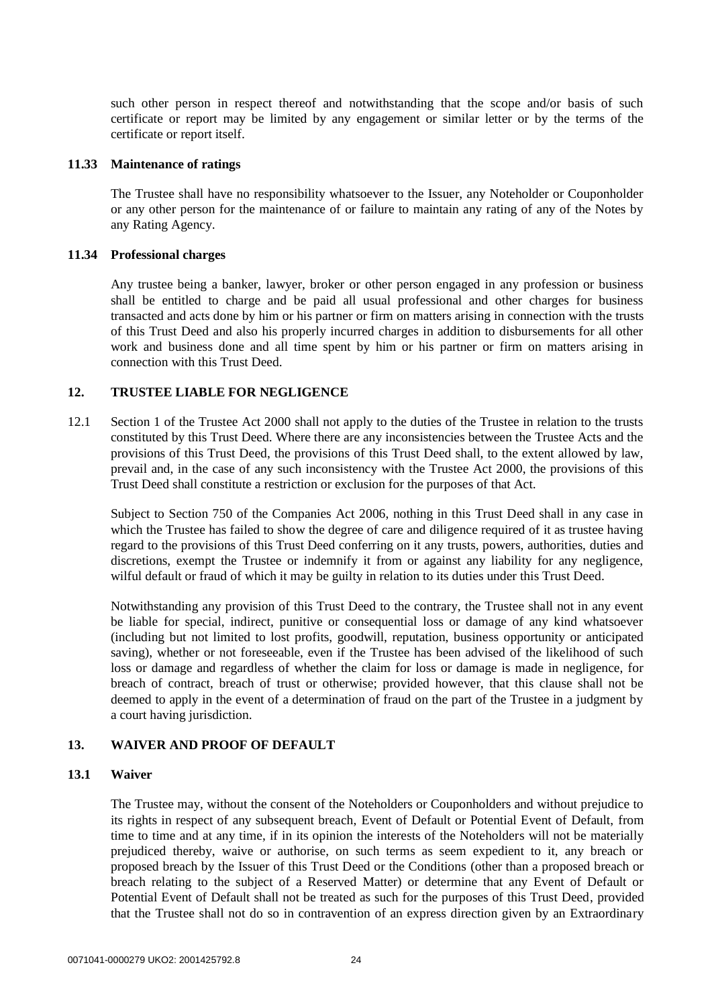such other person in respect thereof and notwithstanding that the scope and/or basis of such certificate or report may be limited by any engagement or similar letter or by the terms of the certificate or report itself.

### **11.33 Maintenance of ratings**

The Trustee shall have no responsibility whatsoever to the Issuer, any Noteholder or Couponholder or any other person for the maintenance of or failure to maintain any rating of any of the Notes by any Rating Agency.

# **11.34 Professional charges**

Any trustee being a banker, lawyer, broker or other person engaged in any profession or business shall be entitled to charge and be paid all usual professional and other charges for business transacted and acts done by him or his partner or firm on matters arising in connection with the trusts of this Trust Deed and also his properly incurred charges in addition to disbursements for all other work and business done and all time spent by him or his partner or firm on matters arising in connection with this Trust Deed.

# **12. TRUSTEE LIABLE FOR NEGLIGENCE**

12.1 Section 1 of the Trustee Act 2000 shall not apply to the duties of the Trustee in relation to the trusts constituted by this Trust Deed. Where there are any inconsistencies between the Trustee Acts and the provisions of this Trust Deed, the provisions of this Trust Deed shall, to the extent allowed by law, prevail and, in the case of any such inconsistency with the Trustee Act 2000, the provisions of this Trust Deed shall constitute a restriction or exclusion for the purposes of that Act.

Subject to Section 750 of the Companies Act 2006, nothing in this Trust Deed shall in any case in which the Trustee has failed to show the degree of care and diligence required of it as trustee having regard to the provisions of this Trust Deed conferring on it any trusts, powers, authorities, duties and discretions, exempt the Trustee or indemnify it from or against any liability for any negligence, wilful default or fraud of which it may be guilty in relation to its duties under this Trust Deed.

Notwithstanding any provision of this Trust Deed to the contrary, the Trustee shall not in any event be liable for special, indirect, punitive or consequential loss or damage of any kind whatsoever (including but not limited to lost profits, goodwill, reputation, business opportunity or anticipated saving), whether or not foreseeable, even if the Trustee has been advised of the likelihood of such loss or damage and regardless of whether the claim for loss or damage is made in negligence, for breach of contract, breach of trust or otherwise; provided however, that this clause shall not be deemed to apply in the event of a determination of fraud on the part of the Trustee in a judgment by a court having jurisdiction.

# **13. WAIVER AND PROOF OF DEFAULT**

# **13.1 Waiver**

The Trustee may, without the consent of the Noteholders or Couponholders and without prejudice to its rights in respect of any subsequent breach, Event of Default or Potential Event of Default, from time to time and at any time, if in its opinion the interests of the Noteholders will not be materially prejudiced thereby, waive or authorise, on such terms as seem expedient to it, any breach or proposed breach by the Issuer of this Trust Deed or the Conditions (other than a proposed breach or breach relating to the subject of a Reserved Matter) or determine that any Event of Default or Potential Event of Default shall not be treated as such for the purposes of this Trust Deed, provided that the Trustee shall not do so in contravention of an express direction given by an Extraordinary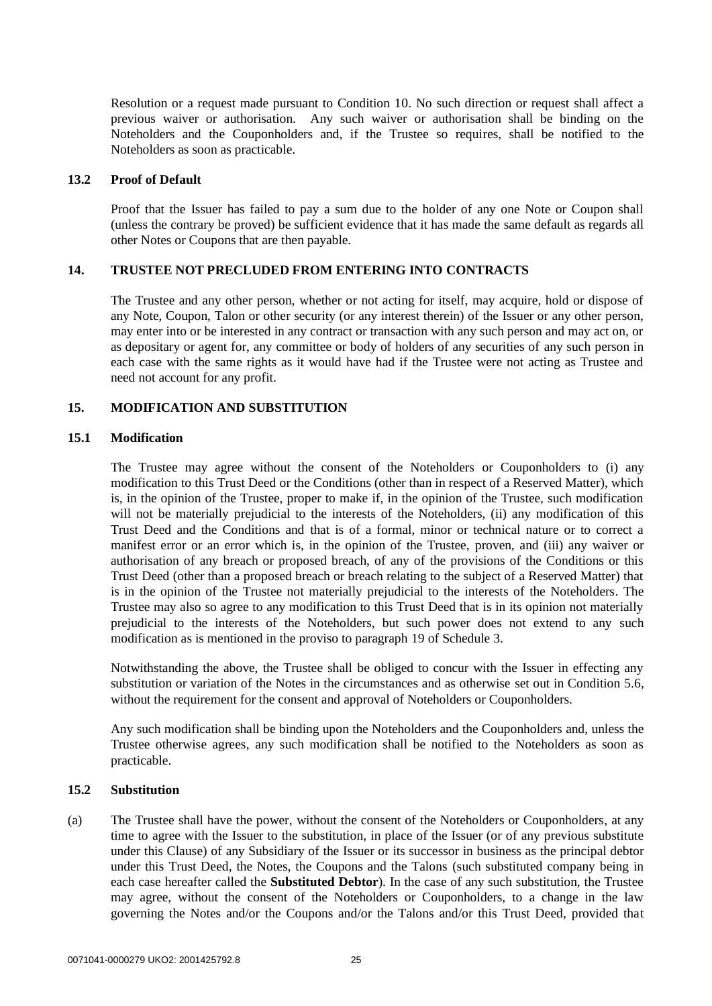Resolution or a request made pursuant to Condition 10. No such direction or request shall affect a previous waiver or authorisation. Any such waiver or authorisation shall be binding on the Noteholders and the Couponholders and, if the Trustee so requires, shall be notified to the Noteholders as soon as practicable.

#### **13.2 Proof of Default**

Proof that the Issuer has failed to pay a sum due to the holder of any one Note or Coupon shall (unless the contrary be proved) be sufficient evidence that it has made the same default as regards all other Notes or Coupons that are then payable.

# **14. TRUSTEE NOT PRECLUDED FROM ENTERING INTO CONTRACTS**

The Trustee and any other person, whether or not acting for itself, may acquire, hold or dispose of any Note, Coupon, Talon or other security (or any interest therein) of the Issuer or any other person, may enter into or be interested in any contract or transaction with any such person and may act on, or as depositary or agent for, any committee or body of holders of any securities of any such person in each case with the same rights as it would have had if the Trustee were not acting as Trustee and need not account for any profit.

# **15. MODIFICATION AND SUBSTITUTION**

### **15.1 Modification**

The Trustee may agree without the consent of the Noteholders or Couponholders to (i) any modification to this Trust Deed or the Conditions (other than in respect of a Reserved Matter), which is, in the opinion of the Trustee, proper to make if, in the opinion of the Trustee, such modification will not be materially prejudicial to the interests of the Noteholders, (ii) any modification of this Trust Deed and the Conditions and that is of a formal, minor or technical nature or to correct a manifest error or an error which is, in the opinion of the Trustee, proven, and (iii) any waiver or authorisation of any breach or proposed breach, of any of the provisions of the Conditions or this Trust Deed (other than a proposed breach or breach relating to the subject of a Reserved Matter) that is in the opinion of the Trustee not materially prejudicial to the interests of the Noteholders. The Trustee may also so agree to any modification to this Trust Deed that is in its opinion not materially prejudicial to the interests of the Noteholders, but such power does not extend to any such modification as is mentioned in the proviso to paragraph 19 of Schedule 3.

Notwithstanding the above, the Trustee shall be obliged to concur with the Issuer in effecting any substitution or variation of the Notes in the circumstances and as otherwise set out in Condition 5.6, without the requirement for the consent and approval of Noteholders or Couponholders.

Any such modification shall be binding upon the Noteholders and the Couponholders and, unless the Trustee otherwise agrees, any such modification shall be notified to the Noteholders as soon as practicable.

# <span id="page-24-1"></span><span id="page-24-0"></span>**15.2 Substitution**

(a) The Trustee shall have the power, without the consent of the Noteholders or Couponholders, at any time to agree with the Issuer to the substitution, in place of the Issuer (or of any previous substitute under this Clause) of any Subsidiary of the Issuer or its successor in business as the principal debtor under this Trust Deed, the Notes, the Coupons and the Talons (such substituted company being in each case hereafter called the **Substituted Debtor**). In the case of any such substitution, the Trustee may agree, without the consent of the Noteholders or Couponholders, to a change in the law governing the Notes and/or the Coupons and/or the Talons and/or this Trust Deed, provided that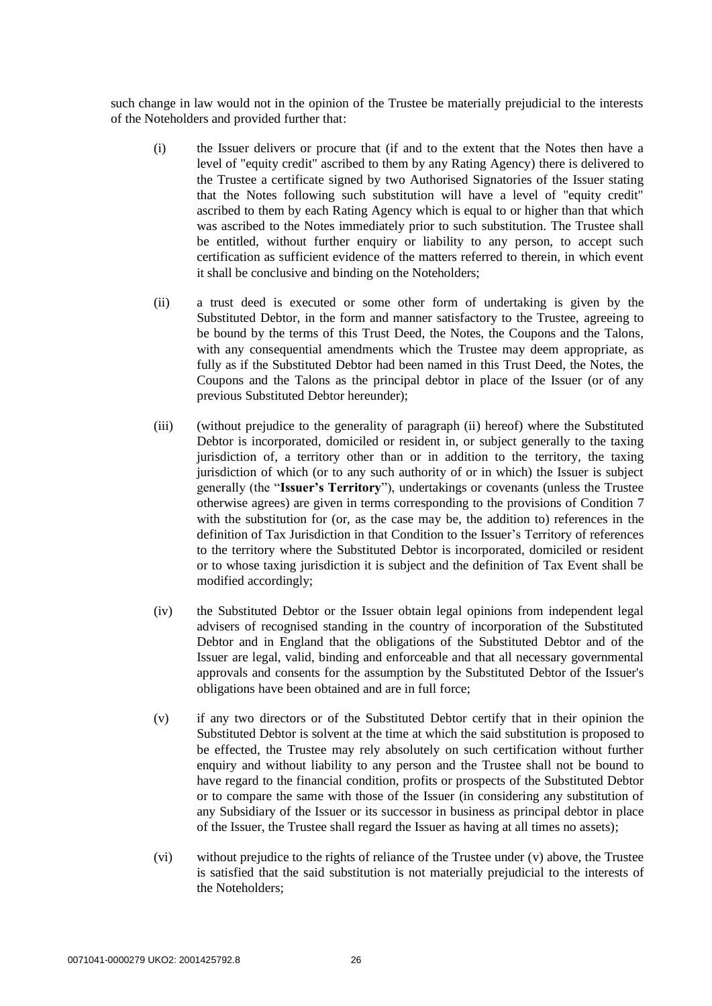such change in law would not in the opinion of the Trustee be materially prejudicial to the interests of the Noteholders and provided further that:

- (i) the Issuer delivers or procure that (if and to the extent that the Notes then have a level of "equity credit" ascribed to them by any Rating Agency) there is delivered to the Trustee a certificate signed by two Authorised Signatories of the Issuer stating that the Notes following such substitution will have a level of "equity credit" ascribed to them by each Rating Agency which is equal to or higher than that which was ascribed to the Notes immediately prior to such substitution. The Trustee shall be entitled, without further enquiry or liability to any person, to accept such certification as sufficient evidence of the matters referred to therein, in which event it shall be conclusive and binding on the Noteholders;
- <span id="page-25-0"></span>(ii) a trust deed is executed or some other form of undertaking is given by the Substituted Debtor, in the form and manner satisfactory to the Trustee, agreeing to be bound by the terms of this Trust Deed, the Notes, the Coupons and the Talons, with any consequential amendments which the Trustee may deem appropriate, as fully as if the Substituted Debtor had been named in this Trust Deed, the Notes, the Coupons and the Talons as the principal debtor in place of the Issuer (or of any previous Substituted Debtor hereunder);
- (iii) (without prejudice to the generality of paragraph (ii) hereof) where the Substituted Debtor is incorporated, domiciled or resident in, or subject generally to the taxing jurisdiction of, a territory other than or in addition to the territory, the taxing jurisdiction of which (or to any such authority of or in which) the Issuer is subject generally (the "**Issuer's Territory**"), undertakings or covenants (unless the Trustee otherwise agrees) are given in terms corresponding to the provisions of Condition 7 with the substitution for (or, as the case may be, the addition to) references in the definition of Tax Jurisdiction in that Condition to the Issuer's Territory of references to the territory where the Substituted Debtor is incorporated, domiciled or resident or to whose taxing jurisdiction it is subject and the definition of Tax Event shall be modified accordingly;
- (iv) the Substituted Debtor or the Issuer obtain legal opinions from independent legal advisers of recognised standing in the country of incorporation of the Substituted Debtor and in England that the obligations of the Substituted Debtor and of the Issuer are legal, valid, binding and enforceable and that all necessary governmental approvals and consents for the assumption by the Substituted Debtor of the Issuer's obligations have been obtained and are in full force;
- (v) if any two directors or of the Substituted Debtor certify that in their opinion the Substituted Debtor is solvent at the time at which the said substitution is proposed to be effected, the Trustee may rely absolutely on such certification without further enquiry and without liability to any person and the Trustee shall not be bound to have regard to the financial condition, profits or prospects of the Substituted Debtor or to compare the same with those of the Issuer (in considering any substitution of any Subsidiary of the Issuer or its successor in business as principal debtor in place of the Issuer, the Trustee shall regard the Issuer as having at all times no assets);
- (vi) without prejudice to the rights of reliance of the Trustee under (v) above, the Trustee is satisfied that the said substitution is not materially prejudicial to the interests of the Noteholders;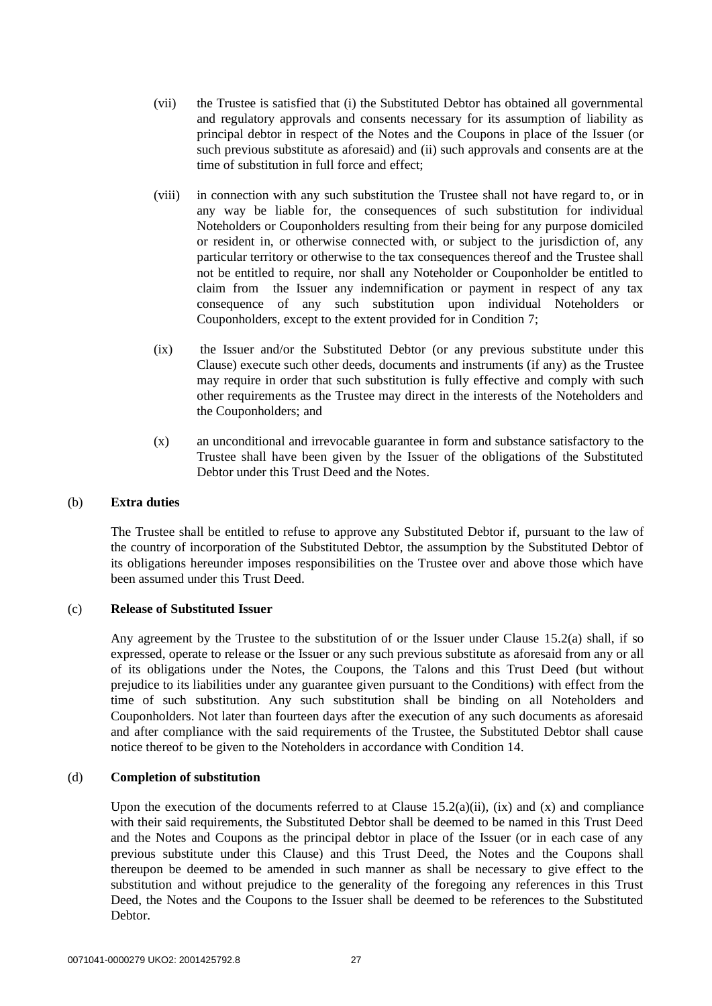- (vii) the Trustee is satisfied that (i) the Substituted Debtor has obtained all governmental and regulatory approvals and consents necessary for its assumption of liability as principal debtor in respect of the Notes and the Coupons in place of the Issuer (or such previous substitute as aforesaid) and (ii) such approvals and consents are at the time of substitution in full force and effect;
- (viii) in connection with any such substitution the Trustee shall not have regard to, or in any way be liable for, the consequences of such substitution for individual Noteholders or Couponholders resulting from their being for any purpose domiciled or resident in, or otherwise connected with, or subject to the jurisdiction of, any particular territory or otherwise to the tax consequences thereof and the Trustee shall not be entitled to require, nor shall any Noteholder or Couponholder be entitled to claim from the Issuer any indemnification or payment in respect of any tax consequence of any such substitution upon individual Noteholders or Couponholders, except to the extent provided for in Condition 7;
- <span id="page-26-0"></span>(ix) the Issuer and/or the Substituted Debtor (or any previous substitute under this Clause) execute such other deeds, documents and instruments (if any) as the Trustee may require in order that such substitution is fully effective and comply with such other requirements as the Trustee may direct in the interests of the Noteholders and the Couponholders; and
- (x) an unconditional and irrevocable guarantee in form and substance satisfactory to the Trustee shall have been given by the Issuer of the obligations of the Substituted Debtor under this Trust Deed and the Notes.

# <span id="page-26-1"></span>(b) **Extra duties**

The Trustee shall be entitled to refuse to approve any Substituted Debtor if, pursuant to the law of the country of incorporation of the Substituted Debtor, the assumption by the Substituted Debtor of its obligations hereunder imposes responsibilities on the Trustee over and above those which have been assumed under this Trust Deed.

# (c) **Release of Substituted Issuer**

Any agreement by the Trustee to the substitution of or the Issuer under Clause [15.2\(a\)](#page-24-0) shall, if so expressed, operate to release or the Issuer or any such previous substitute as aforesaid from any or all of its obligations under the Notes, the Coupons, the Talons and this Trust Deed (but without prejudice to its liabilities under any guarantee given pursuant to the Conditions) with effect from the time of such substitution. Any such substitution shall be binding on all Noteholders and Couponholders. Not later than fourteen days after the execution of any such documents as aforesaid and after compliance with the said requirements of the Trustee, the Substituted Debtor shall cause notice thereof to be given to the Noteholders in accordance with Condition 14.

# (d) **Completion of substitution**

Upon the execution of the documents referred to at Clause  $15.2(a)(ii)$ , [\(ix\)](#page-26-0) and [\(x\)](#page-26-1) and compliance with their said requirements, the Substituted Debtor shall be deemed to be named in this Trust Deed and the Notes and Coupons as the principal debtor in place of the Issuer (or in each case of any previous substitute under this Clause) and this Trust Deed, the Notes and the Coupons shall thereupon be deemed to be amended in such manner as shall be necessary to give effect to the substitution and without prejudice to the generality of the foregoing any references in this Trust Deed, the Notes and the Coupons to the Issuer shall be deemed to be references to the Substituted Debtor.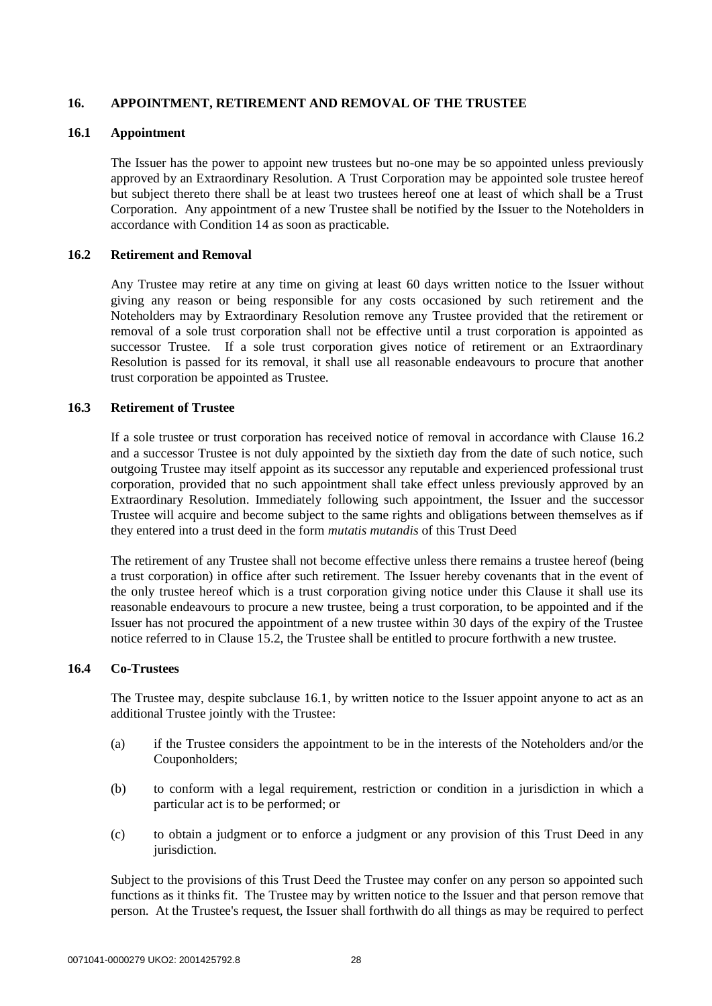# <span id="page-27-1"></span>**16. APPOINTMENT, RETIREMENT AND REMOVAL OF THE TRUSTEE**

# **16.1 Appointment**

The Issuer has the power to appoint new trustees but no-one may be so appointed unless previously approved by an Extraordinary Resolution. A Trust Corporation may be appointed sole trustee hereof but subject thereto there shall be at least two trustees hereof one at least of which shall be a Trust Corporation. Any appointment of a new Trustee shall be notified by the Issuer to the Noteholders in accordance with Condition 14 as soon as practicable.

# <span id="page-27-0"></span>**16.2 Retirement and Removal**

Any Trustee may retire at any time on giving at least 60 days written notice to the Issuer without giving any reason or being responsible for any costs occasioned by such retirement and the Noteholders may by Extraordinary Resolution remove any Trustee provided that the retirement or removal of a sole trust corporation shall not be effective until a trust corporation is appointed as successor Trustee. If a sole trust corporation gives notice of retirement or an Extraordinary Resolution is passed for its removal, it shall use all reasonable endeavours to procure that another trust corporation be appointed as Trustee.

### **16.3 Retirement of Trustee**

If a sole trustee or trust corporation has received notice of removal in accordance with Clause [16.2](#page-27-0) and a successor Trustee is not duly appointed by the sixtieth day from the date of such notice, such outgoing Trustee may itself appoint as its successor any reputable and experienced professional trust corporation, provided that no such appointment shall take effect unless previously approved by an Extraordinary Resolution. Immediately following such appointment, the Issuer and the successor Trustee will acquire and become subject to the same rights and obligations between themselves as if they entered into a trust deed in the form *mutatis mutandis* of this Trust Deed

The retirement of any Trustee shall not become effective unless there remains a trustee hereof (being a trust corporation) in office after such retirement. The Issuer hereby covenants that in the event of the only trustee hereof which is a trust corporation giving notice under this Clause it shall use its reasonable endeavours to procure a new trustee, being a trust corporation, to be appointed and if the Issuer has not procured the appointment of a new trustee within 30 days of the expiry of the Trustee notice referred to in Clause [15.2,](#page-24-1) the Trustee shall be entitled to procure forthwith a new trustee.

# **16.4 Co-Trustees**

The Trustee may, despite subclause [16.1,](#page-27-1) by written notice to the Issuer appoint anyone to act as an additional Trustee jointly with the Trustee:

- (a) if the Trustee considers the appointment to be in the interests of the Noteholders and/or the Couponholders;
- (b) to conform with a legal requirement, restriction or condition in a jurisdiction in which a particular act is to be performed; or
- (c) to obtain a judgment or to enforce a judgment or any provision of this Trust Deed in any jurisdiction.

Subject to the provisions of this Trust Deed the Trustee may confer on any person so appointed such functions as it thinks fit. The Trustee may by written notice to the Issuer and that person remove that person. At the Trustee's request, the Issuer shall forthwith do all things as may be required to perfect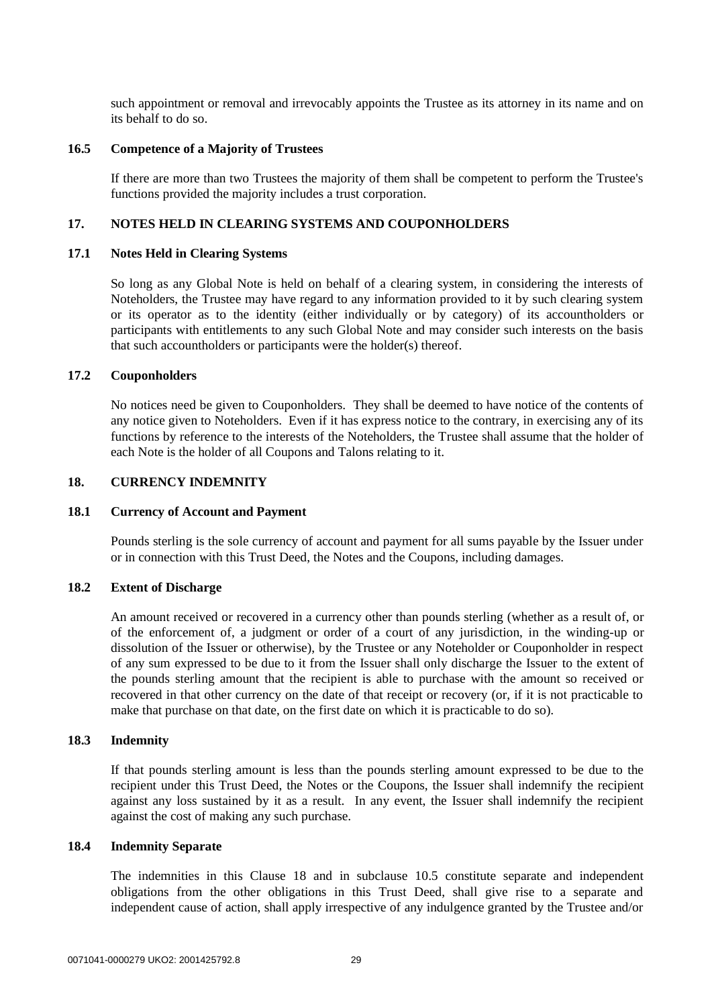such appointment or removal and irrevocably appoints the Trustee as its attorney in its name and on its behalf to do so.

#### **16.5 Competence of a Majority of Trustees**

If there are more than two Trustees the majority of them shall be competent to perform the Trustee's functions provided the majority includes a trust corporation.

#### **17. NOTES HELD IN CLEARING SYSTEMS AND COUPONHOLDERS**

#### **17.1 Notes Held in Clearing Systems**

So long as any Global Note is held on behalf of a clearing system, in considering the interests of Noteholders, the Trustee may have regard to any information provided to it by such clearing system or its operator as to the identity (either individually or by category) of its accountholders or participants with entitlements to any such Global Note and may consider such interests on the basis that such accountholders or participants were the holder(s) thereof.

# **17.2 Couponholders**

No notices need be given to Couponholders. They shall be deemed to have notice of the contents of any notice given to Noteholders. Even if it has express notice to the contrary, in exercising any of its functions by reference to the interests of the Noteholders, the Trustee shall assume that the holder of each Note is the holder of all Coupons and Talons relating to it.

#### <span id="page-28-0"></span>**18. CURRENCY INDEMNITY**

#### **18.1 Currency of Account and Payment**

Pounds sterling is the sole currency of account and payment for all sums payable by the Issuer under or in connection with this Trust Deed, the Notes and the Coupons, including damages.

#### **18.2 Extent of Discharge**

An amount received or recovered in a currency other than pounds sterling (whether as a result of, or of the enforcement of, a judgment or order of a court of any jurisdiction, in the winding-up or dissolution of the Issuer or otherwise), by the Trustee or any Noteholder or Couponholder in respect of any sum expressed to be due to it from the Issuer shall only discharge the Issuer to the extent of the pounds sterling amount that the recipient is able to purchase with the amount so received or recovered in that other currency on the date of that receipt or recovery (or, if it is not practicable to make that purchase on that date, on the first date on which it is practicable to do so).

# **18.3 Indemnity**

If that pounds sterling amount is less than the pounds sterling amount expressed to be due to the recipient under this Trust Deed, the Notes or the Coupons, the Issuer shall indemnify the recipient against any loss sustained by it as a result. In any event, the Issuer shall indemnify the recipient against the cost of making any such purchase.

# **18.4 Indemnity Separate**

The indemnities in this Clause [18](#page-28-0) and in subclause [10.5](#page-16-1) constitute separate and independent obligations from the other obligations in this Trust Deed, shall give rise to a separate and independent cause of action, shall apply irrespective of any indulgence granted by the Trustee and/or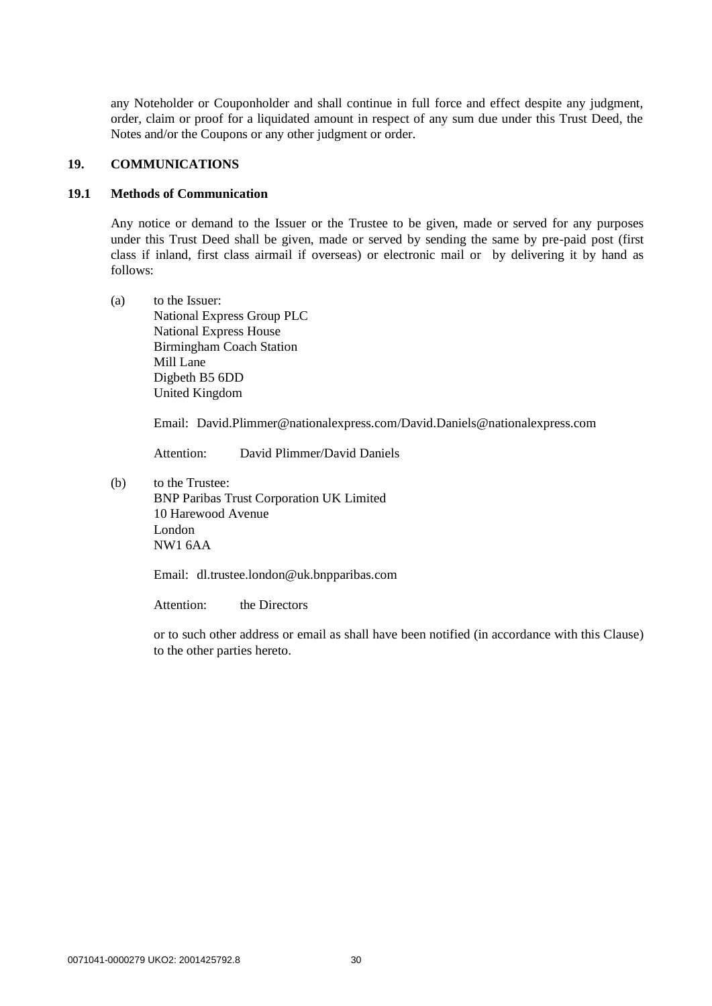any Noteholder or Couponholder and shall continue in full force and effect despite any judgment, order, claim or proof for a liquidated amount in respect of any sum due under this Trust Deed, the Notes and/or the Coupons or any other judgment or order.

# **19. COMMUNICATIONS**

# **19.1 Methods of Communication**

Any notice or demand to the Issuer or the Trustee to be given, made or served for any purposes under this Trust Deed shall be given, made or served by sending the same by pre-paid post (first class if inland, first class airmail if overseas) or electronic mail or by delivering it by hand as follows:

(a) to the Issuer: National Express Group PLC National Express House Birmingham Coach Station Mill Lane Digbeth B5 6DD United Kingdom

Email: David.Plimmer@nationalexpress.com/David.Daniels@nationalexpress.com

Attention: David Plimmer/David Daniels

(b) to the Trustee: BNP Paribas Trust Corporation UK Limited 10 Harewood Avenue London NW1 6AA

Email: dl.trustee.london@uk.bnpparibas.com

Attention: the Directors

or to such other address or email as shall have been notified (in accordance with this Clause) to the other parties hereto.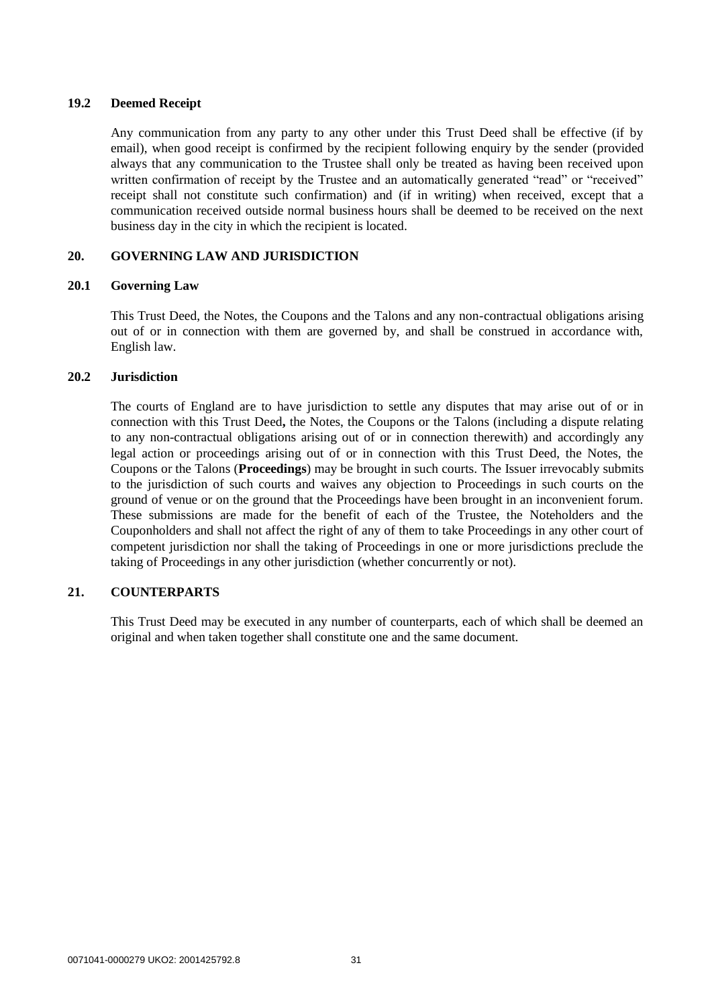# **19.2 Deemed Receipt**

Any communication from any party to any other under this Trust Deed shall be effective (if by email), when good receipt is confirmed by the recipient following enquiry by the sender (provided always that any communication to the Trustee shall only be treated as having been received upon written confirmation of receipt by the Trustee and an automatically generated "read" or "received" receipt shall not constitute such confirmation) and (if in writing) when received, except that a communication received outside normal business hours shall be deemed to be received on the next business day in the city in which the recipient is located.

# **20. GOVERNING LAW AND JURISDICTION**

# **20.1 Governing Law**

This Trust Deed, the Notes, the Coupons and the Talons and any non-contractual obligations arising out of or in connection with them are governed by, and shall be construed in accordance with, English law.

### **20.2 Jurisdiction**

The courts of England are to have jurisdiction to settle any disputes that may arise out of or in connection with this Trust Deed**,** the Notes, the Coupons or the Talons (including a dispute relating to any non-contractual obligations arising out of or in connection therewith) and accordingly any legal action or proceedings arising out of or in connection with this Trust Deed, the Notes, the Coupons or the Talons (**Proceedings**) may be brought in such courts. The Issuer irrevocably submits to the jurisdiction of such courts and waives any objection to Proceedings in such courts on the ground of venue or on the ground that the Proceedings have been brought in an inconvenient forum. These submissions are made for the benefit of each of the Trustee, the Noteholders and the Couponholders and shall not affect the right of any of them to take Proceedings in any other court of competent jurisdiction nor shall the taking of Proceedings in one or more jurisdictions preclude the taking of Proceedings in any other jurisdiction (whether concurrently or not).

# **21. COUNTERPARTS**

This Trust Deed may be executed in any number of counterparts, each of which shall be deemed an original and when taken together shall constitute one and the same document.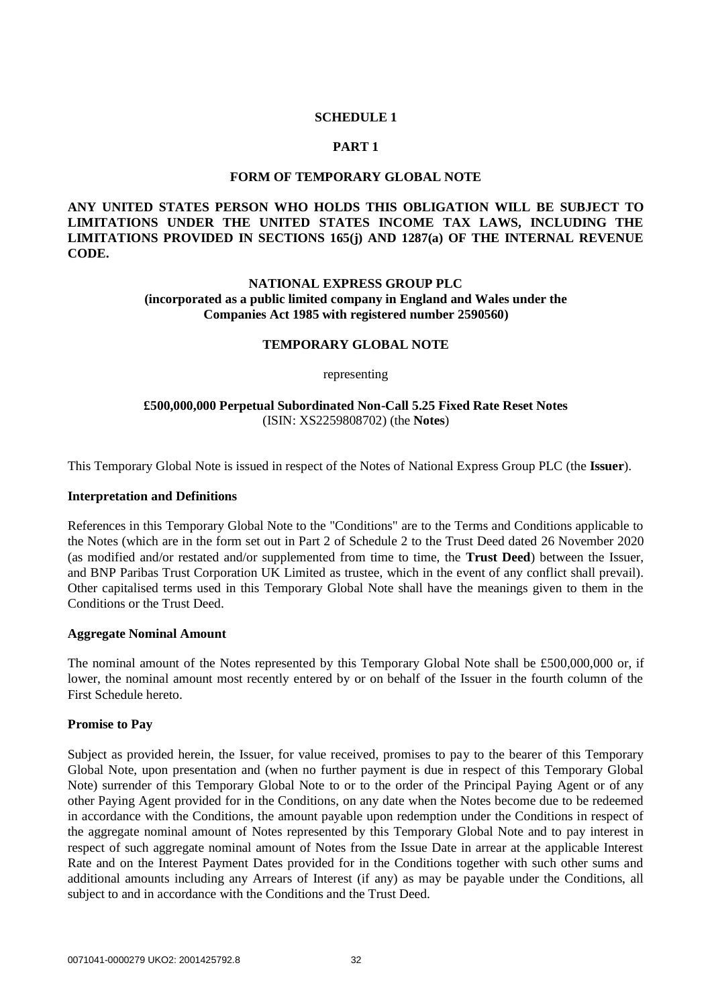# **SCHEDULE 1**

### **PART 1**

### **FORM OF TEMPORARY GLOBAL NOTE**

<span id="page-31-1"></span><span id="page-31-0"></span>**ANY UNITED STATES PERSON WHO HOLDS THIS OBLIGATION WILL BE SUBJECT TO LIMITATIONS UNDER THE UNITED STATES INCOME TAX LAWS, INCLUDING THE LIMITATIONS PROVIDED IN SECTIONS 165(j) AND 1287(a) OF THE INTERNAL REVENUE CODE.**

# **NATIONAL EXPRESS GROUP PLC (incorporated as a public limited company in England and Wales under the Companies Act 1985 with registered number 2590560)**

#### **TEMPORARY GLOBAL NOTE**

#### representing

# **£500,000,000 Perpetual Subordinated Non-Call 5.25 Fixed Rate Reset Notes**  (ISIN: XS2259808702) (the **Notes**)

This Temporary Global Note is issued in respect of the Notes of National Express Group PLC (the **Issuer**).

#### **Interpretation and Definitions**

References in this Temporary Global Note to the "Conditions" are to the Terms and Conditions applicable to the Notes (which are in the form set out in Part 2 of Schedule 2 to the Trust Deed dated 26 November 2020 (as modified and/or restated and/or supplemented from time to time, the **Trust Deed**) between the Issuer, and BNP Paribas Trust Corporation UK Limited as trustee, which in the event of any conflict shall prevail). Other capitalised terms used in this Temporary Global Note shall have the meanings given to them in the Conditions or the Trust Deed.

#### **Aggregate Nominal Amount**

The nominal amount of the Notes represented by this Temporary Global Note shall be £500,000,000 or, if lower, the nominal amount most recently entered by or on behalf of the Issuer in the fourth column of the First Schedule hereto.

# **Promise to Pay**

Subject as provided herein, the Issuer, for value received, promises to pay to the bearer of this Temporary Global Note, upon presentation and (when no further payment is due in respect of this Temporary Global Note) surrender of this Temporary Global Note to or to the order of the Principal Paying Agent or of any other Paying Agent provided for in the Conditions, on any date when the Notes become due to be redeemed in accordance with the Conditions, the amount payable upon redemption under the Conditions in respect of the aggregate nominal amount of Notes represented by this Temporary Global Note and to pay interest in respect of such aggregate nominal amount of Notes from the Issue Date in arrear at the applicable Interest Rate and on the Interest Payment Dates provided for in the Conditions together with such other sums and additional amounts including any Arrears of Interest (if any) as may be payable under the Conditions, all subject to and in accordance with the Conditions and the Trust Deed.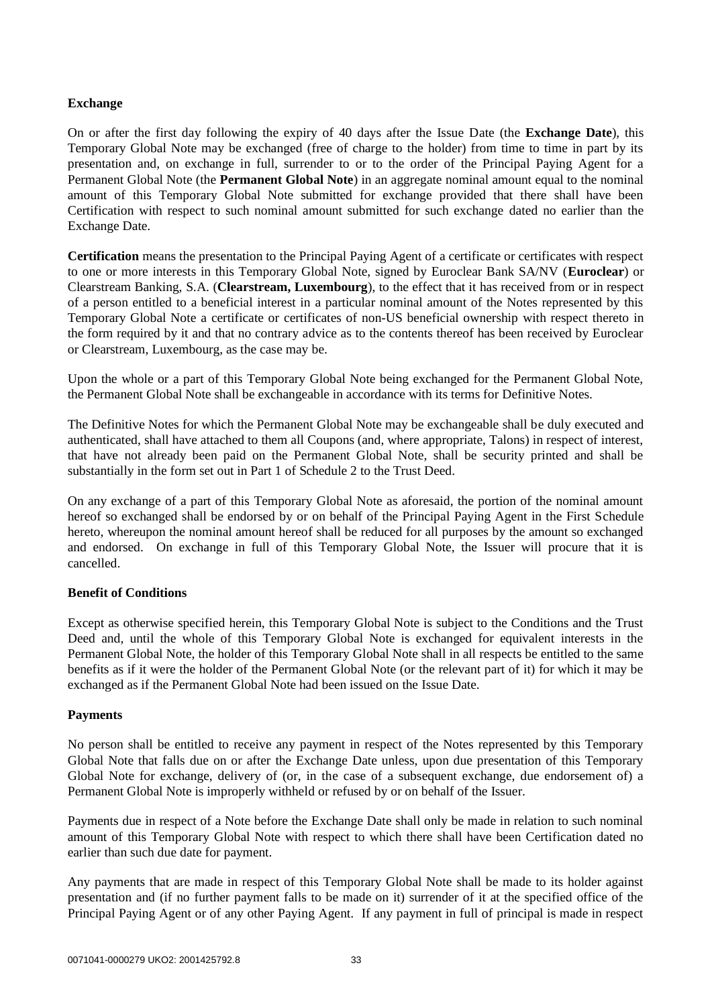# **Exchange**

On or after the first day following the expiry of 40 days after the Issue Date (the **Exchange Date**), this Temporary Global Note may be exchanged (free of charge to the holder) from time to time in part by its presentation and, on exchange in full, surrender to or to the order of the Principal Paying Agent for a Permanent Global Note (the **Permanent Global Note**) in an aggregate nominal amount equal to the nominal amount of this Temporary Global Note submitted for exchange provided that there shall have been Certification with respect to such nominal amount submitted for such exchange dated no earlier than the Exchange Date.

**Certification** means the presentation to the Principal Paying Agent of a certificate or certificates with respect to one or more interests in this Temporary Global Note, signed by Euroclear Bank SA/NV (**Euroclear**) or Clearstream Banking, S.A. (**Clearstream, Luxembourg**), to the effect that it has received from or in respect of a person entitled to a beneficial interest in a particular nominal amount of the Notes represented by this Temporary Global Note a certificate or certificates of non-US beneficial ownership with respect thereto in the form required by it and that no contrary advice as to the contents thereof has been received by Euroclear or Clearstream, Luxembourg, as the case may be.

Upon the whole or a part of this Temporary Global Note being exchanged for the Permanent Global Note, the Permanent Global Note shall be exchangeable in accordance with its terms for Definitive Notes.

The Definitive Notes for which the Permanent Global Note may be exchangeable shall be duly executed and authenticated, shall have attached to them all Coupons (and, where appropriate, Talons) in respect of interest, that have not already been paid on the Permanent Global Note, shall be security printed and shall be substantially in the form set out in Part 1 of Schedule 2 to the Trust Deed.

On any exchange of a part of this Temporary Global Note as aforesaid, the portion of the nominal amount hereof so exchanged shall be endorsed by or on behalf of the Principal Paying Agent in the First Schedule hereto, whereupon the nominal amount hereof shall be reduced for all purposes by the amount so exchanged and endorsed. On exchange in full of this Temporary Global Note, the Issuer will procure that it is cancelled.

# **Benefit of Conditions**

Except as otherwise specified herein, this Temporary Global Note is subject to the Conditions and the Trust Deed and, until the whole of this Temporary Global Note is exchanged for equivalent interests in the Permanent Global Note, the holder of this Temporary Global Note shall in all respects be entitled to the same benefits as if it were the holder of the Permanent Global Note (or the relevant part of it) for which it may be exchanged as if the Permanent Global Note had been issued on the Issue Date.

# **Payments**

No person shall be entitled to receive any payment in respect of the Notes represented by this Temporary Global Note that falls due on or after the Exchange Date unless, upon due presentation of this Temporary Global Note for exchange, delivery of (or, in the case of a subsequent exchange, due endorsement of) a Permanent Global Note is improperly withheld or refused by or on behalf of the Issuer.

Payments due in respect of a Note before the Exchange Date shall only be made in relation to such nominal amount of this Temporary Global Note with respect to which there shall have been Certification dated no earlier than such due date for payment.

Any payments that are made in respect of this Temporary Global Note shall be made to its holder against presentation and (if no further payment falls to be made on it) surrender of it at the specified office of the Principal Paying Agent or of any other Paying Agent. If any payment in full of principal is made in respect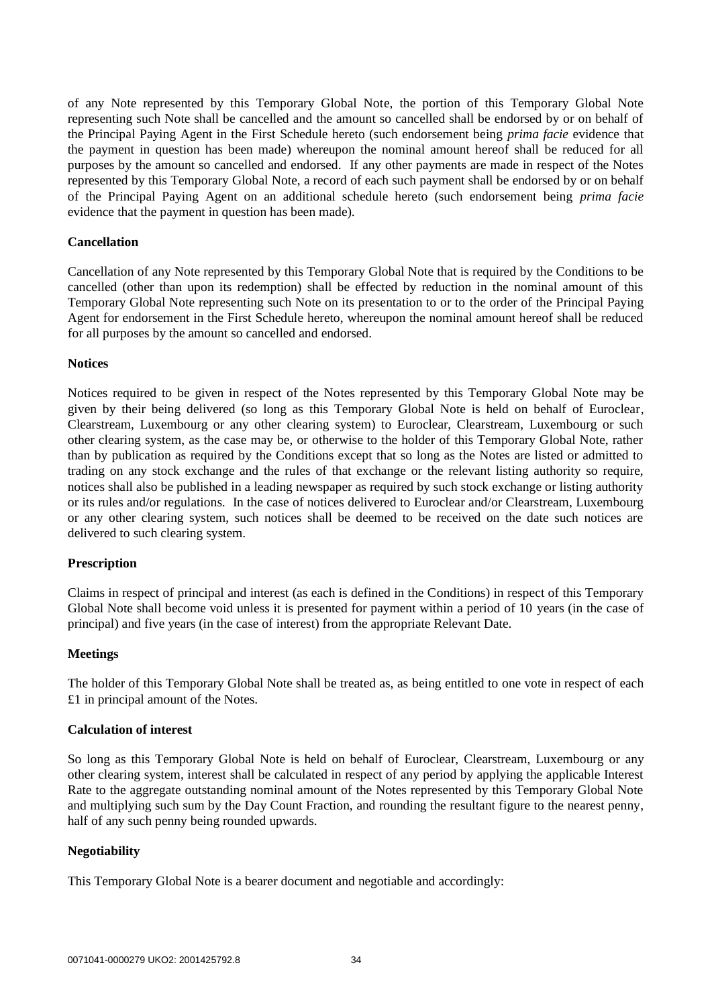of any Note represented by this Temporary Global Note, the portion of this Temporary Global Note representing such Note shall be cancelled and the amount so cancelled shall be endorsed by or on behalf of the Principal Paying Agent in the First Schedule hereto (such endorsement being *prima facie* evidence that the payment in question has been made) whereupon the nominal amount hereof shall be reduced for all purposes by the amount so cancelled and endorsed. If any other payments are made in respect of the Notes represented by this Temporary Global Note, a record of each such payment shall be endorsed by or on behalf of the Principal Paying Agent on an additional schedule hereto (such endorsement being *prima facie*  evidence that the payment in question has been made).

# **Cancellation**

Cancellation of any Note represented by this Temporary Global Note that is required by the Conditions to be cancelled (other than upon its redemption) shall be effected by reduction in the nominal amount of this Temporary Global Note representing such Note on its presentation to or to the order of the Principal Paying Agent for endorsement in the First Schedule hereto, whereupon the nominal amount hereof shall be reduced for all purposes by the amount so cancelled and endorsed.

#### **Notices**

Notices required to be given in respect of the Notes represented by this Temporary Global Note may be given by their being delivered (so long as this Temporary Global Note is held on behalf of Euroclear, Clearstream, Luxembourg or any other clearing system) to Euroclear, Clearstream, Luxembourg or such other clearing system, as the case may be, or otherwise to the holder of this Temporary Global Note, rather than by publication as required by the Conditions except that so long as the Notes are listed or admitted to trading on any stock exchange and the rules of that exchange or the relevant listing authority so require, notices shall also be published in a leading newspaper as required by such stock exchange or listing authority or its rules and/or regulations*.* In the case of notices delivered to Euroclear and/or Clearstream, Luxembourg or any other clearing system, such notices shall be deemed to be received on the date such notices are delivered to such clearing system.

# **Prescription**

Claims in respect of principal and interest (as each is defined in the Conditions) in respect of this Temporary Global Note shall become void unless it is presented for payment within a period of 10 years (in the case of principal) and five years (in the case of interest) from the appropriate Relevant Date.

# **Meetings**

The holder of this Temporary Global Note shall be treated as, as being entitled to one vote in respect of each £1 in principal amount of the Notes.

#### **Calculation of interest**

So long as this Temporary Global Note is held on behalf of Euroclear, Clearstream, Luxembourg or any other clearing system, interest shall be calculated in respect of any period by applying the applicable Interest Rate to the aggregate outstanding nominal amount of the Notes represented by this Temporary Global Note and multiplying such sum by the Day Count Fraction, and rounding the resultant figure to the nearest penny, half of any such penny being rounded upwards.

#### **Negotiability**

This Temporary Global Note is a bearer document and negotiable and accordingly: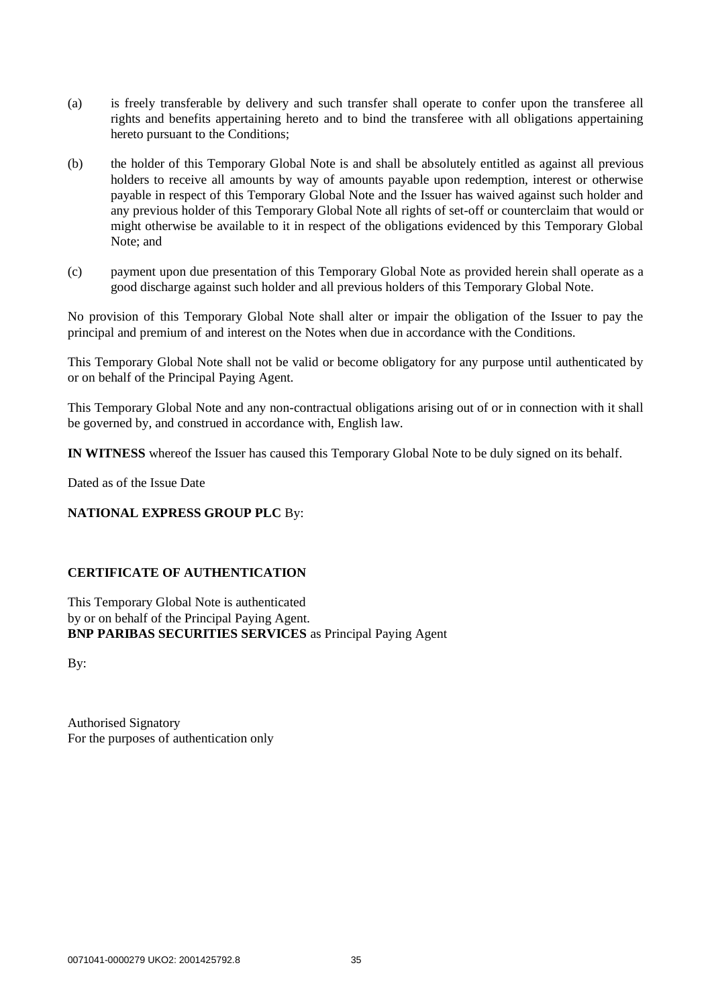- (a) is freely transferable by delivery and such transfer shall operate to confer upon the transferee all rights and benefits appertaining hereto and to bind the transferee with all obligations appertaining hereto pursuant to the Conditions;
- (b) the holder of this Temporary Global Note is and shall be absolutely entitled as against all previous holders to receive all amounts by way of amounts payable upon redemption, interest or otherwise payable in respect of this Temporary Global Note and the Issuer has waived against such holder and any previous holder of this Temporary Global Note all rights of set-off or counterclaim that would or might otherwise be available to it in respect of the obligations evidenced by this Temporary Global Note; and
- (c) payment upon due presentation of this Temporary Global Note as provided herein shall operate as a good discharge against such holder and all previous holders of this Temporary Global Note.

No provision of this Temporary Global Note shall alter or impair the obligation of the Issuer to pay the principal and premium of and interest on the Notes when due in accordance with the Conditions.

This Temporary Global Note shall not be valid or become obligatory for any purpose until authenticated by or on behalf of the Principal Paying Agent.

This Temporary Global Note and any non-contractual obligations arising out of or in connection with it shall be governed by, and construed in accordance with, English law.

**IN WITNESS** whereof the Issuer has caused this Temporary Global Note to be duly signed on its behalf.

Dated as of the Issue Date

# **NATIONAL EXPRESS GROUP PLC** By:

# **CERTIFICATE OF AUTHENTICATION**

This Temporary Global Note is authenticated by or on behalf of the Principal Paying Agent. **BNP PARIBAS SECURITIES SERVICES** as Principal Paying Agent

By:

Authorised Signatory For the purposes of authentication only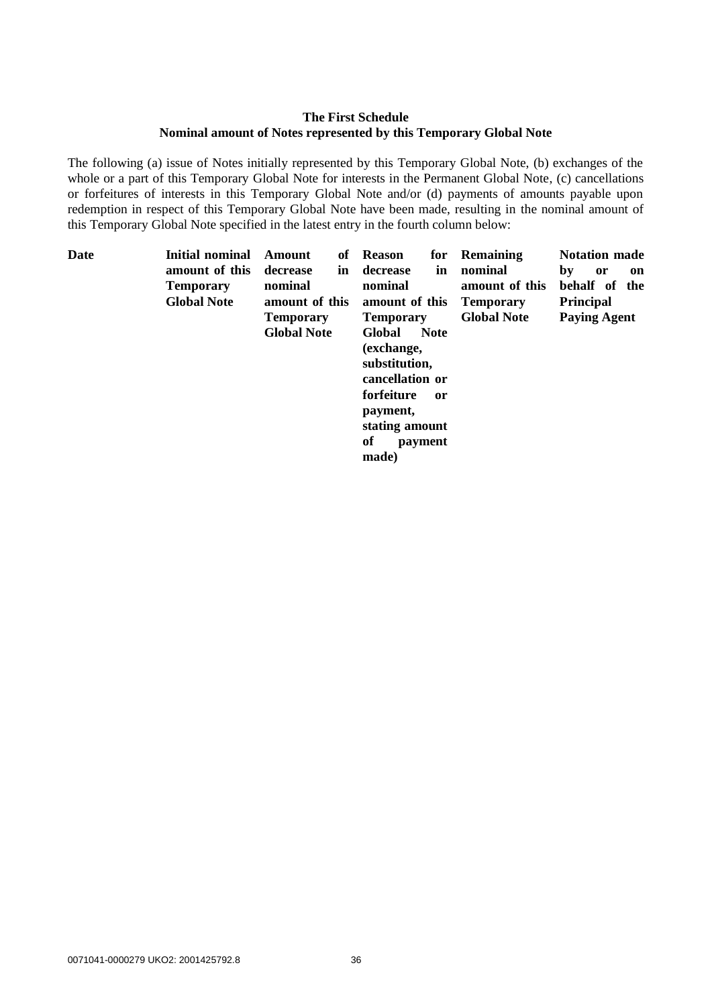# **The First Schedule Nominal amount of Notes represented by this Temporary Global Note**

The following (a) issue of Notes initially represented by this Temporary Global Note, (b) exchanges of the whole or a part of this Temporary Global Note for interests in the Permanent Global Note, (c) cancellations or forfeitures of interests in this Temporary Global Note and/or (d) payments of amounts payable upon redemption in respect of this Temporary Global Note have been made, resulting in the nominal amount of this Temporary Global Note specified in the latest entry in the fourth column below:

| Date | <b>Initial nominal</b> | Amount             |    | of Reason        | for           | <b>Remaining</b>   | <b>Notation made</b>  |
|------|------------------------|--------------------|----|------------------|---------------|--------------------|-----------------------|
|      | amount of this         | decrease           | in | decrease         | in            | nominal            | by<br><b>or</b><br>on |
|      | <b>Temporary</b>       | nominal            |    | nominal          |               | amount of this     | behalf of the         |
|      | <b>Global Note</b>     | amount of this     |    | amount of this   |               | <b>Temporary</b>   | <b>Principal</b>      |
|      |                        | <b>Temporary</b>   |    | <b>Temporary</b> |               | <b>Global Note</b> | <b>Paying Agent</b>   |
|      |                        | <b>Global Note</b> |    | Global           | <b>Note</b>   |                    |                       |
|      |                        |                    |    | (exchange,       |               |                    |                       |
|      |                        |                    |    | substitution,    |               |                    |                       |
|      |                        |                    |    | cancellation or  |               |                    |                       |
|      |                        |                    |    | forfeiture       | <sub>or</sub> |                    |                       |
|      |                        |                    |    | payment,         |               |                    |                       |
|      |                        |                    |    | stating amount   |               |                    |                       |
|      |                        |                    |    | of               | payment       |                    |                       |
|      |                        |                    |    | made)            |               |                    |                       |
|      |                        |                    |    |                  |               |                    |                       |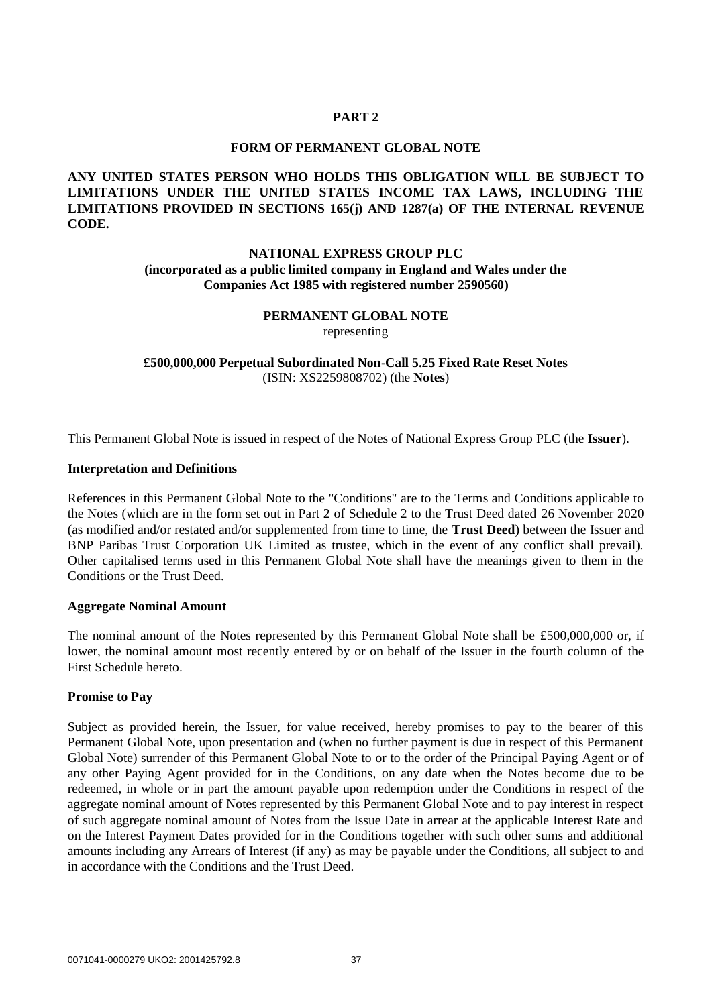## **PART 2**

#### **FORM OF PERMANENT GLOBAL NOTE**

## **ANY UNITED STATES PERSON WHO HOLDS THIS OBLIGATION WILL BE SUBJECT TO LIMITATIONS UNDER THE UNITED STATES INCOME TAX LAWS, INCLUDING THE LIMITATIONS PROVIDED IN SECTIONS 165(j) AND 1287(a) OF THE INTERNAL REVENUE CODE.**

## **NATIONAL EXPRESS GROUP PLC (incorporated as a public limited company in England and Wales under the Companies Act 1985 with registered number 2590560)**

# **PERMANENT GLOBAL NOTE**

representing

**£500,000,000 Perpetual Subordinated Non-Call 5.25 Fixed Rate Reset Notes** (ISIN: XS2259808702) (the **Notes**)

This Permanent Global Note is issued in respect of the Notes of National Express Group PLC (the **Issuer**).

### **Interpretation and Definitions**

References in this Permanent Global Note to the "Conditions" are to the Terms and Conditions applicable to the Notes (which are in the form set out in Part 2 of Schedule 2 to the Trust Deed dated 26 November 2020 (as modified and/or restated and/or supplemented from time to time, the **Trust Deed**) between the Issuer and BNP Paribas Trust Corporation UK Limited as trustee, which in the event of any conflict shall prevail). Other capitalised terms used in this Permanent Global Note shall have the meanings given to them in the Conditions or the Trust Deed.

#### **Aggregate Nominal Amount**

The nominal amount of the Notes represented by this Permanent Global Note shall be £500,000,000 or, if lower, the nominal amount most recently entered by or on behalf of the Issuer in the fourth column of the First Schedule hereto.

## **Promise to Pay**

Subject as provided herein, the Issuer, for value received, hereby promises to pay to the bearer of this Permanent Global Note, upon presentation and (when no further payment is due in respect of this Permanent Global Note) surrender of this Permanent Global Note to or to the order of the Principal Paying Agent or of any other Paying Agent provided for in the Conditions, on any date when the Notes become due to be redeemed, in whole or in part the amount payable upon redemption under the Conditions in respect of the aggregate nominal amount of Notes represented by this Permanent Global Note and to pay interest in respect of such aggregate nominal amount of Notes from the Issue Date in arrear at the applicable Interest Rate and on the Interest Payment Dates provided for in the Conditions together with such other sums and additional amounts including any Arrears of Interest (if any) as may be payable under the Conditions, all subject to and in accordance with the Conditions and the Trust Deed.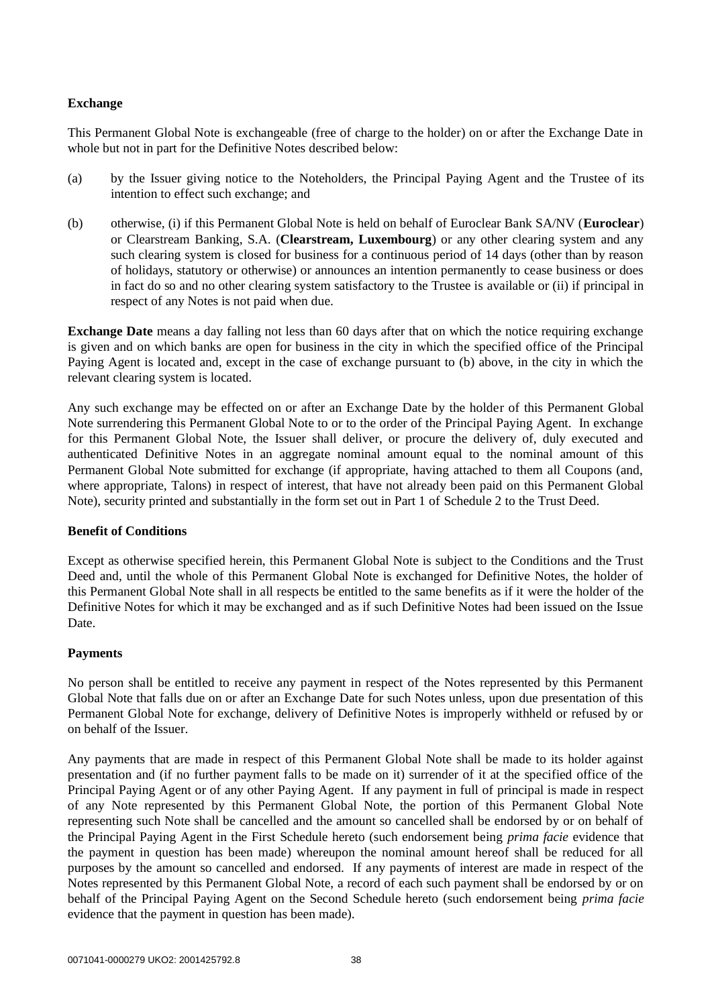## **Exchange**

This Permanent Global Note is exchangeable (free of charge to the holder) on or after the Exchange Date in whole but not in part for the Definitive Notes described below:

- (a) by the Issuer giving notice to the Noteholders, the Principal Paying Agent and the Trustee of its intention to effect such exchange; and
- (b) otherwise, (i) if this Permanent Global Note is held on behalf of Euroclear Bank SA/NV (**Euroclear**) or Clearstream Banking, S.A. (**Clearstream, Luxembourg**) or any other clearing system and any such clearing system is closed for business for a continuous period of 14 days (other than by reason of holidays, statutory or otherwise) or announces an intention permanently to cease business or does in fact do so and no other clearing system satisfactory to the Trustee is available or (ii) if principal in respect of any Notes is not paid when due.

**Exchange Date** means a day falling not less than 60 days after that on which the notice requiring exchange is given and on which banks are open for business in the city in which the specified office of the Principal Paying Agent is located and, except in the case of exchange pursuant to (b) above, in the city in which the relevant clearing system is located.

Any such exchange may be effected on or after an Exchange Date by the holder of this Permanent Global Note surrendering this Permanent Global Note to or to the order of the Principal Paying Agent. In exchange for this Permanent Global Note, the Issuer shall deliver, or procure the delivery of, duly executed and authenticated Definitive Notes in an aggregate nominal amount equal to the nominal amount of this Permanent Global Note submitted for exchange (if appropriate, having attached to them all Coupons (and, where appropriate, Talons) in respect of interest, that have not already been paid on this Permanent Global Note), security printed and substantially in the form set out in Part 1 of [Schedule 2](#page-42-0) to the Trust Deed.

## **Benefit of Conditions**

Except as otherwise specified herein, this Permanent Global Note is subject to the Conditions and the Trust Deed and, until the whole of this Permanent Global Note is exchanged for Definitive Notes, the holder of this Permanent Global Note shall in all respects be entitled to the same benefits as if it were the holder of the Definitive Notes for which it may be exchanged and as if such Definitive Notes had been issued on the Issue Date.

## **Payments**

No person shall be entitled to receive any payment in respect of the Notes represented by this Permanent Global Note that falls due on or after an Exchange Date for such Notes unless, upon due presentation of this Permanent Global Note for exchange, delivery of Definitive Notes is improperly withheld or refused by or on behalf of the Issuer.

Any payments that are made in respect of this Permanent Global Note shall be made to its holder against presentation and (if no further payment falls to be made on it) surrender of it at the specified office of the Principal Paying Agent or of any other Paying Agent. If any payment in full of principal is made in respect of any Note represented by this Permanent Global Note, the portion of this Permanent Global Note representing such Note shall be cancelled and the amount so cancelled shall be endorsed by or on behalf of the Principal Paying Agent in the First Schedule hereto (such endorsement being *prima facie* evidence that the payment in question has been made) whereupon the nominal amount hereof shall be reduced for all purposes by the amount so cancelled and endorsed. If any payments of interest are made in respect of the Notes represented by this Permanent Global Note, a record of each such payment shall be endorsed by or on behalf of the Principal Paying Agent on the Second Schedule hereto (such endorsement being *prima facie*  evidence that the payment in question has been made).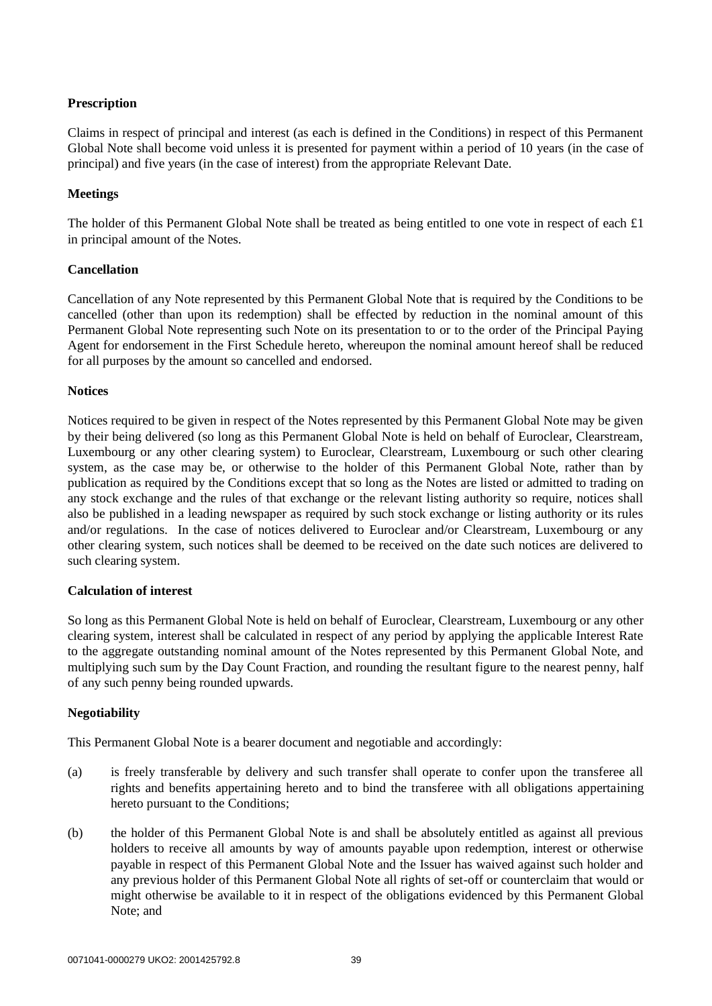## **Prescription**

Claims in respect of principal and interest (as each is defined in the Conditions) in respect of this Permanent Global Note shall become void unless it is presented for payment within a period of 10 years (in the case of principal) and five years (in the case of interest) from the appropriate Relevant Date.

## **Meetings**

The holder of this Permanent Global Note shall be treated as being entitled to one vote in respect of each £1 in principal amount of the Notes.

## **Cancellation**

Cancellation of any Note represented by this Permanent Global Note that is required by the Conditions to be cancelled (other than upon its redemption) shall be effected by reduction in the nominal amount of this Permanent Global Note representing such Note on its presentation to or to the order of the Principal Paying Agent for endorsement in the First Schedule hereto, whereupon the nominal amount hereof shall be reduced for all purposes by the amount so cancelled and endorsed.

## **Notices**

Notices required to be given in respect of the Notes represented by this Permanent Global Note may be given by their being delivered (so long as this Permanent Global Note is held on behalf of Euroclear, Clearstream, Luxembourg or any other clearing system) to Euroclear, Clearstream, Luxembourg or such other clearing system, as the case may be, or otherwise to the holder of this Permanent Global Note, rather than by publication as required by the Conditions except that so long as the Notes are listed or admitted to trading on any stock exchange and the rules of that exchange or the relevant listing authority so require, notices shall also be published in a leading newspaper as required by such stock exchange or listing authority or its rules and/or regulations. In the case of notices delivered to Euroclear and/or Clearstream, Luxembourg or any other clearing system, such notices shall be deemed to be received on the date such notices are delivered to such clearing system.

## **Calculation of interest**

So long as this Permanent Global Note is held on behalf of Euroclear, Clearstream, Luxembourg or any other clearing system, interest shall be calculated in respect of any period by applying the applicable Interest Rate to the aggregate outstanding nominal amount of the Notes represented by this Permanent Global Note, and multiplying such sum by the Day Count Fraction, and rounding the resultant figure to the nearest penny, half of any such penny being rounded upwards.

## **Negotiability**

This Permanent Global Note is a bearer document and negotiable and accordingly:

- (a) is freely transferable by delivery and such transfer shall operate to confer upon the transferee all rights and benefits appertaining hereto and to bind the transferee with all obligations appertaining hereto pursuant to the Conditions;
- (b) the holder of this Permanent Global Note is and shall be absolutely entitled as against all previous holders to receive all amounts by way of amounts payable upon redemption, interest or otherwise payable in respect of this Permanent Global Note and the Issuer has waived against such holder and any previous holder of this Permanent Global Note all rights of set-off or counterclaim that would or might otherwise be available to it in respect of the obligations evidenced by this Permanent Global Note; and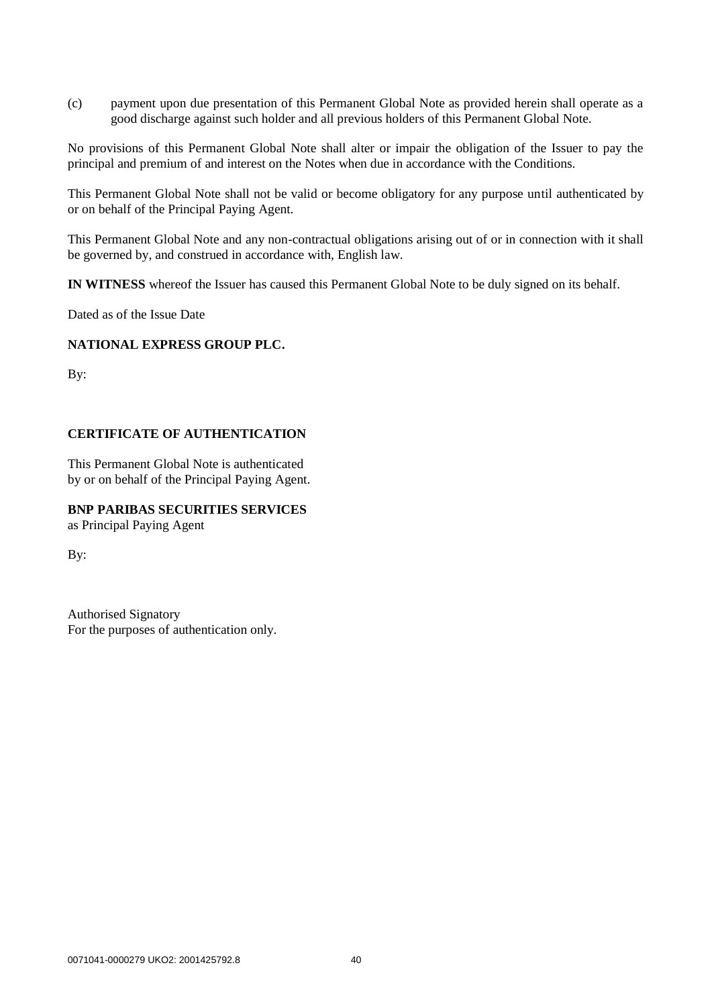(c) payment upon due presentation of this Permanent Global Note as provided herein shall operate as a good discharge against such holder and all previous holders of this Permanent Global Note.

No provisions of this Permanent Global Note shall alter or impair the obligation of the Issuer to pay the principal and premium of and interest on the Notes when due in accordance with the Conditions.

This Permanent Global Note shall not be valid or become obligatory for any purpose until authenticated by or on behalf of the Principal Paying Agent.

This Permanent Global Note and any non-contractual obligations arising out of or in connection with it shall be governed by, and construed in accordance with, English law.

**IN WITNESS** whereof the Issuer has caused this Permanent Global Note to be duly signed on its behalf.

Dated as of the Issue Date

### **NATIONAL EXPRESS GROUP PLC.**

By:

## **CERTIFICATE OF AUTHENTICATION**

This Permanent Global Note is authenticated by or on behalf of the Principal Paying Agent.

## **BNP PARIBAS SECURITIES SERVICES**

as Principal Paying Agent

By:

Authorised Signatory For the purposes of authentication only.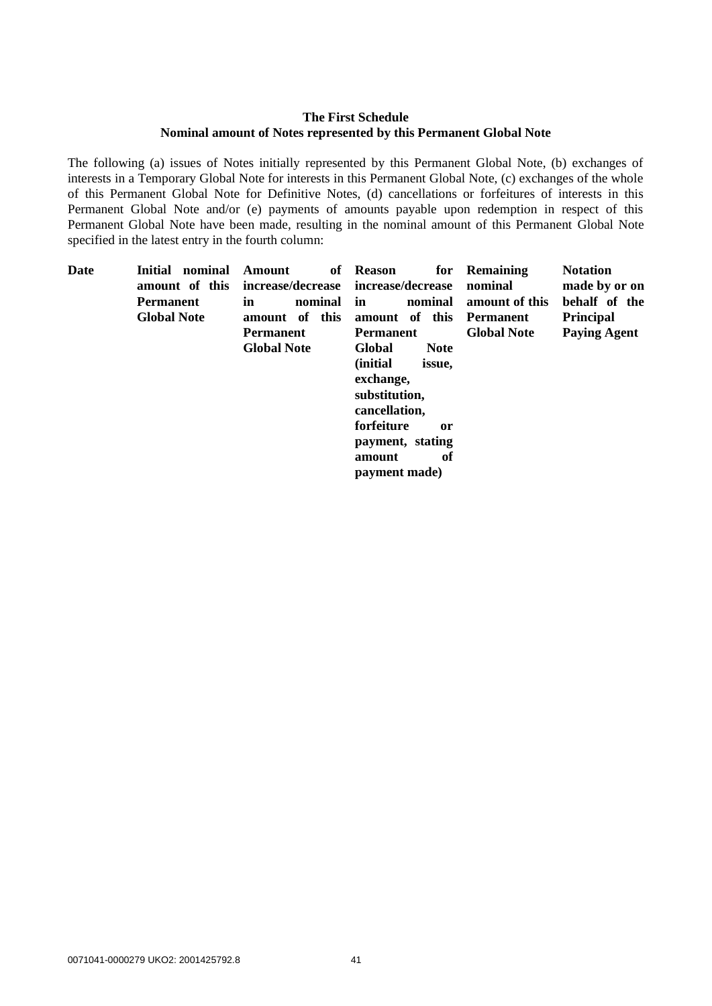## **The First Schedule Nominal amount of Notes represented by this Permanent Global Note**

The following (a) issues of Notes initially represented by this Permanent Global Note, (b) exchanges of interests in a Temporary Global Note for interests in this Permanent Global Note, (c) exchanges of the whole of this Permanent Global Note for Definitive Notes, (d) cancellations or forfeitures of interests in this Permanent Global Note and/or (e) payments of amounts payable upon redemption in respect of this Permanent Global Note have been made, resulting in the nominal amount of this Permanent Global Note specified in the latest entry in the fourth column:

| Date | Initial<br>nominal | Amount<br>of       | <b>Reason</b><br>for       | <b>Remaining</b>   | <b>Notation</b>     |  |
|------|--------------------|--------------------|----------------------------|--------------------|---------------------|--|
|      | amount of this     | increase/decrease  | increase/decrease          | nominal            | made by or on       |  |
|      | <b>Permanent</b>   | nominal<br>in      | nominal<br>in              | amount of this     | behalf of the       |  |
|      | <b>Global Note</b> | amount of this     | amount of this             | Permanent          | <b>Principal</b>    |  |
|      |                    | <b>Permanent</b>   | <b>Permanent</b>           | <b>Global Note</b> | <b>Paying Agent</b> |  |
|      |                    | <b>Global Note</b> | Global<br><b>Note</b>      |                    |                     |  |
|      |                    |                    | <i>(initial)</i><br>issue, |                    |                     |  |
|      |                    |                    | exchange,                  |                    |                     |  |
|      |                    |                    | substitution,              |                    |                     |  |
|      |                    |                    | cancellation,              |                    |                     |  |
|      |                    |                    | forfeiture<br>or           |                    |                     |  |
|      |                    |                    | payment, stating           |                    |                     |  |
|      |                    |                    | оf<br>amount               |                    |                     |  |
|      |                    |                    | payment made)              |                    |                     |  |
|      |                    |                    |                            |                    |                     |  |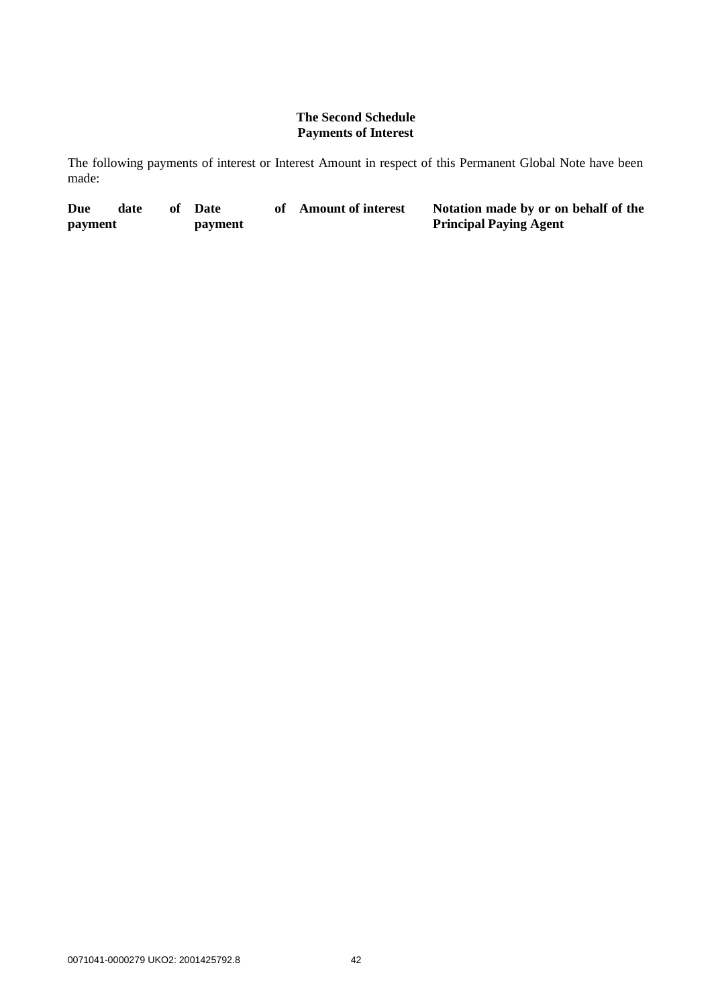## **The Second Schedule Payments of Interest**

The following payments of interest or Interest Amount in respect of this Permanent Global Note have been made:

| Due     | date | Date    | of Amount of interest | Notation made by or on behalf of the |
|---------|------|---------|-----------------------|--------------------------------------|
| payment |      | payment |                       | <b>Principal Paying Agent</b>        |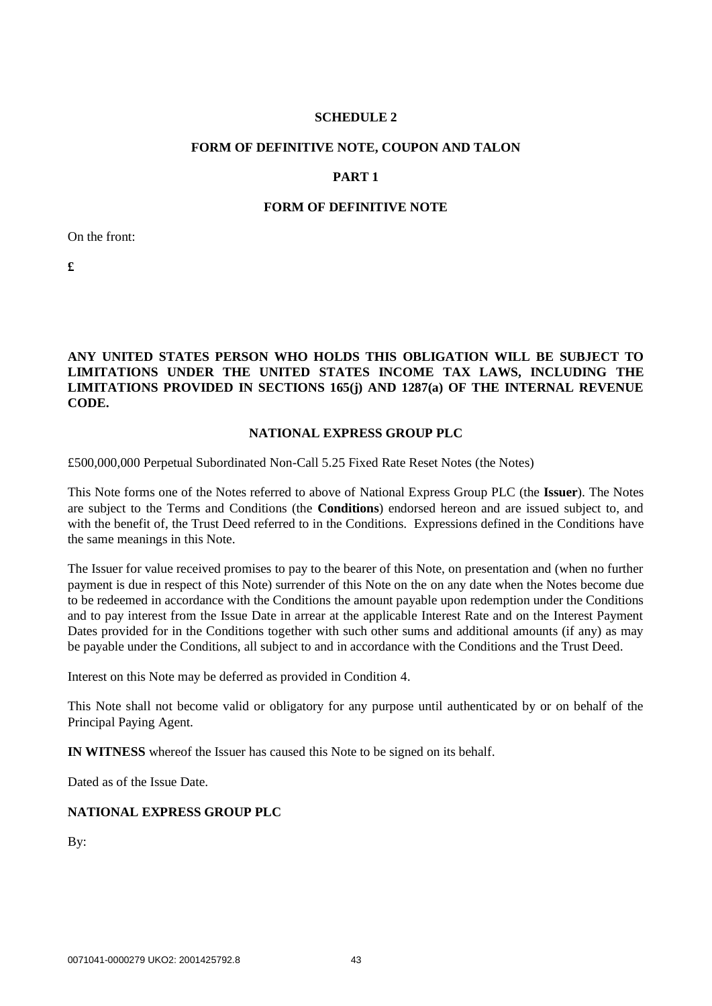## **SCHEDULE 2**

#### <span id="page-42-0"></span>**FORM OF DEFINITIVE NOTE, COUPON AND TALON**

## **PART 1**

## **FORM OF DEFINITIVE NOTE**

On the front:

**£**

**ANY UNITED STATES PERSON WHO HOLDS THIS OBLIGATION WILL BE SUBJECT TO LIMITATIONS UNDER THE UNITED STATES INCOME TAX LAWS, INCLUDING THE LIMITATIONS PROVIDED IN SECTIONS 165(j) AND 1287(a) OF THE INTERNAL REVENUE CODE.**

#### **NATIONAL EXPRESS GROUP PLC**

£500,000,000 Perpetual Subordinated Non-Call 5.25 Fixed Rate Reset Notes (the Notes)

This Note forms one of the Notes referred to above of National Express Group PLC (the **Issuer**). The Notes are subject to the Terms and Conditions (the **Conditions**) endorsed hereon and are issued subject to, and with the benefit of, the Trust Deed referred to in the Conditions. Expressions defined in the Conditions have the same meanings in this Note.

The Issuer for value received promises to pay to the bearer of this Note, on presentation and (when no further payment is due in respect of this Note) surrender of this Note on the on any date when the Notes become due to be redeemed in accordance with the Conditions the amount payable upon redemption under the Conditions and to pay interest from the Issue Date in arrear at the applicable Interest Rate and on the Interest Payment Dates provided for in the Conditions together with such other sums and additional amounts (if any) as may be payable under the Conditions, all subject to and in accordance with the Conditions and the Trust Deed.

Interest on this Note may be deferred as provided in Condition 4.

This Note shall not become valid or obligatory for any purpose until authenticated by or on behalf of the Principal Paying Agent.

**IN WITNESS** whereof the Issuer has caused this Note to be signed on its behalf.

Dated as of the Issue Date.

#### **NATIONAL EXPRESS GROUP PLC**

By: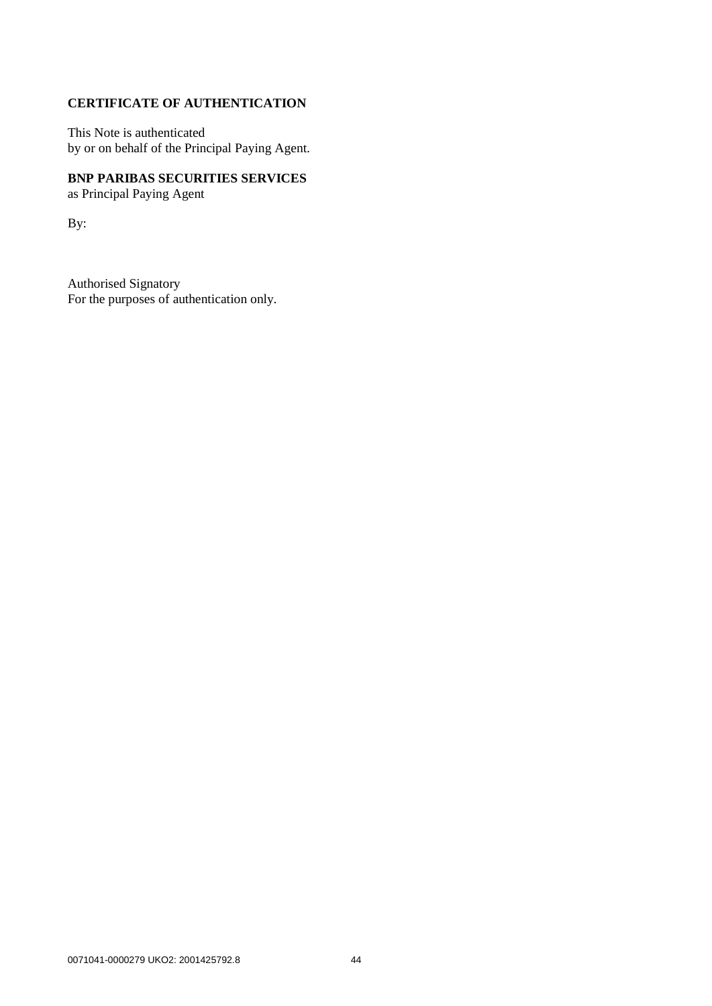# **CERTIFICATE OF AUTHENTICATION**

This Note is authenticated by or on behalf of the Principal Paying Agent.

# **BNP PARIBAS SECURITIES SERVICES** as Principal Paying Agent

By:

Authorised Signatory For the purposes of authentication only.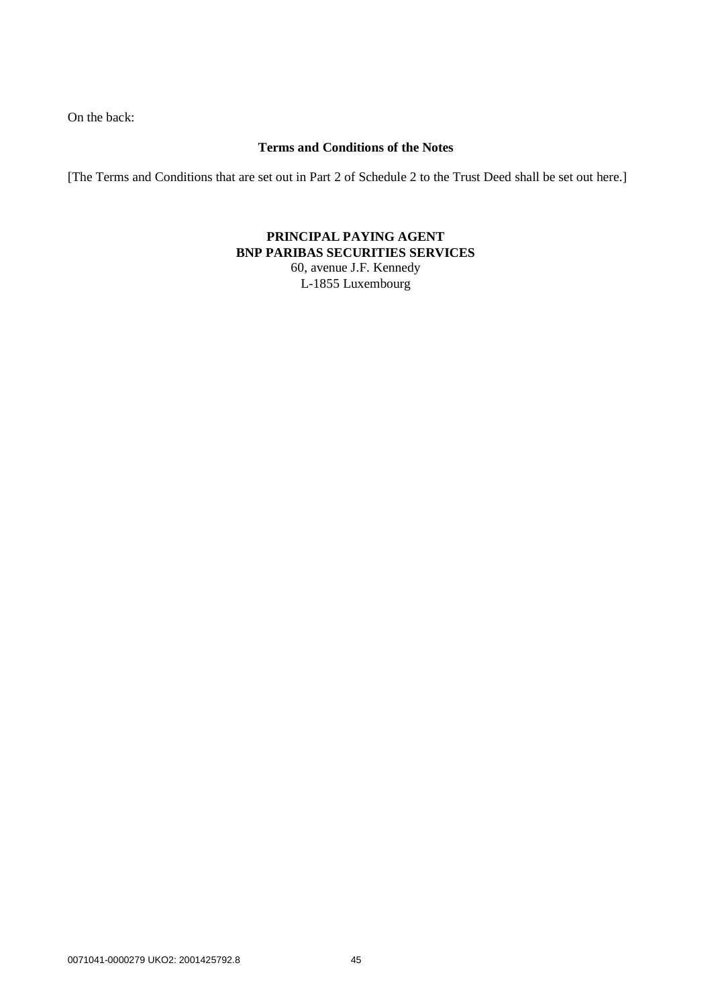On the back:

## **Terms and Conditions of the Notes**

[The Terms and Conditions that are set out in Part 2 of [Schedule 2](#page-42-0) to the Trust Deed shall be set out here.]

## **PRINCIPAL PAYING AGENT BNP PARIBAS SECURITIES SERVICES** 60, avenue J.F. Kennedy

L-1855 Luxembourg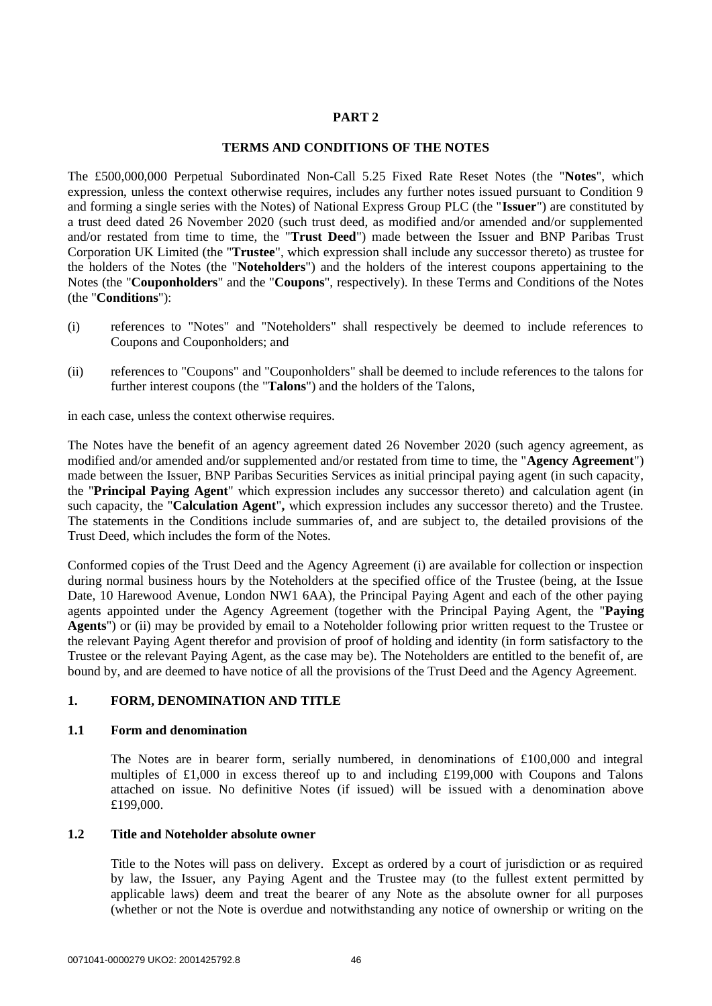## **PART 2**

### **TERMS AND CONDITIONS OF THE NOTES**

The £500,000,000 Perpetual Subordinated Non-Call 5.25 Fixed Rate Reset Notes (the "**Notes**", which expression, unless the context otherwise requires, includes any further notes issued pursuant to Condition 9 and forming a single series with the Notes) of National Express Group PLC (the "**Issuer**") are constituted by a trust deed dated 26 November 2020 (such trust deed, as modified and/or amended and/or supplemented and/or restated from time to time, the "**Trust Deed**") made between the Issuer and BNP Paribas Trust Corporation UK Limited (the "**Trustee**", which expression shall include any successor thereto) as trustee for the holders of the Notes (the "**Noteholders**") and the holders of the interest coupons appertaining to the Notes (the "**Couponholders**" and the "**Coupons**", respectively). In these Terms and Conditions of the Notes (the "**Conditions**"):

- (i) references to "Notes" and "Noteholders" shall respectively be deemed to include references to Coupons and Couponholders; and
- (ii) references to "Coupons" and "Couponholders" shall be deemed to include references to the talons for further interest coupons (the "**Talons**") and the holders of the Talons,

in each case, unless the context otherwise requires.

The Notes have the benefit of an agency agreement dated 26 November 2020 (such agency agreement, as modified and/or amended and/or supplemented and/or restated from time to time, the "**Agency Agreement**") made between the Issuer, BNP Paribas Securities Services as initial principal paying agent (in such capacity, the "**Principal Paying Agent**" which expression includes any successor thereto) and calculation agent (in such capacity, the "**Calculation Agent**"**,** which expression includes any successor thereto) and the Trustee. The statements in the Conditions include summaries of, and are subject to, the detailed provisions of the Trust Deed, which includes the form of the Notes.

Conformed copies of the Trust Deed and the Agency Agreement (i) are available for collection or inspection during normal business hours by the Noteholders at the specified office of the Trustee (being, at the Issue Date, 10 Harewood Avenue, London NW1 6AA), the Principal Paying Agent and each of the other paying agents appointed under the Agency Agreement (together with the Principal Paying Agent, the "**Paying Agents**") or (ii) may be provided by email to a Noteholder following prior written request to the Trustee or the relevant Paying Agent therefor and provision of proof of holding and identity (in form satisfactory to the Trustee or the relevant Paying Agent, as the case may be). The Noteholders are entitled to the benefit of, are bound by, and are deemed to have notice of all the provisions of the Trust Deed and the Agency Agreement.

## **1. FORM, DENOMINATION AND TITLE**

#### **1.1 Form and denomination**

The Notes are in bearer form, serially numbered, in denominations of £100,000 and integral multiples of £1,000 in excess thereof up to and including £199,000 with Coupons and Talons attached on issue. No definitive Notes (if issued) will be issued with a denomination above £199,000.

### **1.2 Title and Noteholder absolute owner**

Title to the Notes will pass on delivery. Except as ordered by a court of jurisdiction or as required by law, the Issuer, any Paying Agent and the Trustee may (to the fullest extent permitted by applicable laws) deem and treat the bearer of any Note as the absolute owner for all purposes (whether or not the Note is overdue and notwithstanding any notice of ownership or writing on the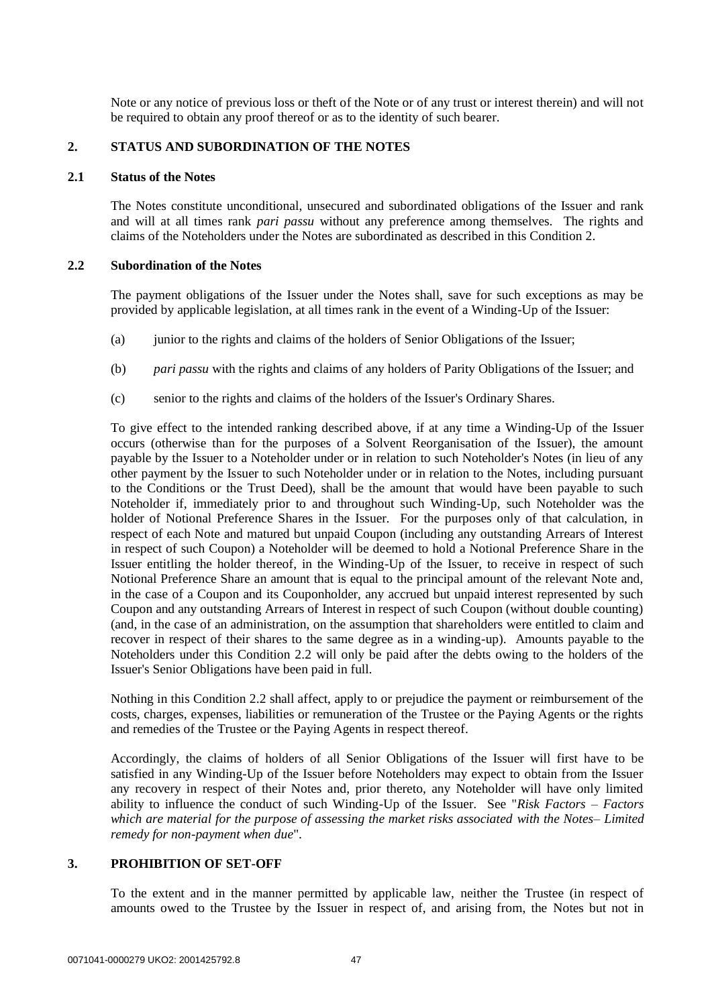Note or any notice of previous loss or theft of the Note or of any trust or interest therein) and will not be required to obtain any proof thereof or as to the identity of such bearer.

### **2. STATUS AND SUBORDINATION OF THE NOTES**

#### **2.1 Status of the Notes**

The Notes constitute unconditional, unsecured and subordinated obligations of the Issuer and rank and will at all times rank *pari passu* without any preference among themselves. The rights and claims of the Noteholders under the Notes are subordinated as described in this Condition 2.

#### **2.2 Subordination of the Notes**

The payment obligations of the Issuer under the Notes shall, save for such exceptions as may be provided by applicable legislation, at all times rank in the event of a Winding-Up of the Issuer:

- (a) junior to the rights and claims of the holders of Senior Obligations of the Issuer;
- (b) *pari passu* with the rights and claims of any holders of Parity Obligations of the Issuer; and
- (c) senior to the rights and claims of the holders of the Issuer's Ordinary Shares.

To give effect to the intended ranking described above, if at any time a Winding-Up of the Issuer occurs (otherwise than for the purposes of a Solvent Reorganisation of the Issuer), the amount payable by the Issuer to a Noteholder under or in relation to such Noteholder's Notes (in lieu of any other payment by the Issuer to such Noteholder under or in relation to the Notes, including pursuant to the Conditions or the Trust Deed), shall be the amount that would have been payable to such Noteholder if, immediately prior to and throughout such Winding-Up, such Noteholder was the holder of Notional Preference Shares in the Issuer. For the purposes only of that calculation, in respect of each Note and matured but unpaid Coupon (including any outstanding Arrears of Interest in respect of such Coupon) a Noteholder will be deemed to hold a Notional Preference Share in the Issuer entitling the holder thereof, in the Winding-Up of the Issuer, to receive in respect of such Notional Preference Share an amount that is equal to the principal amount of the relevant Note and, in the case of a Coupon and its Couponholder, any accrued but unpaid interest represented by such Coupon and any outstanding Arrears of Interest in respect of such Coupon (without double counting) (and, in the case of an administration, on the assumption that shareholders were entitled to claim and recover in respect of their shares to the same degree as in a winding-up). Amounts payable to the Noteholders under this Condition 2.2 will only be paid after the debts owing to the holders of the Issuer's Senior Obligations have been paid in full.

Nothing in this Condition 2.2 shall affect, apply to or prejudice the payment or reimbursement of the costs, charges, expenses, liabilities or remuneration of the Trustee or the Paying Agents or the rights and remedies of the Trustee or the Paying Agents in respect thereof.

Accordingly, the claims of holders of all Senior Obligations of the Issuer will first have to be satisfied in any Winding-Up of the Issuer before Noteholders may expect to obtain from the Issuer any recovery in respect of their Notes and, prior thereto, any Noteholder will have only limited ability to influence the conduct of such Winding-Up of the Issuer. See "*Risk Factors – Factors which are material for the purpose of assessing the market risks associated with the Notes– Limited remedy for non-payment when due*".

#### **3. PROHIBITION OF SET-OFF**

To the extent and in the manner permitted by applicable law, neither the Trustee (in respect of amounts owed to the Trustee by the Issuer in respect of, and arising from, the Notes but not in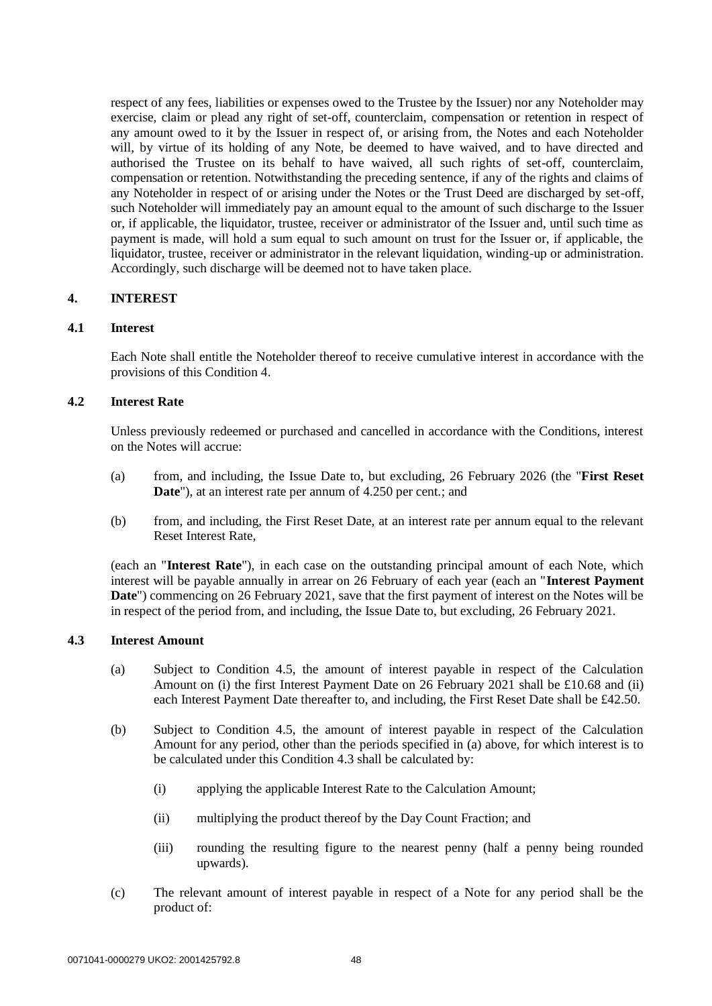respect of any fees, liabilities or expenses owed to the Trustee by the Issuer) nor any Noteholder may exercise, claim or plead any right of set-off, counterclaim, compensation or retention in respect of any amount owed to it by the Issuer in respect of, or arising from, the Notes and each Noteholder will, by virtue of its holding of any Note, be deemed to have waived, and to have directed and authorised the Trustee on its behalf to have waived, all such rights of set-off, counterclaim, compensation or retention. Notwithstanding the preceding sentence, if any of the rights and claims of any Noteholder in respect of or arising under the Notes or the Trust Deed are discharged by set-off, such Noteholder will immediately pay an amount equal to the amount of such discharge to the Issuer or, if applicable, the liquidator, trustee, receiver or administrator of the Issuer and, until such time as payment is made, will hold a sum equal to such amount on trust for the Issuer or, if applicable, the liquidator, trustee, receiver or administrator in the relevant liquidation, winding-up or administration. Accordingly, such discharge will be deemed not to have taken place.

### **4. INTEREST**

### **4.1 Interest**

Each Note shall entitle the Noteholder thereof to receive cumulative interest in accordance with the provisions of this Condition 4.

# **4.2 Interest Rate**

Unless previously redeemed or purchased and cancelled in accordance with the Conditions, interest on the Notes will accrue:

- (a) from, and including, the Issue Date to, but excluding, 26 February 2026 (the "**First Reset Date**"), at an interest rate per annum of 4.250 per cent.; and
- (b) from, and including, the First Reset Date, at an interest rate per annum equal to the relevant Reset Interest Rate,

(each an "**Interest Rate**"), in each case on the outstanding principal amount of each Note, which interest will be payable annually in arrear on 26 February of each year (each an "**Interest Payment Date**") commencing on 26 February 2021, save that the first payment of interest on the Notes will be in respect of the period from, and including, the Issue Date to, but excluding, 26 February 2021.

#### **4.3 Interest Amount**

- (a) Subject to Condition 4.5, the amount of interest payable in respect of the Calculation Amount on (i) the first Interest Payment Date on 26 February 2021 shall be £10.68 and (ii) each Interest Payment Date thereafter to, and including, the First Reset Date shall be £42.50.
- (b) Subject to Condition 4.5, the amount of interest payable in respect of the Calculation Amount for any period, other than the periods specified in (a) above, for which interest is to be calculated under this Condition 4.3 shall be calculated by:
	- (i) applying the applicable Interest Rate to the Calculation Amount;
	- (ii) multiplying the product thereof by the Day Count Fraction; and
	- (iii) rounding the resulting figure to the nearest penny (half a penny being rounded upwards).
- (c) The relevant amount of interest payable in respect of a Note for any period shall be the product of: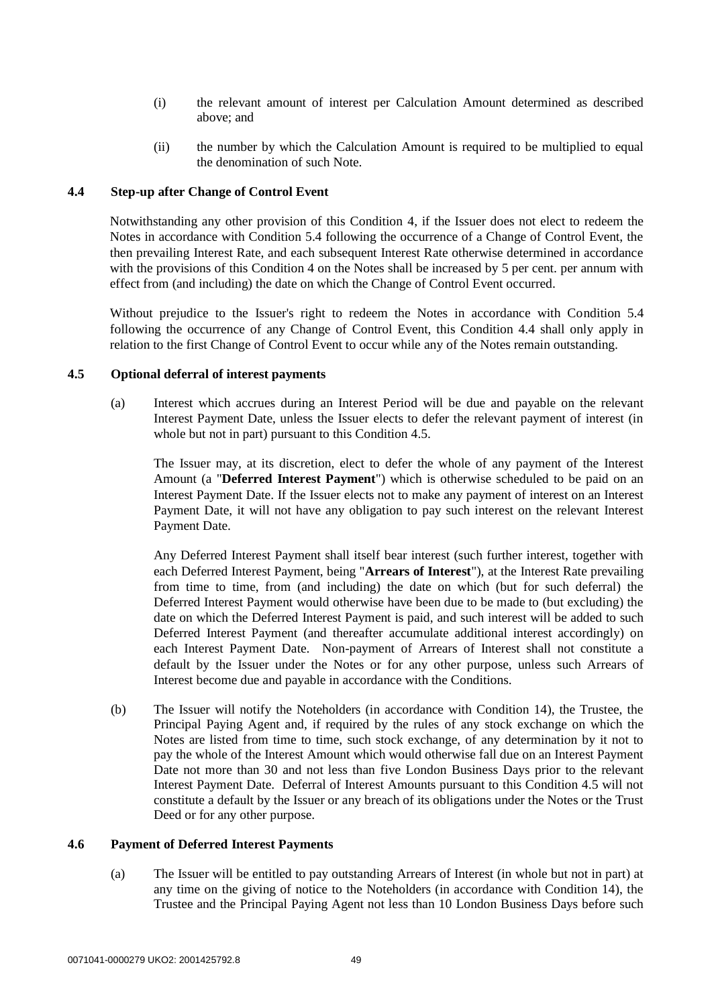- (i) the relevant amount of interest per Calculation Amount determined as described above; and
- (ii) the number by which the Calculation Amount is required to be multiplied to equal the denomination of such Note.

### **4.4 Step-up after Change of Control Event**

Notwithstanding any other provision of this Condition 4, if the Issuer does not elect to redeem the Notes in accordance with Condition 5.4 following the occurrence of a Change of Control Event, the then prevailing Interest Rate, and each subsequent Interest Rate otherwise determined in accordance with the provisions of this Condition 4 on the Notes shall be increased by 5 per cent. per annum with effect from (and including) the date on which the Change of Control Event occurred.

Without prejudice to the Issuer's right to redeem the Notes in accordance with Condition 5.4 following the occurrence of any Change of Control Event, this Condition 4.4 shall only apply in relation to the first Change of Control Event to occur while any of the Notes remain outstanding.

### **4.5 Optional deferral of interest payments**

(a) Interest which accrues during an Interest Period will be due and payable on the relevant Interest Payment Date, unless the Issuer elects to defer the relevant payment of interest (in whole but not in part) pursuant to this Condition 4.5.

The Issuer may, at its discretion, elect to defer the whole of any payment of the Interest Amount (a "**Deferred Interest Payment**") which is otherwise scheduled to be paid on an Interest Payment Date. If the Issuer elects not to make any payment of interest on an Interest Payment Date, it will not have any obligation to pay such interest on the relevant Interest Payment Date.

Any Deferred Interest Payment shall itself bear interest (such further interest, together with each Deferred Interest Payment, being "**Arrears of Interest**"), at the Interest Rate prevailing from time to time, from (and including) the date on which (but for such deferral) the Deferred Interest Payment would otherwise have been due to be made to (but excluding) the date on which the Deferred Interest Payment is paid, and such interest will be added to such Deferred Interest Payment (and thereafter accumulate additional interest accordingly) on each Interest Payment Date. Non-payment of Arrears of Interest shall not constitute a default by the Issuer under the Notes or for any other purpose, unless such Arrears of Interest become due and payable in accordance with the Conditions.

(b) The Issuer will notify the Noteholders (in accordance with Condition 14), the Trustee, the Principal Paying Agent and, if required by the rules of any stock exchange on which the Notes are listed from time to time, such stock exchange, of any determination by it not to pay the whole of the Interest Amount which would otherwise fall due on an Interest Payment Date not more than 30 and not less than five London Business Days prior to the relevant Interest Payment Date. Deferral of Interest Amounts pursuant to this Condition 4.5 will not constitute a default by the Issuer or any breach of its obligations under the Notes or the Trust Deed or for any other purpose.

#### **4.6 Payment of Deferred Interest Payments**

(a) The Issuer will be entitled to pay outstanding Arrears of Interest (in whole but not in part) at any time on the giving of notice to the Noteholders (in accordance with Condition 14), the Trustee and the Principal Paying Agent not less than 10 London Business Days before such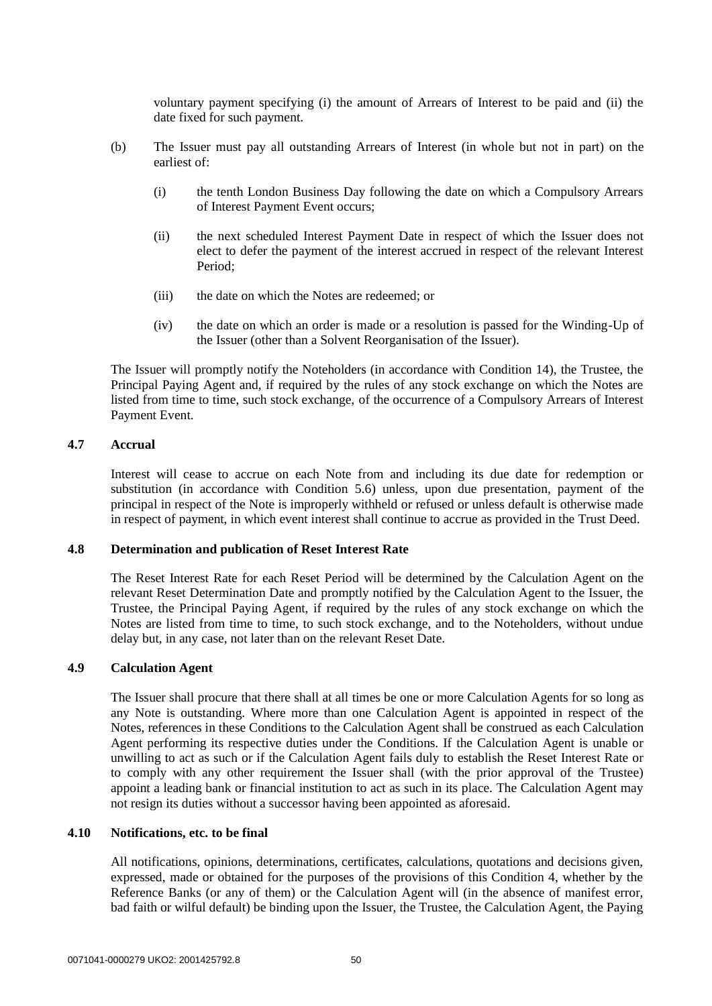voluntary payment specifying (i) the amount of Arrears of Interest to be paid and (ii) the date fixed for such payment.

- (b) The Issuer must pay all outstanding Arrears of Interest (in whole but not in part) on the earliest of:
	- (i) the tenth London Business Day following the date on which a Compulsory Arrears of Interest Payment Event occurs;
	- (ii) the next scheduled Interest Payment Date in respect of which the Issuer does not elect to defer the payment of the interest accrued in respect of the relevant Interest Period;
	- (iii) the date on which the Notes are redeemed; or
	- (iv) the date on which an order is made or a resolution is passed for the Winding-Up of the Issuer (other than a Solvent Reorganisation of the Issuer).

The Issuer will promptly notify the Noteholders (in accordance with Condition 14), the Trustee, the Principal Paying Agent and, if required by the rules of any stock exchange on which the Notes are listed from time to time, such stock exchange, of the occurrence of a Compulsory Arrears of Interest Payment Event.

## **4.7 Accrual**

Interest will cease to accrue on each Note from and including its due date for redemption or substitution (in accordance with Condition 5.6) unless, upon due presentation, payment of the principal in respect of the Note is improperly withheld or refused or unless default is otherwise made in respect of payment, in which event interest shall continue to accrue as provided in the Trust Deed.

#### **4.8 Determination and publication of Reset Interest Rate**

The Reset Interest Rate for each Reset Period will be determined by the Calculation Agent on the relevant Reset Determination Date and promptly notified by the Calculation Agent to the Issuer, the Trustee, the Principal Paying Agent, if required by the rules of any stock exchange on which the Notes are listed from time to time, to such stock exchange, and to the Noteholders, without undue delay but, in any case, not later than on the relevant Reset Date.

### **4.9 Calculation Agent**

The Issuer shall procure that there shall at all times be one or more Calculation Agents for so long as any Note is outstanding. Where more than one Calculation Agent is appointed in respect of the Notes, references in these Conditions to the Calculation Agent shall be construed as each Calculation Agent performing its respective duties under the Conditions. If the Calculation Agent is unable or unwilling to act as such or if the Calculation Agent fails duly to establish the Reset Interest Rate or to comply with any other requirement the Issuer shall (with the prior approval of the Trustee) appoint a leading bank or financial institution to act as such in its place. The Calculation Agent may not resign its duties without a successor having been appointed as aforesaid.

## **4.10 Notifications, etc. to be final**

All notifications, opinions, determinations, certificates, calculations, quotations and decisions given, expressed, made or obtained for the purposes of the provisions of this Condition 4, whether by the Reference Banks (or any of them) or the Calculation Agent will (in the absence of manifest error, bad faith or wilful default) be binding upon the Issuer, the Trustee, the Calculation Agent, the Paying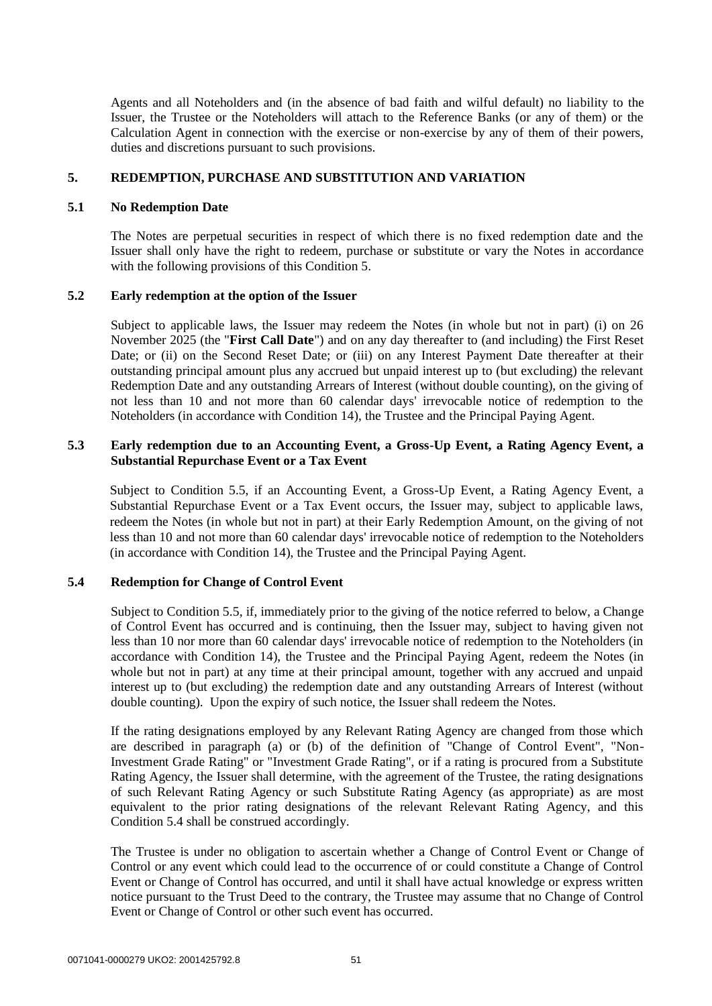Agents and all Noteholders and (in the absence of bad faith and wilful default) no liability to the Issuer, the Trustee or the Noteholders will attach to the Reference Banks (or any of them) or the Calculation Agent in connection with the exercise or non-exercise by any of them of their powers, duties and discretions pursuant to such provisions.

### **5. REDEMPTION, PURCHASE AND SUBSTITUTION AND VARIATION**

#### **5.1 No Redemption Date**

The Notes are perpetual securities in respect of which there is no fixed redemption date and the Issuer shall only have the right to redeem, purchase or substitute or vary the Notes in accordance with the following provisions of this Condition 5.

### **5.2 Early redemption at the option of the Issuer**

Subject to applicable laws, the Issuer may redeem the Notes (in whole but not in part) (i) on 26 November 2025 (the "**First Call Date**") and on any day thereafter to (and including) the First Reset Date; or (ii) on the Second Reset Date; or (iii) on any Interest Payment Date thereafter at their outstanding principal amount plus any accrued but unpaid interest up to (but excluding) the relevant Redemption Date and any outstanding Arrears of Interest (without double counting), on the giving of not less than 10 and not more than 60 calendar days' irrevocable notice of redemption to the Noteholders (in accordance with Condition 14), the Trustee and the Principal Paying Agent.

### **5.3 Early redemption due to an Accounting Event, a Gross-Up Event, a Rating Agency Event, a Substantial Repurchase Event or a Tax Event**

Subject to Condition 5.5, if an Accounting Event, a Gross-Up Event, a Rating Agency Event, a Substantial Repurchase Event or a Tax Event occurs, the Issuer may, subject to applicable laws, redeem the Notes (in whole but not in part) at their Early Redemption Amount, on the giving of not less than 10 and not more than 60 calendar days' irrevocable notice of redemption to the Noteholders (in accordance with Condition 14), the Trustee and the Principal Paying Agent.

## **5.4 Redemption for Change of Control Event**

Subject to Condition 5.5, if, immediately prior to the giving of the notice referred to below, a Change of Control Event has occurred and is continuing, then the Issuer may, subject to having given not less than 10 nor more than 60 calendar days' irrevocable notice of redemption to the Noteholders (in accordance with Condition 14), the Trustee and the Principal Paying Agent, redeem the Notes (in whole but not in part) at any time at their principal amount, together with any accrued and unpaid interest up to (but excluding) the redemption date and any outstanding Arrears of Interest (without double counting). Upon the expiry of such notice, the Issuer shall redeem the Notes.

If the rating designations employed by any Relevant Rating Agency are changed from those which are described in paragraph (a) or (b) of the definition of "Change of Control Event", "Non-Investment Grade Rating" or "Investment Grade Rating", or if a rating is procured from a Substitute Rating Agency, the Issuer shall determine, with the agreement of the Trustee, the rating designations of such Relevant Rating Agency or such Substitute Rating Agency (as appropriate) as are most equivalent to the prior rating designations of the relevant Relevant Rating Agency, and this Condition 5.4 shall be construed accordingly.

The Trustee is under no obligation to ascertain whether a Change of Control Event or Change of Control or any event which could lead to the occurrence of or could constitute a Change of Control Event or Change of Control has occurred, and until it shall have actual knowledge or express written notice pursuant to the Trust Deed to the contrary, the Trustee may assume that no Change of Control Event or Change of Control or other such event has occurred.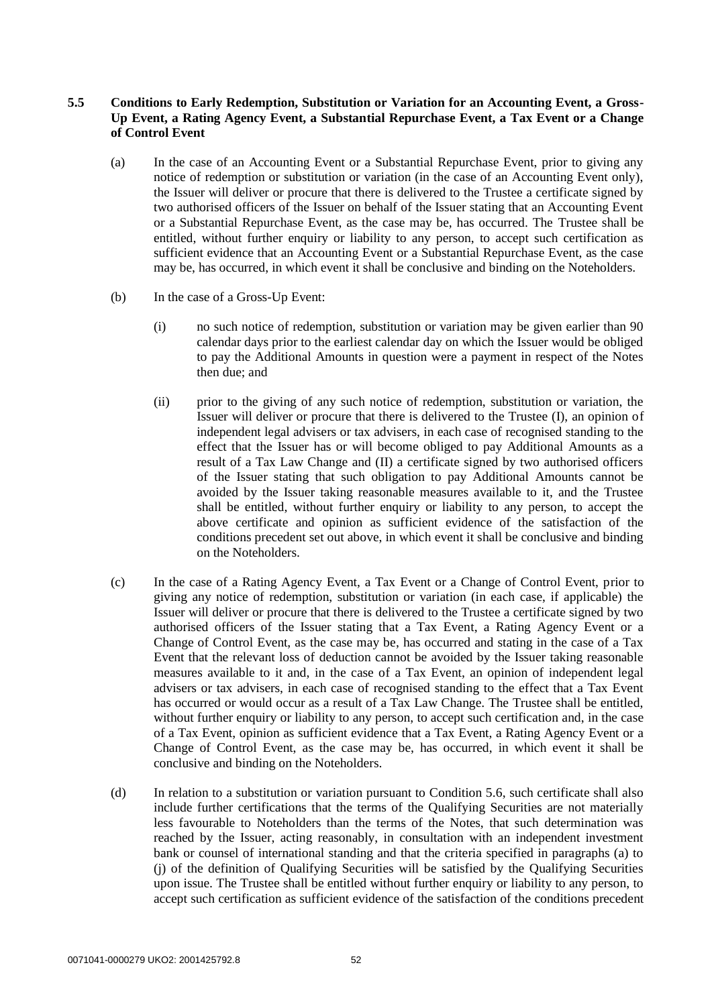## **5.5 Conditions to Early Redemption, Substitution or Variation for an Accounting Event, a Gross-Up Event, a Rating Agency Event, a Substantial Repurchase Event, a Tax Event or a Change of Control Event**

- (a) In the case of an Accounting Event or a Substantial Repurchase Event, prior to giving any notice of redemption or substitution or variation (in the case of an Accounting Event only), the Issuer will deliver or procure that there is delivered to the Trustee a certificate signed by two authorised officers of the Issuer on behalf of the Issuer stating that an Accounting Event or a Substantial Repurchase Event, as the case may be, has occurred. The Trustee shall be entitled, without further enquiry or liability to any person, to accept such certification as sufficient evidence that an Accounting Event or a Substantial Repurchase Event, as the case may be, has occurred, in which event it shall be conclusive and binding on the Noteholders.
- (b) In the case of a Gross-Up Event:
	- (i) no such notice of redemption, substitution or variation may be given earlier than 90 calendar days prior to the earliest calendar day on which the Issuer would be obliged to pay the Additional Amounts in question were a payment in respect of the Notes then due; and
	- (ii) prior to the giving of any such notice of redemption, substitution or variation, the Issuer will deliver or procure that there is delivered to the Trustee (I), an opinion of independent legal advisers or tax advisers, in each case of recognised standing to the effect that the Issuer has or will become obliged to pay Additional Amounts as a result of a Tax Law Change and (II) a certificate signed by two authorised officers of the Issuer stating that such obligation to pay Additional Amounts cannot be avoided by the Issuer taking reasonable measures available to it, and the Trustee shall be entitled, without further enquiry or liability to any person, to accept the above certificate and opinion as sufficient evidence of the satisfaction of the conditions precedent set out above, in which event it shall be conclusive and binding on the Noteholders.
- (c) In the case of a Rating Agency Event, a Tax Event or a Change of Control Event, prior to giving any notice of redemption, substitution or variation (in each case, if applicable) the Issuer will deliver or procure that there is delivered to the Trustee a certificate signed by two authorised officers of the Issuer stating that a Tax Event, a Rating Agency Event or a Change of Control Event, as the case may be, has occurred and stating in the case of a Tax Event that the relevant loss of deduction cannot be avoided by the Issuer taking reasonable measures available to it and, in the case of a Tax Event, an opinion of independent legal advisers or tax advisers, in each case of recognised standing to the effect that a Tax Event has occurred or would occur as a result of a Tax Law Change. The Trustee shall be entitled, without further enquiry or liability to any person, to accept such certification and, in the case of a Tax Event, opinion as sufficient evidence that a Tax Event, a Rating Agency Event or a Change of Control Event, as the case may be, has occurred, in which event it shall be conclusive and binding on the Noteholders.
- (d) In relation to a substitution or variation pursuant to Condition 5.6, such certificate shall also include further certifications that the terms of the Qualifying Securities are not materially less favourable to Noteholders than the terms of the Notes, that such determination was reached by the Issuer, acting reasonably, in consultation with an independent investment bank or counsel of international standing and that the criteria specified in paragraphs (a) to (j) of the definition of Qualifying Securities will be satisfied by the Qualifying Securities upon issue. The Trustee shall be entitled without further enquiry or liability to any person, to accept such certification as sufficient evidence of the satisfaction of the conditions precedent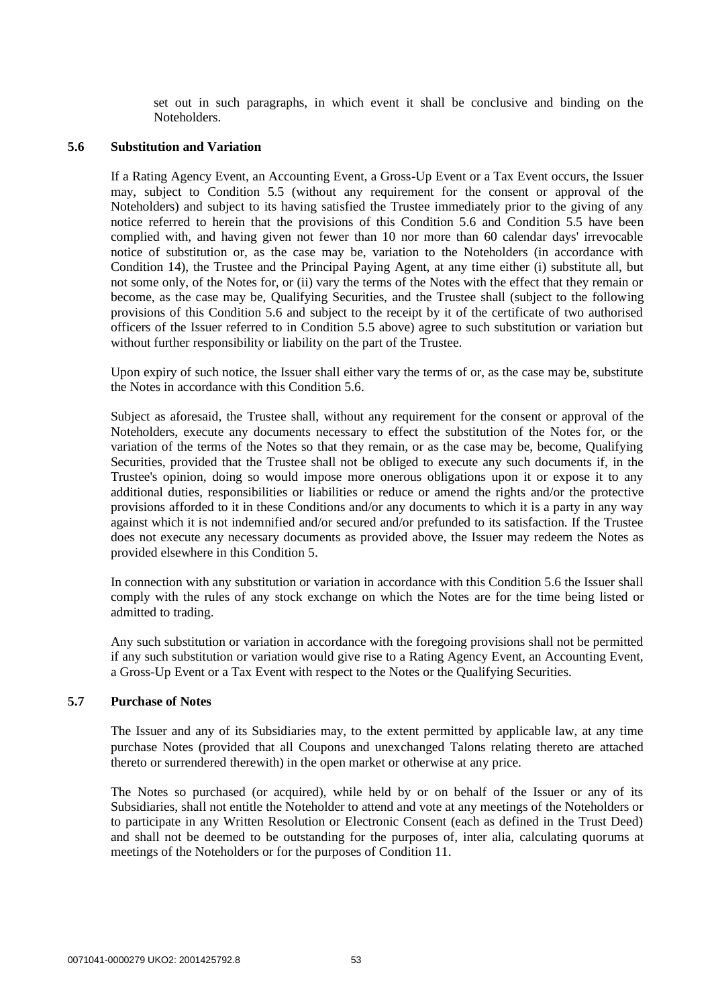set out in such paragraphs, in which event it shall be conclusive and binding on the Noteholders.

#### **5.6 Substitution and Variation**

If a Rating Agency Event, an Accounting Event, a Gross-Up Event or a Tax Event occurs, the Issuer may, subject to Condition 5.5 (without any requirement for the consent or approval of the Noteholders) and subject to its having satisfied the Trustee immediately prior to the giving of any notice referred to herein that the provisions of this Condition 5.6 and Condition 5.5 have been complied with, and having given not fewer than 10 nor more than 60 calendar days' irrevocable notice of substitution or, as the case may be, variation to the Noteholders (in accordance with Condition 14), the Trustee and the Principal Paying Agent, at any time either (i) substitute all, but not some only, of the Notes for, or (ii) vary the terms of the Notes with the effect that they remain or become, as the case may be, Qualifying Securities, and the Trustee shall (subject to the following provisions of this Condition 5.6 and subject to the receipt by it of the certificate of two authorised officers of the Issuer referred to in Condition 5.5 above) agree to such substitution or variation but without further responsibility or liability on the part of the Trustee.

Upon expiry of such notice, the Issuer shall either vary the terms of or, as the case may be, substitute the Notes in accordance with this Condition 5.6.

Subject as aforesaid, the Trustee shall, without any requirement for the consent or approval of the Noteholders, execute any documents necessary to effect the substitution of the Notes for, or the variation of the terms of the Notes so that they remain, or as the case may be, become, Qualifying Securities, provided that the Trustee shall not be obliged to execute any such documents if, in the Trustee's opinion, doing so would impose more onerous obligations upon it or expose it to any additional duties, responsibilities or liabilities or reduce or amend the rights and/or the protective provisions afforded to it in these Conditions and/or any documents to which it is a party in any way against which it is not indemnified and/or secured and/or prefunded to its satisfaction. If the Trustee does not execute any necessary documents as provided above, the Issuer may redeem the Notes as provided elsewhere in this Condition 5.

In connection with any substitution or variation in accordance with this Condition 5.6 the Issuer shall comply with the rules of any stock exchange on which the Notes are for the time being listed or admitted to trading.

Any such substitution or variation in accordance with the foregoing provisions shall not be permitted if any such substitution or variation would give rise to a Rating Agency Event, an Accounting Event, a Gross-Up Event or a Tax Event with respect to the Notes or the Qualifying Securities.

#### **5.7 Purchase of Notes**

The Issuer and any of its Subsidiaries may, to the extent permitted by applicable law, at any time purchase Notes (provided that all Coupons and unexchanged Talons relating thereto are attached thereto or surrendered therewith) in the open market or otherwise at any price.

The Notes so purchased (or acquired), while held by or on behalf of the Issuer or any of its Subsidiaries, shall not entitle the Noteholder to attend and vote at any meetings of the Noteholders or to participate in any Written Resolution or Electronic Consent (each as defined in the Trust Deed) and shall not be deemed to be outstanding for the purposes of, inter alia, calculating quorums at meetings of the Noteholders or for the purposes of Condition 11.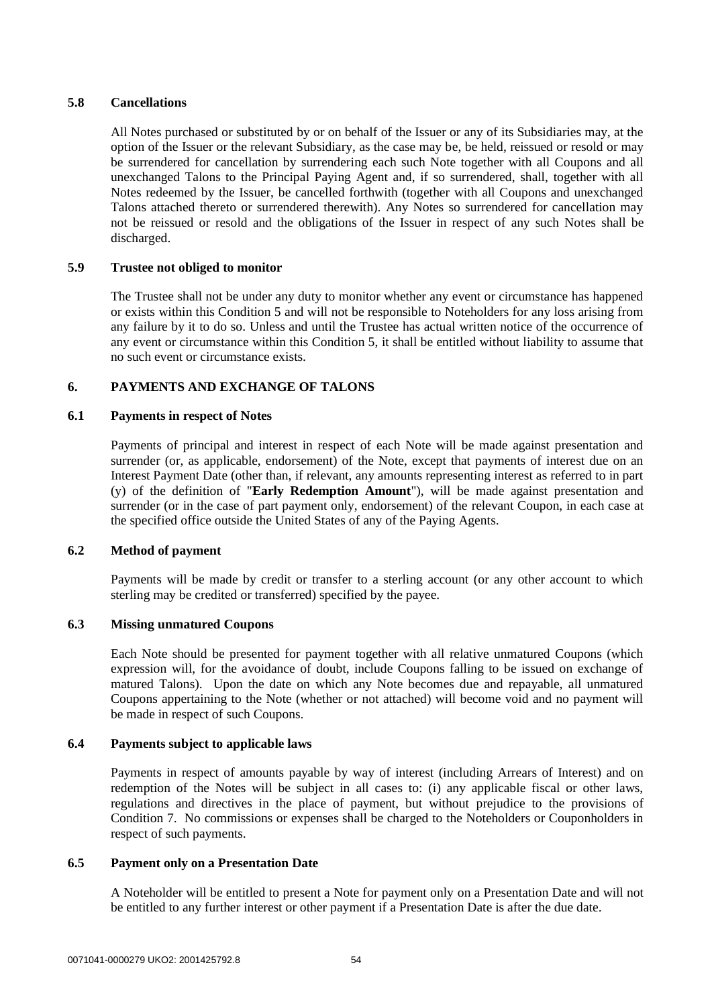## **5.8 Cancellations**

All Notes purchased or substituted by or on behalf of the Issuer or any of its Subsidiaries may, at the option of the Issuer or the relevant Subsidiary, as the case may be, be held, reissued or resold or may be surrendered for cancellation by surrendering each such Note together with all Coupons and all unexchanged Talons to the Principal Paying Agent and, if so surrendered, shall, together with all Notes redeemed by the Issuer, be cancelled forthwith (together with all Coupons and unexchanged Talons attached thereto or surrendered therewith). Any Notes so surrendered for cancellation may not be reissued or resold and the obligations of the Issuer in respect of any such Notes shall be discharged.

## **5.9 Trustee not obliged to monitor**

The Trustee shall not be under any duty to monitor whether any event or circumstance has happened or exists within this Condition 5 and will not be responsible to Noteholders for any loss arising from any failure by it to do so. Unless and until the Trustee has actual written notice of the occurrence of any event or circumstance within this Condition 5, it shall be entitled without liability to assume that no such event or circumstance exists.

# **6. PAYMENTS AND EXCHANGE OF TALONS**

## **6.1 Payments in respect of Notes**

Payments of principal and interest in respect of each Note will be made against presentation and surrender (or, as applicable, endorsement) of the Note, except that payments of interest due on an Interest Payment Date (other than, if relevant, any amounts representing interest as referred to in part (y) of the definition of "**Early Redemption Amount**"), will be made against presentation and surrender (or in the case of part payment only, endorsement) of the relevant Coupon, in each case at the specified office outside the United States of any of the Paying Agents.

## **6.2 Method of payment**

Payments will be made by credit or transfer to a sterling account (or any other account to which sterling may be credited or transferred) specified by the payee.

## **6.3 Missing unmatured Coupons**

Each Note should be presented for payment together with all relative unmatured Coupons (which expression will, for the avoidance of doubt, include Coupons falling to be issued on exchange of matured Talons). Upon the date on which any Note becomes due and repayable, all unmatured Coupons appertaining to the Note (whether or not attached) will become void and no payment will be made in respect of such Coupons.

## **6.4 Payments subject to applicable laws**

Payments in respect of amounts payable by way of interest (including Arrears of Interest) and on redemption of the Notes will be subject in all cases to: (i) any applicable fiscal or other laws, regulations and directives in the place of payment, but without prejudice to the provisions of Condition 7. No commissions or expenses shall be charged to the Noteholders or Couponholders in respect of such payments.

## **6.5 Payment only on a Presentation Date**

A Noteholder will be entitled to present a Note for payment only on a Presentation Date and will not be entitled to any further interest or other payment if a Presentation Date is after the due date.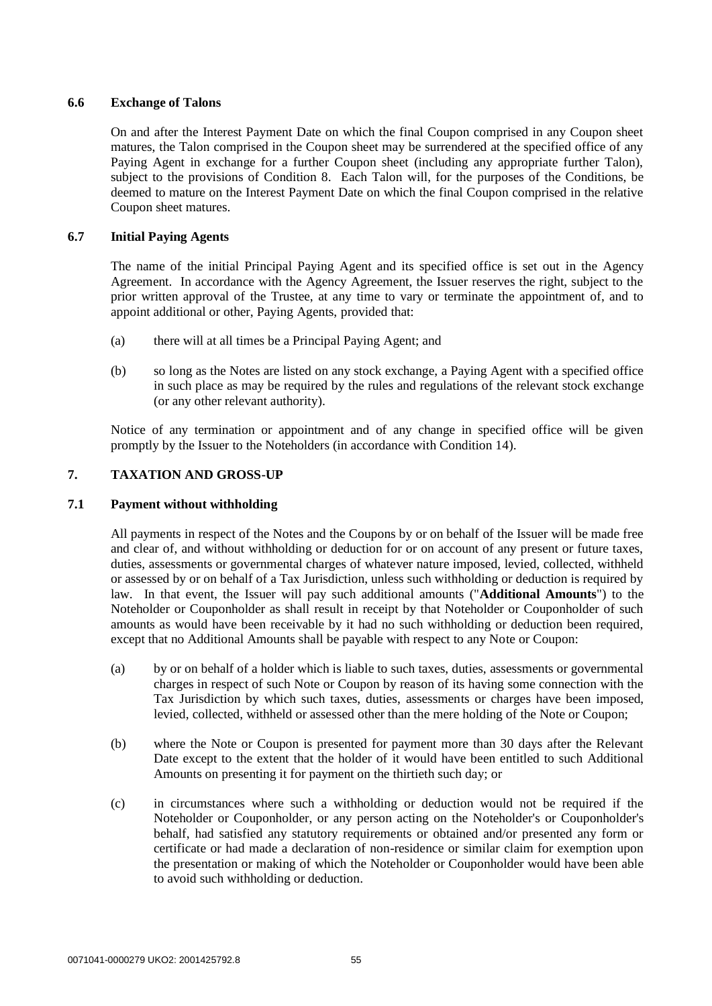## **6.6 Exchange of Talons**

On and after the Interest Payment Date on which the final Coupon comprised in any Coupon sheet matures, the Talon comprised in the Coupon sheet may be surrendered at the specified office of any Paying Agent in exchange for a further Coupon sheet (including any appropriate further Talon), subject to the provisions of Condition 8. Each Talon will, for the purposes of the Conditions, be deemed to mature on the Interest Payment Date on which the final Coupon comprised in the relative Coupon sheet matures.

## **6.7 Initial Paying Agents**

The name of the initial Principal Paying Agent and its specified office is set out in the Agency Agreement. In accordance with the Agency Agreement, the Issuer reserves the right, subject to the prior written approval of the Trustee, at any time to vary or terminate the appointment of, and to appoint additional or other, Paying Agents, provided that:

- (a) there will at all times be a Principal Paying Agent; and
- (b) so long as the Notes are listed on any stock exchange, a Paying Agent with a specified office in such place as may be required by the rules and regulations of the relevant stock exchange (or any other relevant authority).

Notice of any termination or appointment and of any change in specified office will be given promptly by the Issuer to the Noteholders (in accordance with Condition 14).

## **7. TAXATION AND GROSS-UP**

## **7.1 Payment without withholding**

All payments in respect of the Notes and the Coupons by or on behalf of the Issuer will be made free and clear of, and without withholding or deduction for or on account of any present or future taxes, duties, assessments or governmental charges of whatever nature imposed, levied, collected, withheld or assessed by or on behalf of a Tax Jurisdiction, unless such withholding or deduction is required by law. In that event, the Issuer will pay such additional amounts ("**Additional Amounts**") to the Noteholder or Couponholder as shall result in receipt by that Noteholder or Couponholder of such amounts as would have been receivable by it had no such withholding or deduction been required, except that no Additional Amounts shall be payable with respect to any Note or Coupon:

- (a) by or on behalf of a holder which is liable to such taxes, duties, assessments or governmental charges in respect of such Note or Coupon by reason of its having some connection with the Tax Jurisdiction by which such taxes, duties, assessments or charges have been imposed, levied, collected, withheld or assessed other than the mere holding of the Note or Coupon;
- (b) where the Note or Coupon is presented for payment more than 30 days after the Relevant Date except to the extent that the holder of it would have been entitled to such Additional Amounts on presenting it for payment on the thirtieth such day; or
- (c) in circumstances where such a withholding or deduction would not be required if the Noteholder or Couponholder, or any person acting on the Noteholder's or Couponholder's behalf, had satisfied any statutory requirements or obtained and/or presented any form or certificate or had made a declaration of non-residence or similar claim for exemption upon the presentation or making of which the Noteholder or Couponholder would have been able to avoid such withholding or deduction.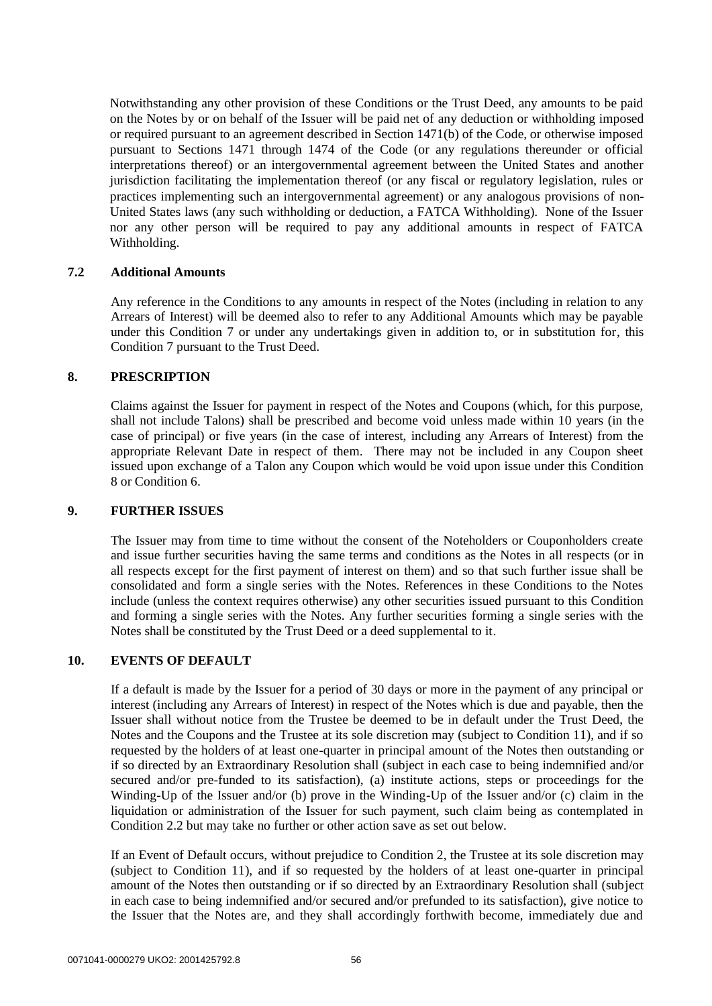Notwithstanding any other provision of these Conditions or the Trust Deed, any amounts to be paid on the Notes by or on behalf of the Issuer will be paid net of any deduction or withholding imposed or required pursuant to an agreement described in Section 1471(b) of the Code, or otherwise imposed pursuant to Sections 1471 through 1474 of the Code (or any regulations thereunder or official interpretations thereof) or an intergovernmental agreement between the United States and another jurisdiction facilitating the implementation thereof (or any fiscal or regulatory legislation, rules or practices implementing such an intergovernmental agreement) or any analogous provisions of non-United States laws (any such withholding or deduction, a FATCA Withholding). None of the Issuer nor any other person will be required to pay any additional amounts in respect of FATCA Withholding.

### **7.2 Additional Amounts**

Any reference in the Conditions to any amounts in respect of the Notes (including in relation to any Arrears of Interest) will be deemed also to refer to any Additional Amounts which may be payable under this Condition 7 or under any undertakings given in addition to, or in substitution for, this Condition 7 pursuant to the Trust Deed.

### **8. PRESCRIPTION**

Claims against the Issuer for payment in respect of the Notes and Coupons (which, for this purpose, shall not include Talons) shall be prescribed and become void unless made within 10 years (in the case of principal) or five years (in the case of interest, including any Arrears of Interest) from the appropriate Relevant Date in respect of them. There may not be included in any Coupon sheet issued upon exchange of a Talon any Coupon which would be void upon issue under this Condition 8 or Condition 6.

#### **9. FURTHER ISSUES**

The Issuer may from time to time without the consent of the Noteholders or Couponholders create and issue further securities having the same terms and conditions as the Notes in all respects (or in all respects except for the first payment of interest on them) and so that such further issue shall be consolidated and form a single series with the Notes. References in these Conditions to the Notes include (unless the context requires otherwise) any other securities issued pursuant to this Condition and forming a single series with the Notes. Any further securities forming a single series with the Notes shall be constituted by the Trust Deed or a deed supplemental to it.

## **10. EVENTS OF DEFAULT**

If a default is made by the Issuer for a period of 30 days or more in the payment of any principal or interest (including any Arrears of Interest) in respect of the Notes which is due and payable, then the Issuer shall without notice from the Trustee be deemed to be in default under the Trust Deed, the Notes and the Coupons and the Trustee at its sole discretion may (subject to Condition 11), and if so requested by the holders of at least one-quarter in principal amount of the Notes then outstanding or if so directed by an Extraordinary Resolution shall (subject in each case to being indemnified and/or secured and/or pre-funded to its satisfaction), (a) institute actions, steps or proceedings for the Winding-Up of the Issuer and/or (b) prove in the Winding-Up of the Issuer and/or (c) claim in the liquidation or administration of the Issuer for such payment, such claim being as contemplated in Condition 2.2 but may take no further or other action save as set out below.

If an Event of Default occurs, without prejudice to Condition 2, the Trustee at its sole discretion may (subject to Condition 11), and if so requested by the holders of at least one-quarter in principal amount of the Notes then outstanding or if so directed by an Extraordinary Resolution shall (subject in each case to being indemnified and/or secured and/or prefunded to its satisfaction), give notice to the Issuer that the Notes are, and they shall accordingly forthwith become, immediately due and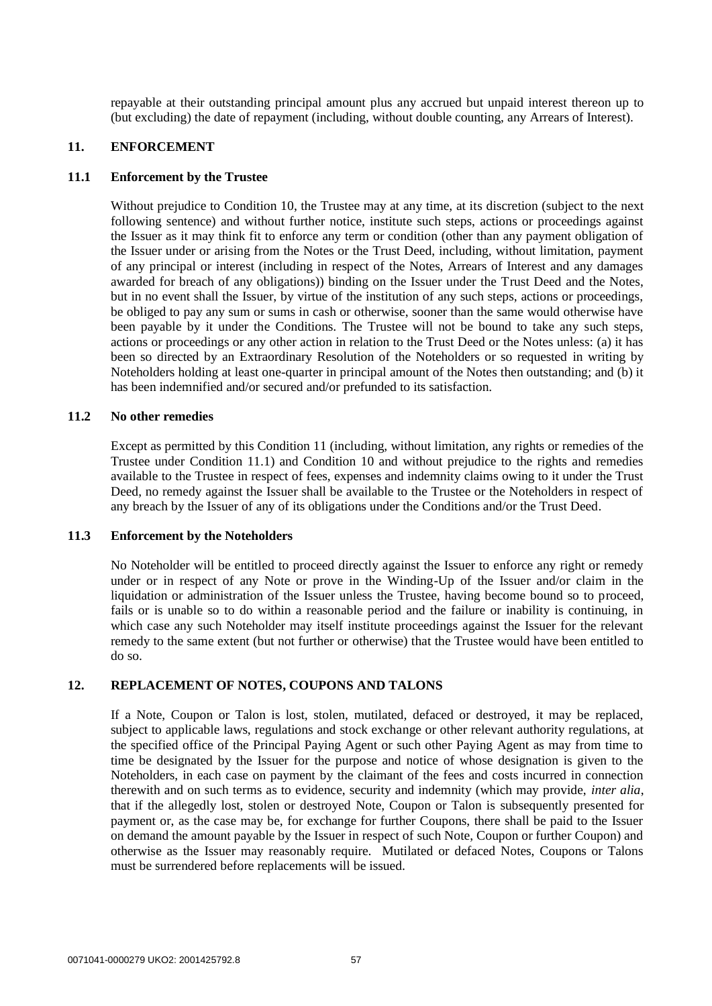repayable at their outstanding principal amount plus any accrued but unpaid interest thereon up to (but excluding) the date of repayment (including, without double counting, any Arrears of Interest).

#### **11. ENFORCEMENT**

#### **11.1 Enforcement by the Trustee**

Without prejudice to Condition 10, the Trustee may at any time, at its discretion (subject to the next following sentence) and without further notice, institute such steps, actions or proceedings against the Issuer as it may think fit to enforce any term or condition (other than any payment obligation of the Issuer under or arising from the Notes or the Trust Deed, including, without limitation, payment of any principal or interest (including in respect of the Notes, Arrears of Interest and any damages awarded for breach of any obligations)) binding on the Issuer under the Trust Deed and the Notes, but in no event shall the Issuer, by virtue of the institution of any such steps, actions or proceedings, be obliged to pay any sum or sums in cash or otherwise, sooner than the same would otherwise have been payable by it under the Conditions. The Trustee will not be bound to take any such steps, actions or proceedings or any other action in relation to the Trust Deed or the Notes unless: (a) it has been so directed by an Extraordinary Resolution of the Noteholders or so requested in writing by Noteholders holding at least one-quarter in principal amount of the Notes then outstanding; and (b) it has been indemnified and/or secured and/or prefunded to its satisfaction.

### **11.2 No other remedies**

Except as permitted by this Condition 11 (including, without limitation, any rights or remedies of the Trustee under Condition 11.1) and Condition 10 and without prejudice to the rights and remedies available to the Trustee in respect of fees, expenses and indemnity claims owing to it under the Trust Deed, no remedy against the Issuer shall be available to the Trustee or the Noteholders in respect of any breach by the Issuer of any of its obligations under the Conditions and/or the Trust Deed.

### **11.3 Enforcement by the Noteholders**

No Noteholder will be entitled to proceed directly against the Issuer to enforce any right or remedy under or in respect of any Note or prove in the Winding-Up of the Issuer and/or claim in the liquidation or administration of the Issuer unless the Trustee, having become bound so to proceed, fails or is unable so to do within a reasonable period and the failure or inability is continuing, in which case any such Noteholder may itself institute proceedings against the Issuer for the relevant remedy to the same extent (but not further or otherwise) that the Trustee would have been entitled to do so.

## **12. REPLACEMENT OF NOTES, COUPONS AND TALONS**

If a Note, Coupon or Talon is lost, stolen, mutilated, defaced or destroyed, it may be replaced, subject to applicable laws, regulations and stock exchange or other relevant authority regulations, at the specified office of the Principal Paying Agent or such other Paying Agent as may from time to time be designated by the Issuer for the purpose and notice of whose designation is given to the Noteholders, in each case on payment by the claimant of the fees and costs incurred in connection therewith and on such terms as to evidence, security and indemnity (which may provide, *inter alia*, that if the allegedly lost, stolen or destroyed Note, Coupon or Talon is subsequently presented for payment or, as the case may be, for exchange for further Coupons, there shall be paid to the Issuer on demand the amount payable by the Issuer in respect of such Note, Coupon or further Coupon) and otherwise as the Issuer may reasonably require. Mutilated or defaced Notes, Coupons or Talons must be surrendered before replacements will be issued.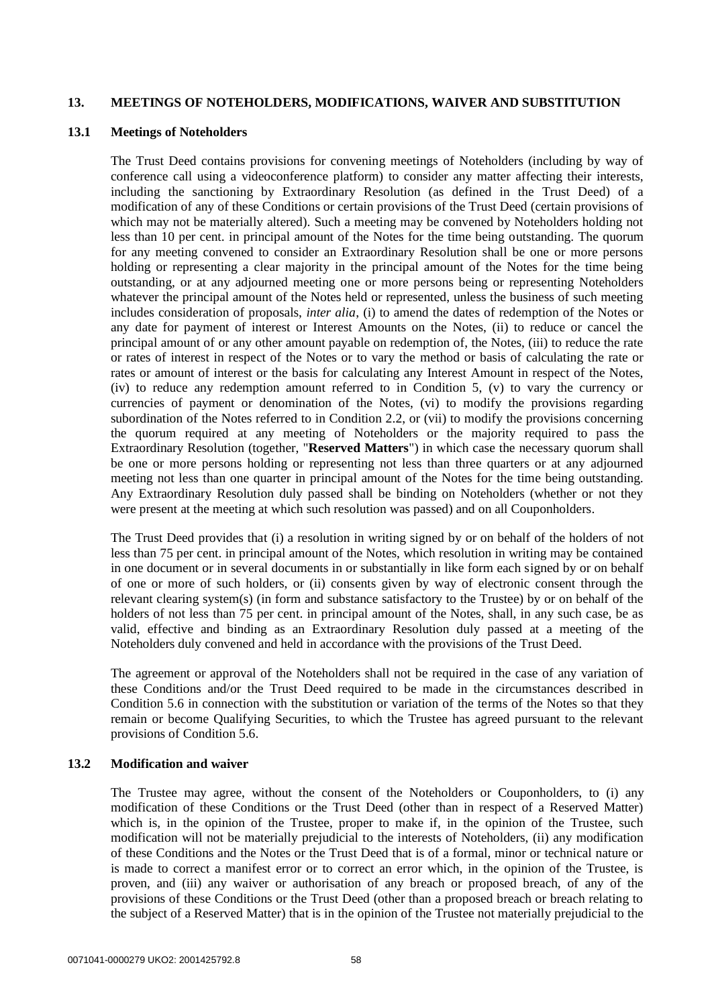### **13. MEETINGS OF NOTEHOLDERS, MODIFICATIONS, WAIVER AND SUBSTITUTION**

### **13.1 Meetings of Noteholders**

The Trust Deed contains provisions for convening meetings of Noteholders (including by way of conference call using a videoconference platform) to consider any matter affecting their interests, including the sanctioning by Extraordinary Resolution (as defined in the Trust Deed) of a modification of any of these Conditions or certain provisions of the Trust Deed (certain provisions of which may not be materially altered). Such a meeting may be convened by Noteholders holding not less than 10 per cent. in principal amount of the Notes for the time being outstanding. The quorum for any meeting convened to consider an Extraordinary Resolution shall be one or more persons holding or representing a clear majority in the principal amount of the Notes for the time being outstanding, or at any adjourned meeting one or more persons being or representing Noteholders whatever the principal amount of the Notes held or represented, unless the business of such meeting includes consideration of proposals, *inter alia*, (i) to amend the dates of redemption of the Notes or any date for payment of interest or Interest Amounts on the Notes, (ii) to reduce or cancel the principal amount of or any other amount payable on redemption of, the Notes, (iii) to reduce the rate or rates of interest in respect of the Notes or to vary the method or basis of calculating the rate or rates or amount of interest or the basis for calculating any Interest Amount in respect of the Notes, (iv) to reduce any redemption amount referred to in Condition 5, (v) to vary the currency or currencies of payment or denomination of the Notes, (vi) to modify the provisions regarding subordination of the Notes referred to in Condition 2.2, or (vii) to modify the provisions concerning the quorum required at any meeting of Noteholders or the majority required to pass the Extraordinary Resolution (together, "**Reserved Matters**") in which case the necessary quorum shall be one or more persons holding or representing not less than three quarters or at any adjourned meeting not less than one quarter in principal amount of the Notes for the time being outstanding. Any Extraordinary Resolution duly passed shall be binding on Noteholders (whether or not they were present at the meeting at which such resolution was passed) and on all Couponholders.

The Trust Deed provides that (i) a resolution in writing signed by or on behalf of the holders of not less than 75 per cent. in principal amount of the Notes, which resolution in writing may be contained in one document or in several documents in or substantially in like form each signed by or on behalf of one or more of such holders, or (ii) consents given by way of electronic consent through the relevant clearing system(s) (in form and substance satisfactory to the Trustee) by or on behalf of the holders of not less than 75 per cent. in principal amount of the Notes, shall, in any such case, be as valid, effective and binding as an Extraordinary Resolution duly passed at a meeting of the Noteholders duly convened and held in accordance with the provisions of the Trust Deed.

The agreement or approval of the Noteholders shall not be required in the case of any variation of these Conditions and/or the Trust Deed required to be made in the circumstances described in Condition 5.6 in connection with the substitution or variation of the terms of the Notes so that they remain or become Qualifying Securities, to which the Trustee has agreed pursuant to the relevant provisions of Condition 5.6.

### **13.2 Modification and waiver**

The Trustee may agree, without the consent of the Noteholders or Couponholders, to (i) any modification of these Conditions or the Trust Deed (other than in respect of a Reserved Matter) which is, in the opinion of the Trustee, proper to make if, in the opinion of the Trustee, such modification will not be materially prejudicial to the interests of Noteholders, (ii) any modification of these Conditions and the Notes or the Trust Deed that is of a formal, minor or technical nature or is made to correct a manifest error or to correct an error which, in the opinion of the Trustee, is proven, and (iii) any waiver or authorisation of any breach or proposed breach, of any of the provisions of these Conditions or the Trust Deed (other than a proposed breach or breach relating to the subject of a Reserved Matter) that is in the opinion of the Trustee not materially prejudicial to the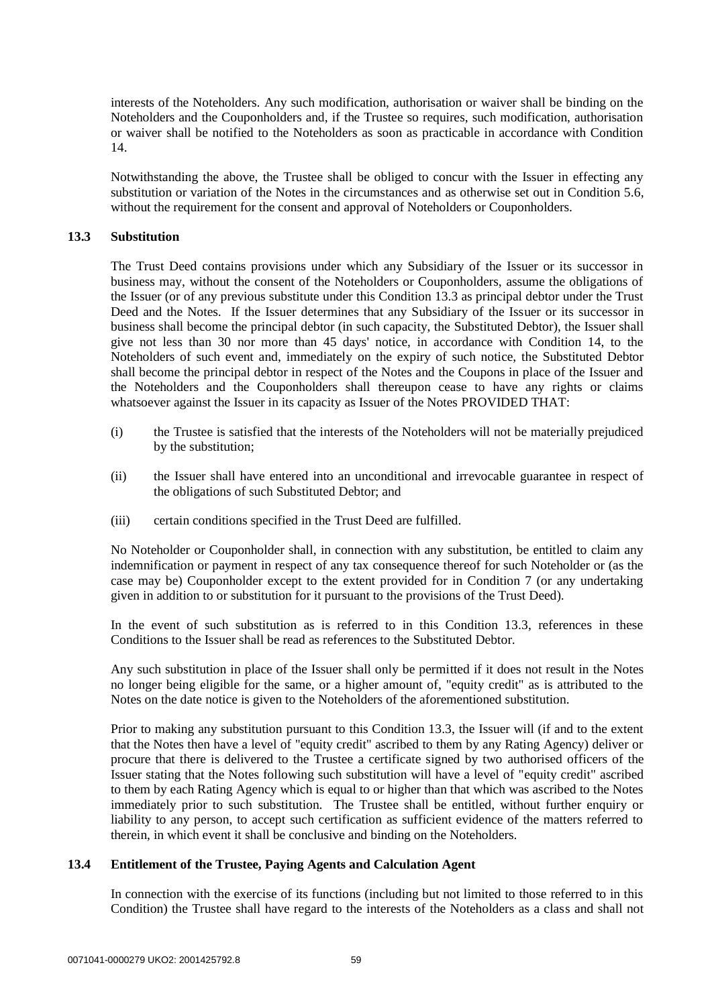interests of the Noteholders. Any such modification, authorisation or waiver shall be binding on the Noteholders and the Couponholders and, if the Trustee so requires, such modification, authorisation or waiver shall be notified to the Noteholders as soon as practicable in accordance with Condition 14.

Notwithstanding the above, the Trustee shall be obliged to concur with the Issuer in effecting any substitution or variation of the Notes in the circumstances and as otherwise set out in Condition 5.6, without the requirement for the consent and approval of Noteholders or Couponholders.

### **13.3 Substitution**

The Trust Deed contains provisions under which any Subsidiary of the Issuer or its successor in business may, without the consent of the Noteholders or Couponholders, assume the obligations of the Issuer (or of any previous substitute under this Condition 13.3 as principal debtor under the Trust Deed and the Notes. If the Issuer determines that any Subsidiary of the Issuer or its successor in business shall become the principal debtor (in such capacity, the Substituted Debtor), the Issuer shall give not less than 30 nor more than 45 days' notice, in accordance with Condition 14, to the Noteholders of such event and, immediately on the expiry of such notice, the Substituted Debtor shall become the principal debtor in respect of the Notes and the Coupons in place of the Issuer and the Noteholders and the Couponholders shall thereupon cease to have any rights or claims whatsoever against the Issuer in its capacity as Issuer of the Notes PROVIDED THAT:

- (i) the Trustee is satisfied that the interests of the Noteholders will not be materially prejudiced by the substitution;
- (ii) the Issuer shall have entered into an unconditional and irrevocable guarantee in respect of the obligations of such Substituted Debtor; and
- (iii) certain conditions specified in the Trust Deed are fulfilled.

No Noteholder or Couponholder shall, in connection with any substitution, be entitled to claim any indemnification or payment in respect of any tax consequence thereof for such Noteholder or (as the case may be) Couponholder except to the extent provided for in Condition 7 (or any undertaking given in addition to or substitution for it pursuant to the provisions of the Trust Deed).

In the event of such substitution as is referred to in this Condition 13.3, references in these Conditions to the Issuer shall be read as references to the Substituted Debtor.

Any such substitution in place of the Issuer shall only be permitted if it does not result in the Notes no longer being eligible for the same, or a higher amount of, "equity credit" as is attributed to the Notes on the date notice is given to the Noteholders of the aforementioned substitution.

Prior to making any substitution pursuant to this Condition 13.3, the Issuer will (if and to the extent that the Notes then have a level of "equity credit" ascribed to them by any Rating Agency) deliver or procure that there is delivered to the Trustee a certificate signed by two authorised officers of the Issuer stating that the Notes following such substitution will have a level of "equity credit" ascribed to them by each Rating Agency which is equal to or higher than that which was ascribed to the Notes immediately prior to such substitution. The Trustee shall be entitled, without further enquiry or liability to any person, to accept such certification as sufficient evidence of the matters referred to therein, in which event it shall be conclusive and binding on the Noteholders.

#### **13.4 Entitlement of the Trustee, Paying Agents and Calculation Agent**

In connection with the exercise of its functions (including but not limited to those referred to in this Condition) the Trustee shall have regard to the interests of the Noteholders as a class and shall not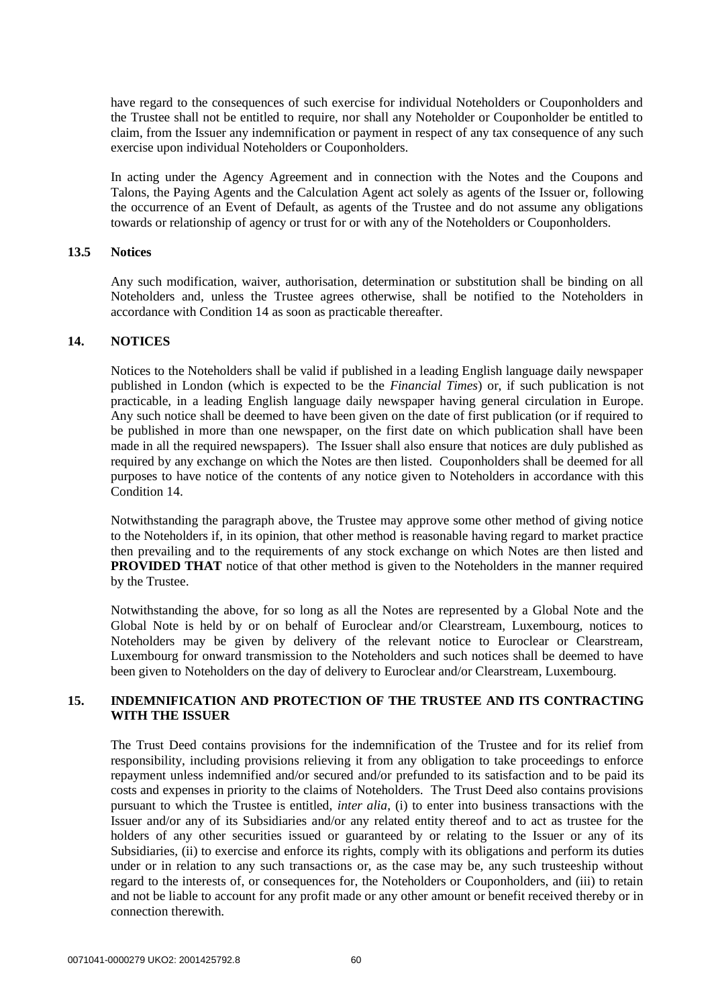have regard to the consequences of such exercise for individual Noteholders or Couponholders and the Trustee shall not be entitled to require, nor shall any Noteholder or Couponholder be entitled to claim, from the Issuer any indemnification or payment in respect of any tax consequence of any such exercise upon individual Noteholders or Couponholders.

In acting under the Agency Agreement and in connection with the Notes and the Coupons and Talons, the Paying Agents and the Calculation Agent act solely as agents of the Issuer or, following the occurrence of an Event of Default, as agents of the Trustee and do not assume any obligations towards or relationship of agency or trust for or with any of the Noteholders or Couponholders.

### **13.5 Notices**

Any such modification, waiver, authorisation, determination or substitution shall be binding on all Noteholders and, unless the Trustee agrees otherwise, shall be notified to the Noteholders in accordance with Condition 14 as soon as practicable thereafter.

### **14. NOTICES**

Notices to the Noteholders shall be valid if published in a leading English language daily newspaper published in London (which is expected to be the *Financial Times*) or, if such publication is not practicable, in a leading English language daily newspaper having general circulation in Europe. Any such notice shall be deemed to have been given on the date of first publication (or if required to be published in more than one newspaper, on the first date on which publication shall have been made in all the required newspapers). The Issuer shall also ensure that notices are duly published as required by any exchange on which the Notes are then listed. Couponholders shall be deemed for all purposes to have notice of the contents of any notice given to Noteholders in accordance with this Condition 14.

Notwithstanding the paragraph above, the Trustee may approve some other method of giving notice to the Noteholders if, in its opinion, that other method is reasonable having regard to market practice then prevailing and to the requirements of any stock exchange on which Notes are then listed and **PROVIDED THAT** notice of that other method is given to the Noteholders in the manner required by the Trustee.

Notwithstanding the above, for so long as all the Notes are represented by a Global Note and the Global Note is held by or on behalf of Euroclear and/or Clearstream, Luxembourg, notices to Noteholders may be given by delivery of the relevant notice to Euroclear or Clearstream, Luxembourg for onward transmission to the Noteholders and such notices shall be deemed to have been given to Noteholders on the day of delivery to Euroclear and/or Clearstream, Luxembourg.

## **15. INDEMNIFICATION AND PROTECTION OF THE TRUSTEE AND ITS CONTRACTING WITH THE ISSUER**

The Trust Deed contains provisions for the indemnification of the Trustee and for its relief from responsibility, including provisions relieving it from any obligation to take proceedings to enforce repayment unless indemnified and/or secured and/or prefunded to its satisfaction and to be paid its costs and expenses in priority to the claims of Noteholders. The Trust Deed also contains provisions pursuant to which the Trustee is entitled, *inter alia*, (i) to enter into business transactions with the Issuer and/or any of its Subsidiaries and/or any related entity thereof and to act as trustee for the holders of any other securities issued or guaranteed by or relating to the Issuer or any of its Subsidiaries, (ii) to exercise and enforce its rights, comply with its obligations and perform its duties under or in relation to any such transactions or, as the case may be, any such trusteeship without regard to the interests of, or consequences for, the Noteholders or Couponholders, and (iii) to retain and not be liable to account for any profit made or any other amount or benefit received thereby or in connection therewith.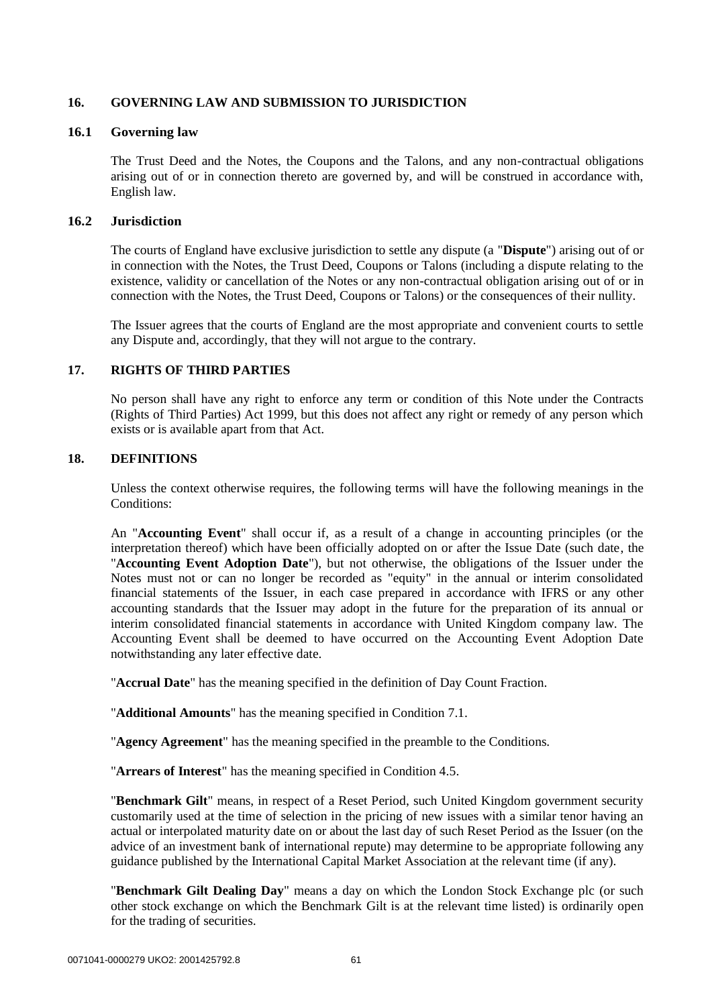## **16. GOVERNING LAW AND SUBMISSION TO JURISDICTION**

## **16.1 Governing law**

The Trust Deed and the Notes, the Coupons and the Talons, and any non-contractual obligations arising out of or in connection thereto are governed by, and will be construed in accordance with, English law.

## **16.2 Jurisdiction**

The courts of England have exclusive jurisdiction to settle any dispute (a "**Dispute**") arising out of or in connection with the Notes, the Trust Deed, Coupons or Talons (including a dispute relating to the existence, validity or cancellation of the Notes or any non-contractual obligation arising out of or in connection with the Notes, the Trust Deed, Coupons or Talons) or the consequences of their nullity.

The Issuer agrees that the courts of England are the most appropriate and convenient courts to settle any Dispute and, accordingly, that they will not argue to the contrary.

## **17. RIGHTS OF THIRD PARTIES**

No person shall have any right to enforce any term or condition of this Note under the Contracts (Rights of Third Parties) Act 1999, but this does not affect any right or remedy of any person which exists or is available apart from that Act.

## **18. DEFINITIONS**

Unless the context otherwise requires, the following terms will have the following meanings in the Conditions:

An "**Accounting Event**" shall occur if, as a result of a change in accounting principles (or the interpretation thereof) which have been officially adopted on or after the Issue Date (such date, the "**Accounting Event Adoption Date**"), but not otherwise, the obligations of the Issuer under the Notes must not or can no longer be recorded as "equity" in the annual or interim consolidated financial statements of the Issuer, in each case prepared in accordance with IFRS or any other accounting standards that the Issuer may adopt in the future for the preparation of its annual or interim consolidated financial statements in accordance with United Kingdom company law. The Accounting Event shall be deemed to have occurred on the Accounting Event Adoption Date notwithstanding any later effective date.

"**Accrual Date**" has the meaning specified in the definition of Day Count Fraction.

"**Additional Amounts**" has the meaning specified in Condition 7.1.

"**Agency Agreement**" has the meaning specified in the preamble to the Conditions.

"**Arrears of Interest**" has the meaning specified in Condition 4.5.

"**Benchmark Gilt**" means, in respect of a Reset Period, such United Kingdom government security customarily used at the time of selection in the pricing of new issues with a similar tenor having an actual or interpolated maturity date on or about the last day of such Reset Period as the Issuer (on the advice of an investment bank of international repute) may determine to be appropriate following any guidance published by the International Capital Market Association at the relevant time (if any).

"**Benchmark Gilt Dealing Day**" means a day on which the London Stock Exchange plc (or such other stock exchange on which the Benchmark Gilt is at the relevant time listed) is ordinarily open for the trading of securities.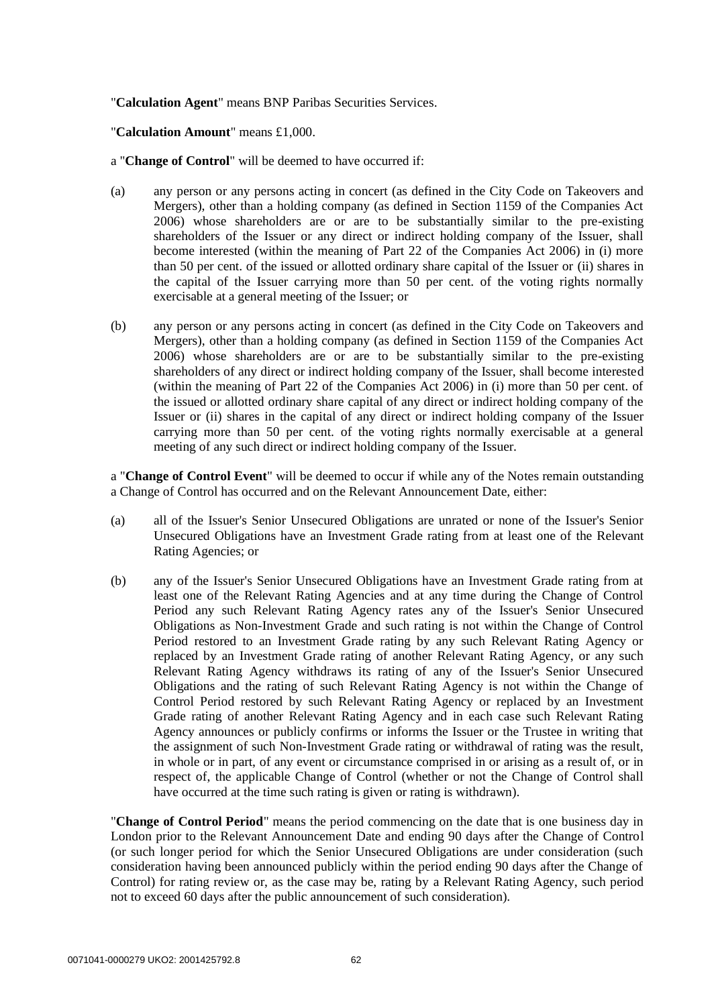### "**Calculation Agent**" means BNP Paribas Securities Services.

### "**Calculation Amount**" means £1,000.

- a "**Change of Control**" will be deemed to have occurred if:
- (a) any person or any persons acting in concert (as defined in the City Code on Takeovers and Mergers), other than a holding company (as defined in Section 1159 of the Companies Act 2006) whose shareholders are or are to be substantially similar to the pre-existing shareholders of the Issuer or any direct or indirect holding company of the Issuer, shall become interested (within the meaning of Part 22 of the Companies Act 2006) in (i) more than 50 per cent. of the issued or allotted ordinary share capital of the Issuer or (ii) shares in the capital of the Issuer carrying more than 50 per cent. of the voting rights normally exercisable at a general meeting of the Issuer; or
- (b) any person or any persons acting in concert (as defined in the City Code on Takeovers and Mergers), other than a holding company (as defined in Section 1159 of the Companies Act 2006) whose shareholders are or are to be substantially similar to the pre-existing shareholders of any direct or indirect holding company of the Issuer, shall become interested (within the meaning of Part 22 of the Companies Act 2006) in (i) more than 50 per cent. of the issued or allotted ordinary share capital of any direct or indirect holding company of the Issuer or (ii) shares in the capital of any direct or indirect holding company of the Issuer carrying more than 50 per cent. of the voting rights normally exercisable at a general meeting of any such direct or indirect holding company of the Issuer.

a "**Change of Control Event**" will be deemed to occur if while any of the Notes remain outstanding a Change of Control has occurred and on the Relevant Announcement Date, either:

- (a) all of the Issuer's Senior Unsecured Obligations are unrated or none of the Issuer's Senior Unsecured Obligations have an Investment Grade rating from at least one of the Relevant Rating Agencies; or
- (b) any of the Issuer's Senior Unsecured Obligations have an Investment Grade rating from at least one of the Relevant Rating Agencies and at any time during the Change of Control Period any such Relevant Rating Agency rates any of the Issuer's Senior Unsecured Obligations as Non-Investment Grade and such rating is not within the Change of Control Period restored to an Investment Grade rating by any such Relevant Rating Agency or replaced by an Investment Grade rating of another Relevant Rating Agency, or any such Relevant Rating Agency withdraws its rating of any of the Issuer's Senior Unsecured Obligations and the rating of such Relevant Rating Agency is not within the Change of Control Period restored by such Relevant Rating Agency or replaced by an Investment Grade rating of another Relevant Rating Agency and in each case such Relevant Rating Agency announces or publicly confirms or informs the Issuer or the Trustee in writing that the assignment of such Non-Investment Grade rating or withdrawal of rating was the result, in whole or in part, of any event or circumstance comprised in or arising as a result of, or in respect of, the applicable Change of Control (whether or not the Change of Control shall have occurred at the time such rating is given or rating is withdrawn).

"**Change of Control Period**" means the period commencing on the date that is one business day in London prior to the Relevant Announcement Date and ending 90 days after the Change of Control (or such longer period for which the Senior Unsecured Obligations are under consideration (such consideration having been announced publicly within the period ending 90 days after the Change of Control) for rating review or, as the case may be, rating by a Relevant Rating Agency, such period not to exceed 60 days after the public announcement of such consideration).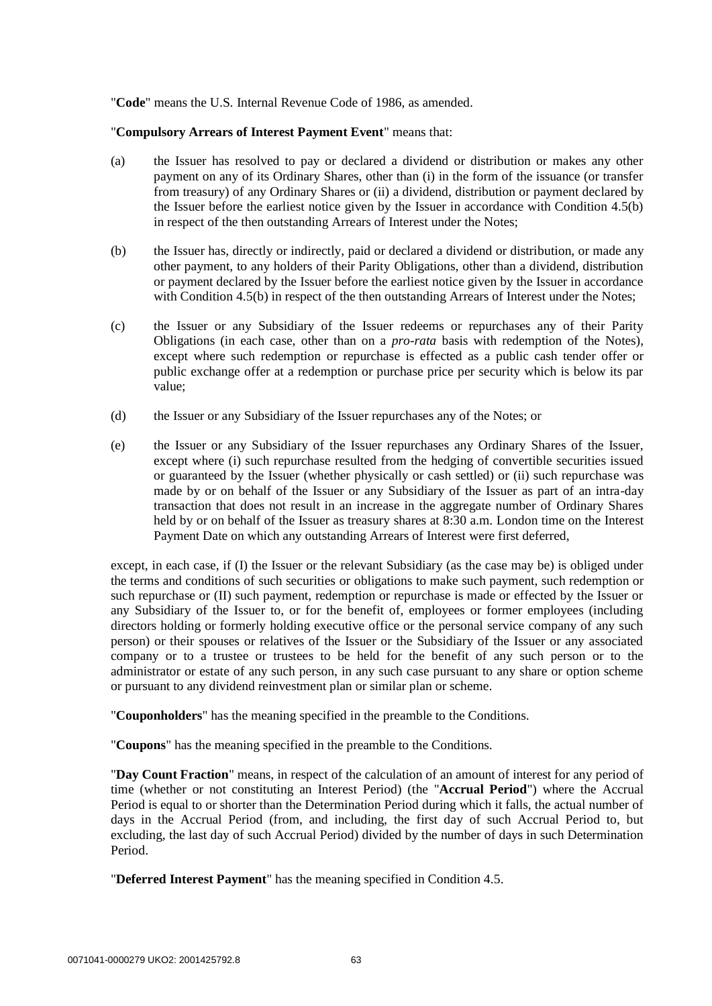"**Code**" means the U.S. Internal Revenue Code of 1986, as amended.

#### "**Compulsory Arrears of Interest Payment Event**" means that:

- (a) the Issuer has resolved to pay or declared a dividend or distribution or makes any other payment on any of its Ordinary Shares, other than (i) in the form of the issuance (or transfer from treasury) of any Ordinary Shares or (ii) a dividend, distribution or payment declared by the Issuer before the earliest notice given by the Issuer in accordance with Condition 4.5(b) in respect of the then outstanding Arrears of Interest under the Notes;
- (b) the Issuer has, directly or indirectly, paid or declared a dividend or distribution, or made any other payment, to any holders of their Parity Obligations, other than a dividend, distribution or payment declared by the Issuer before the earliest notice given by the Issuer in accordance with Condition 4.5(b) in respect of the then outstanding Arrears of Interest under the Notes;
- (c) the Issuer or any Subsidiary of the Issuer redeems or repurchases any of their Parity Obligations (in each case, other than on a *pro-rata* basis with redemption of the Notes), except where such redemption or repurchase is effected as a public cash tender offer or public exchange offer at a redemption or purchase price per security which is below its par value;
- (d) the Issuer or any Subsidiary of the Issuer repurchases any of the Notes; or
- (e) the Issuer or any Subsidiary of the Issuer repurchases any Ordinary Shares of the Issuer, except where (i) such repurchase resulted from the hedging of convertible securities issued or guaranteed by the Issuer (whether physically or cash settled) or (ii) such repurchase was made by or on behalf of the Issuer or any Subsidiary of the Issuer as part of an intra-day transaction that does not result in an increase in the aggregate number of Ordinary Shares held by or on behalf of the Issuer as treasury shares at 8:30 a.m. London time on the Interest Payment Date on which any outstanding Arrears of Interest were first deferred,

except, in each case, if (I) the Issuer or the relevant Subsidiary (as the case may be) is obliged under the terms and conditions of such securities or obligations to make such payment, such redemption or such repurchase or (II) such payment, redemption or repurchase is made or effected by the Issuer or any Subsidiary of the Issuer to, or for the benefit of, employees or former employees (including directors holding or formerly holding executive office or the personal service company of any such person) or their spouses or relatives of the Issuer or the Subsidiary of the Issuer or any associated company or to a trustee or trustees to be held for the benefit of any such person or to the administrator or estate of any such person, in any such case pursuant to any share or option scheme or pursuant to any dividend reinvestment plan or similar plan or scheme.

"**Couponholders**" has the meaning specified in the preamble to the Conditions.

"**Coupons**" has the meaning specified in the preamble to the Conditions.

"**Day Count Fraction**" means, in respect of the calculation of an amount of interest for any period of time (whether or not constituting an Interest Period) (the "**Accrual Period**") where the Accrual Period is equal to or shorter than the Determination Period during which it falls, the actual number of days in the Accrual Period (from, and including, the first day of such Accrual Period to, but excluding, the last day of such Accrual Period) divided by the number of days in such Determination Period.

"**Deferred Interest Payment**" has the meaning specified in Condition 4.5.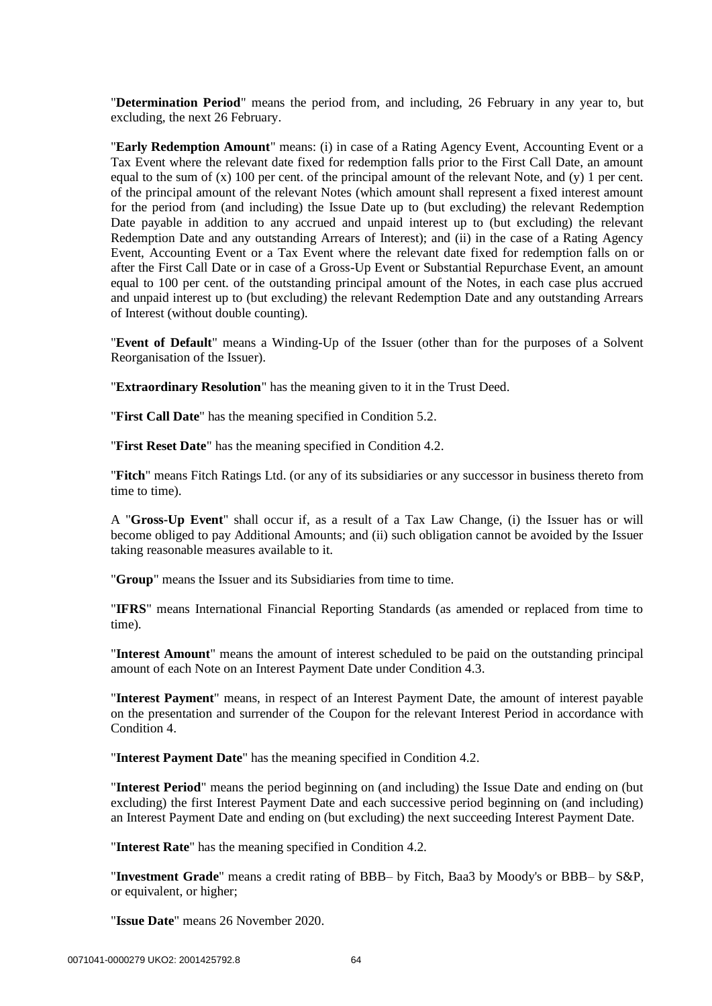"**Determination Period**" means the period from, and including, 26 February in any year to, but excluding, the next 26 February.

"**Early Redemption Amount**" means: (i) in case of a Rating Agency Event, Accounting Event or a Tax Event where the relevant date fixed for redemption falls prior to the First Call Date, an amount equal to the sum of (x) 100 per cent. of the principal amount of the relevant Note, and (y) 1 per cent. of the principal amount of the relevant Notes (which amount shall represent a fixed interest amount for the period from (and including) the Issue Date up to (but excluding) the relevant Redemption Date payable in addition to any accrued and unpaid interest up to (but excluding) the relevant Redemption Date and any outstanding Arrears of Interest); and (ii) in the case of a Rating Agency Event, Accounting Event or a Tax Event where the relevant date fixed for redemption falls on or after the First Call Date or in case of a Gross-Up Event or Substantial Repurchase Event, an amount equal to 100 per cent. of the outstanding principal amount of the Notes, in each case plus accrued and unpaid interest up to (but excluding) the relevant Redemption Date and any outstanding Arrears of Interest (without double counting).

"**Event of Default**" means a Winding-Up of the Issuer (other than for the purposes of a Solvent Reorganisation of the Issuer).

"**Extraordinary Resolution**" has the meaning given to it in the Trust Deed.

"**First Call Date**" has the meaning specified in Condition 5.2.

"**First Reset Date**" has the meaning specified in Condition 4.2.

"**Fitch**" means Fitch Ratings Ltd. (or any of its subsidiaries or any successor in business thereto from time to time).

A "**Gross-Up Event**" shall occur if, as a result of a Tax Law Change, (i) the Issuer has or will become obliged to pay Additional Amounts; and (ii) such obligation cannot be avoided by the Issuer taking reasonable measures available to it.

"**Group**" means the Issuer and its Subsidiaries from time to time.

"**IFRS**" means International Financial Reporting Standards (as amended or replaced from time to time).

"**Interest Amount**" means the amount of interest scheduled to be paid on the outstanding principal amount of each Note on an Interest Payment Date under Condition 4.3.

"**Interest Payment**" means, in respect of an Interest Payment Date, the amount of interest payable on the presentation and surrender of the Coupon for the relevant Interest Period in accordance with Condition 4

"**Interest Payment Date**" has the meaning specified in Condition 4.2.

"**Interest Period**" means the period beginning on (and including) the Issue Date and ending on (but excluding) the first Interest Payment Date and each successive period beginning on (and including) an Interest Payment Date and ending on (but excluding) the next succeeding Interest Payment Date.

"**Interest Rate**" has the meaning specified in Condition 4.2.

"**Investment Grade**" means a credit rating of BBB– by Fitch, Baa3 by Moody's or BBB– by S&P, or equivalent, or higher;

"**Issue Date**" means 26 November 2020.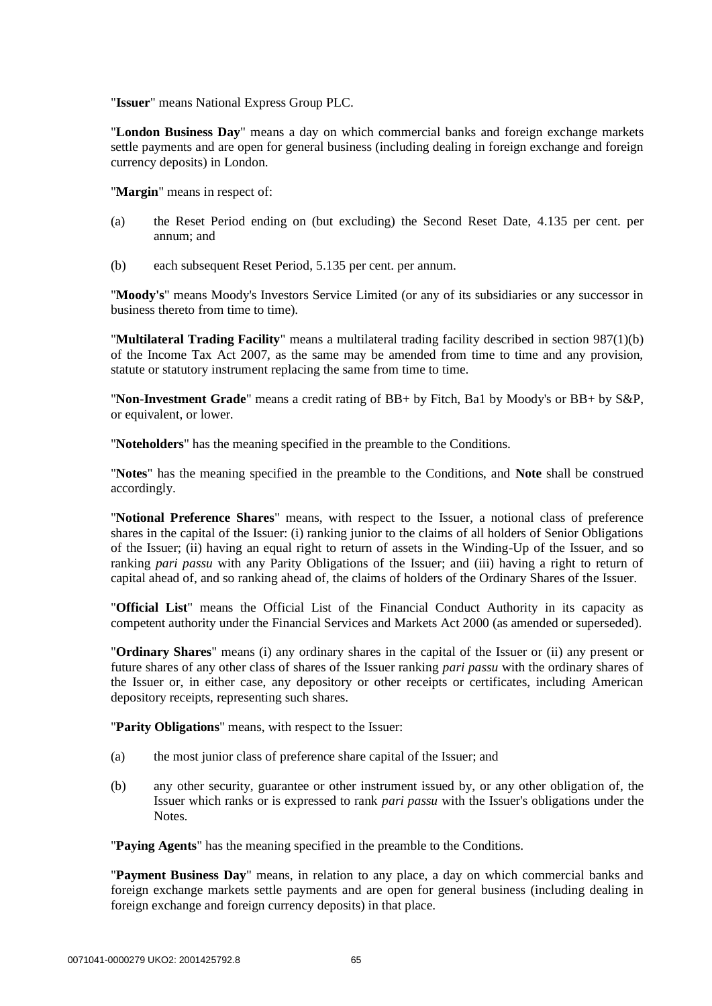"**Issuer**" means National Express Group PLC.

"**London Business Day**" means a day on which commercial banks and foreign exchange markets settle payments and are open for general business (including dealing in foreign exchange and foreign currency deposits) in London.

"**Margin**" means in respect of:

- (a) the Reset Period ending on (but excluding) the Second Reset Date, 4.135 per cent. per annum; and
- (b) each subsequent Reset Period, 5.135 per cent. per annum.

"**Moody's**" means Moody's Investors Service Limited (or any of its subsidiaries or any successor in business thereto from time to time).

"**Multilateral Trading Facility**" means a multilateral trading facility described in section 987(1)(b) of the Income Tax Act 2007, as the same may be amended from time to time and any provision, statute or statutory instrument replacing the same from time to time.

"**Non-Investment Grade**" means a credit rating of BB+ by Fitch, Ba1 by Moody's or BB+ by S&P, or equivalent, or lower.

"**Noteholders**" has the meaning specified in the preamble to the Conditions.

"**Notes**" has the meaning specified in the preamble to the Conditions, and **Note** shall be construed accordingly.

"**Notional Preference Shares**" means, with respect to the Issuer, a notional class of preference shares in the capital of the Issuer: (i) ranking junior to the claims of all holders of Senior Obligations of the Issuer; (ii) having an equal right to return of assets in the Winding-Up of the Issuer, and so ranking *pari passu* with any Parity Obligations of the Issuer; and (iii) having a right to return of capital ahead of, and so ranking ahead of, the claims of holders of the Ordinary Shares of the Issuer.

"**Official List**" means the Official List of the Financial Conduct Authority in its capacity as competent authority under the Financial Services and Markets Act 2000 (as amended or superseded).

"**Ordinary Shares**" means (i) any ordinary shares in the capital of the Issuer or (ii) any present or future shares of any other class of shares of the Issuer ranking *pari passu* with the ordinary shares of the Issuer or, in either case, any depository or other receipts or certificates, including American depository receipts, representing such shares.

"**Parity Obligations**" means, with respect to the Issuer:

- (a) the most junior class of preference share capital of the Issuer; and
- (b) any other security, guarantee or other instrument issued by, or any other obligation of, the Issuer which ranks or is expressed to rank *pari passu* with the Issuer's obligations under the Notes.

"**Paying Agents**" has the meaning specified in the preamble to the Conditions.

"**Payment Business Day**" means, in relation to any place, a day on which commercial banks and foreign exchange markets settle payments and are open for general business (including dealing in foreign exchange and foreign currency deposits) in that place.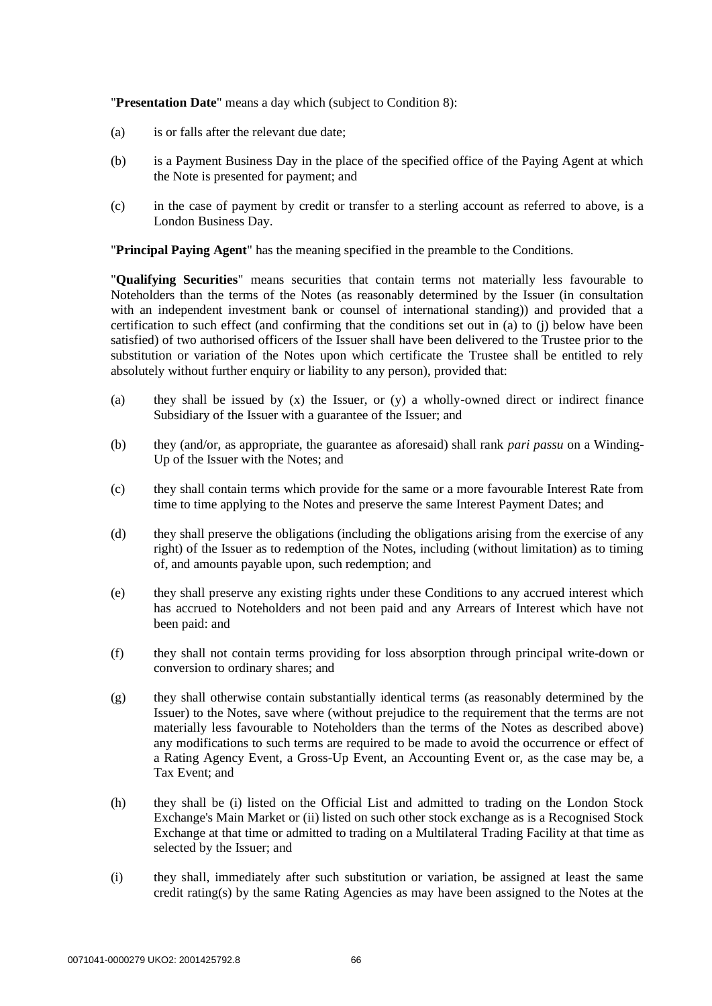"**Presentation Date**" means a day which (subject to Condition 8):

- (a) is or falls after the relevant due date;
- (b) is a Payment Business Day in the place of the specified office of the Paying Agent at which the Note is presented for payment; and
- (c) in the case of payment by credit or transfer to a sterling account as referred to above, is a London Business Day.

"**Principal Paying Agent**" has the meaning specified in the preamble to the Conditions.

"**Qualifying Securities**" means securities that contain terms not materially less favourable to Noteholders than the terms of the Notes (as reasonably determined by the Issuer (in consultation with an independent investment bank or counsel of international standing)) and provided that a certification to such effect (and confirming that the conditions set out in (a) to (j) below have been satisfied) of two authorised officers of the Issuer shall have been delivered to the Trustee prior to the substitution or variation of the Notes upon which certificate the Trustee shall be entitled to rely absolutely without further enquiry or liability to any person), provided that:

- (a) they shall be issued by  $(x)$  the Issuer, or  $(y)$  a wholly-owned direct or indirect finance Subsidiary of the Issuer with a guarantee of the Issuer; and
- (b) they (and/or, as appropriate, the guarantee as aforesaid) shall rank *pari passu* on a Winding-Up of the Issuer with the Notes; and
- (c) they shall contain terms which provide for the same or a more favourable Interest Rate from time to time applying to the Notes and preserve the same Interest Payment Dates; and
- (d) they shall preserve the obligations (including the obligations arising from the exercise of any right) of the Issuer as to redemption of the Notes, including (without limitation) as to timing of, and amounts payable upon, such redemption; and
- (e) they shall preserve any existing rights under these Conditions to any accrued interest which has accrued to Noteholders and not been paid and any Arrears of Interest which have not been paid: and
- (f) they shall not contain terms providing for loss absorption through principal write-down or conversion to ordinary shares; and
- (g) they shall otherwise contain substantially identical terms (as reasonably determined by the Issuer) to the Notes, save where (without prejudice to the requirement that the terms are not materially less favourable to Noteholders than the terms of the Notes as described above) any modifications to such terms are required to be made to avoid the occurrence or effect of a Rating Agency Event, a Gross-Up Event, an Accounting Event or, as the case may be, a Tax Event; and
- (h) they shall be (i) listed on the Official List and admitted to trading on the London Stock Exchange's Main Market or (ii) listed on such other stock exchange as is a Recognised Stock Exchange at that time or admitted to trading on a Multilateral Trading Facility at that time as selected by the Issuer; and
- (i) they shall, immediately after such substitution or variation, be assigned at least the same credit rating(s) by the same Rating Agencies as may have been assigned to the Notes at the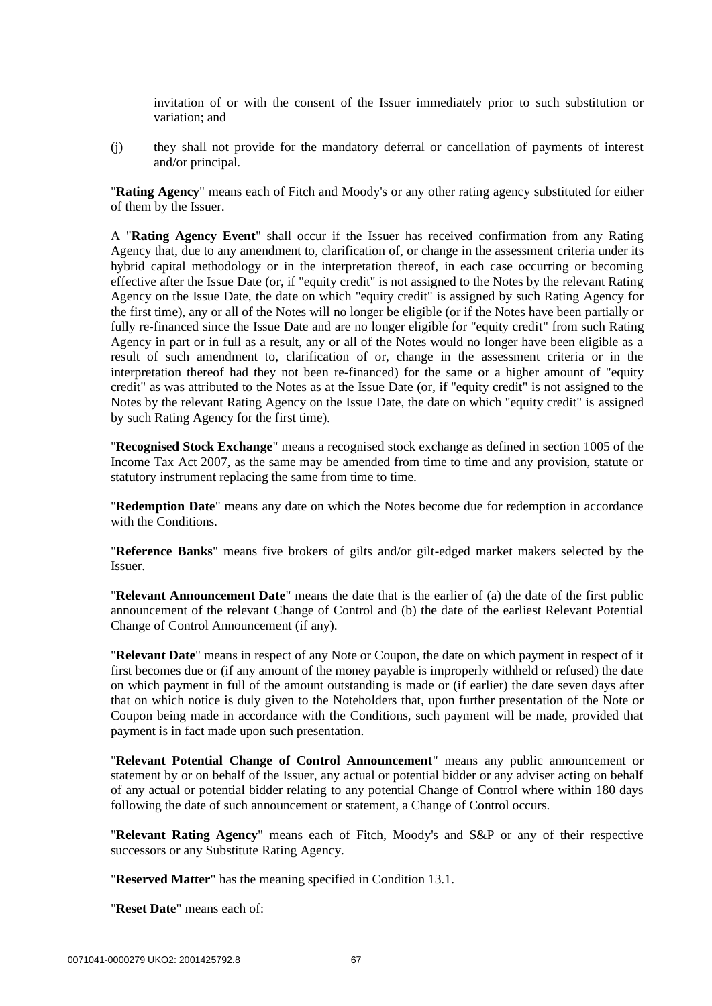invitation of or with the consent of the Issuer immediately prior to such substitution or variation; and

(j) they shall not provide for the mandatory deferral or cancellation of payments of interest and/or principal.

"**Rating Agency**" means each of Fitch and Moody's or any other rating agency substituted for either of them by the Issuer.

A "**Rating Agency Event**" shall occur if the Issuer has received confirmation from any Rating Agency that, due to any amendment to, clarification of, or change in the assessment criteria under its hybrid capital methodology or in the interpretation thereof, in each case occurring or becoming effective after the Issue Date (or, if "equity credit" is not assigned to the Notes by the relevant Rating Agency on the Issue Date, the date on which "equity credit" is assigned by such Rating Agency for the first time), any or all of the Notes will no longer be eligible (or if the Notes have been partially or fully re-financed since the Issue Date and are no longer eligible for "equity credit" from such Rating Agency in part or in full as a result, any or all of the Notes would no longer have been eligible as a result of such amendment to, clarification of or, change in the assessment criteria or in the interpretation thereof had they not been re-financed) for the same or a higher amount of "equity credit" as was attributed to the Notes as at the Issue Date (or, if "equity credit" is not assigned to the Notes by the relevant Rating Agency on the Issue Date, the date on which "equity credit" is assigned by such Rating Agency for the first time).

"**Recognised Stock Exchange**" means a recognised stock exchange as defined in section 1005 of the Income Tax Act 2007, as the same may be amended from time to time and any provision, statute or statutory instrument replacing the same from time to time.

"**Redemption Date**" means any date on which the Notes become due for redemption in accordance with the Conditions.

"**Reference Banks**" means five brokers of gilts and/or gilt-edged market makers selected by the Issuer.

"**Relevant Announcement Date**" means the date that is the earlier of (a) the date of the first public announcement of the relevant Change of Control and (b) the date of the earliest Relevant Potential Change of Control Announcement (if any).

"**Relevant Date**" means in respect of any Note or Coupon, the date on which payment in respect of it first becomes due or (if any amount of the money payable is improperly withheld or refused) the date on which payment in full of the amount outstanding is made or (if earlier) the date seven days after that on which notice is duly given to the Noteholders that, upon further presentation of the Note or Coupon being made in accordance with the Conditions, such payment will be made, provided that payment is in fact made upon such presentation.

"**Relevant Potential Change of Control Announcement**" means any public announcement or statement by or on behalf of the Issuer, any actual or potential bidder or any adviser acting on behalf of any actual or potential bidder relating to any potential Change of Control where within 180 days following the date of such announcement or statement, a Change of Control occurs.

"**Relevant Rating Agency**" means each of Fitch, Moody's and S&P or any of their respective successors or any Substitute Rating Agency.

"**Reserved Matter**" has the meaning specified in Condition 13.1.

"**Reset Date**" means each of: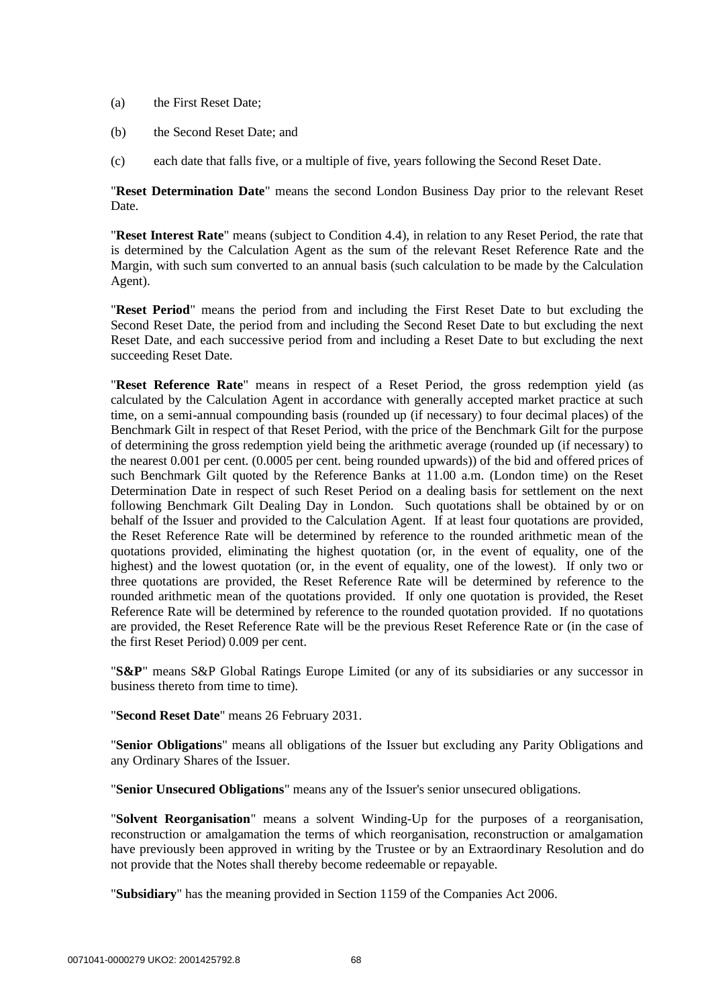- (a) the First Reset Date;
- (b) the Second Reset Date; and
- (c) each date that falls five, or a multiple of five, years following the Second Reset Date.

"**Reset Determination Date**" means the second London Business Day prior to the relevant Reset Date.

"**Reset Interest Rate**" means (subject to Condition 4.4), in relation to any Reset Period, the rate that is determined by the Calculation Agent as the sum of the relevant Reset Reference Rate and the Margin, with such sum converted to an annual basis (such calculation to be made by the Calculation Agent).

"**Reset Period**" means the period from and including the First Reset Date to but excluding the Second Reset Date, the period from and including the Second Reset Date to but excluding the next Reset Date, and each successive period from and including a Reset Date to but excluding the next succeeding Reset Date.

"**Reset Reference Rate**" means in respect of a Reset Period, the gross redemption yield (as calculated by the Calculation Agent in accordance with generally accepted market practice at such time, on a semi-annual compounding basis (rounded up (if necessary) to four decimal places) of the Benchmark Gilt in respect of that Reset Period, with the price of the Benchmark Gilt for the purpose of determining the gross redemption yield being the arithmetic average (rounded up (if necessary) to the nearest 0.001 per cent. (0.0005 per cent. being rounded upwards)) of the bid and offered prices of such Benchmark Gilt quoted by the Reference Banks at 11.00 a.m. (London time) on the Reset Determination Date in respect of such Reset Period on a dealing basis for settlement on the next following Benchmark Gilt Dealing Day in London. Such quotations shall be obtained by or on behalf of the Issuer and provided to the Calculation Agent. If at least four quotations are provided, the Reset Reference Rate will be determined by reference to the rounded arithmetic mean of the quotations provided, eliminating the highest quotation (or, in the event of equality, one of the highest) and the lowest quotation (or, in the event of equality, one of the lowest). If only two or three quotations are provided, the Reset Reference Rate will be determined by reference to the rounded arithmetic mean of the quotations provided. If only one quotation is provided, the Reset Reference Rate will be determined by reference to the rounded quotation provided. If no quotations are provided, the Reset Reference Rate will be the previous Reset Reference Rate or (in the case of the first Reset Period) 0.009 per cent.

"**S&P**" means S&P Global Ratings Europe Limited (or any of its subsidiaries or any successor in business thereto from time to time).

"**Second Reset Date**" means 26 February 2031.

"**Senior Obligations**" means all obligations of the Issuer but excluding any Parity Obligations and any Ordinary Shares of the Issuer.

"**Senior Unsecured Obligations**" means any of the Issuer's senior unsecured obligations.

"**Solvent Reorganisation**" means a solvent Winding-Up for the purposes of a reorganisation, reconstruction or amalgamation the terms of which reorganisation, reconstruction or amalgamation have previously been approved in writing by the Trustee or by an Extraordinary Resolution and do not provide that the Notes shall thereby become redeemable or repayable.

"**Subsidiary**" has the meaning provided in Section 1159 of the Companies Act 2006.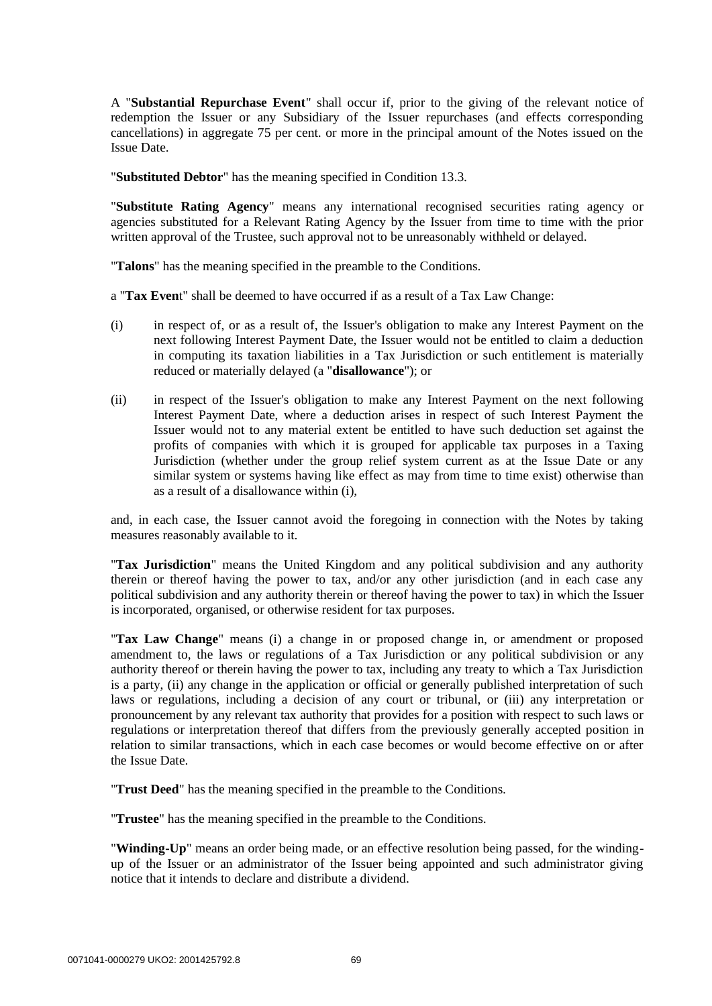A "**Substantial Repurchase Event**" shall occur if, prior to the giving of the relevant notice of redemption the Issuer or any Subsidiary of the Issuer repurchases (and effects corresponding cancellations) in aggregate 75 per cent. or more in the principal amount of the Notes issued on the Issue Date.

"**Substituted Debtor**" has the meaning specified in Condition 13.3.

"**Substitute Rating Agency**" means any international recognised securities rating agency or agencies substituted for a Relevant Rating Agency by the Issuer from time to time with the prior written approval of the Trustee, such approval not to be unreasonably withheld or delayed.

"**Talons**" has the meaning specified in the preamble to the Conditions.

a "**Tax Even**t" shall be deemed to have occurred if as a result of a Tax Law Change:

- (i) in respect of, or as a result of, the Issuer's obligation to make any Interest Payment on the next following Interest Payment Date, the Issuer would not be entitled to claim a deduction in computing its taxation liabilities in a Tax Jurisdiction or such entitlement is materially reduced or materially delayed (a "**disallowance**"); or
- (ii) in respect of the Issuer's obligation to make any Interest Payment on the next following Interest Payment Date, where a deduction arises in respect of such Interest Payment the Issuer would not to any material extent be entitled to have such deduction set against the profits of companies with which it is grouped for applicable tax purposes in a Taxing Jurisdiction (whether under the group relief system current as at the Issue Date or any similar system or systems having like effect as may from time to time exist) otherwise than as a result of a disallowance within (i),

and, in each case, the Issuer cannot avoid the foregoing in connection with the Notes by taking measures reasonably available to it.

"**Tax Jurisdiction**" means the United Kingdom and any political subdivision and any authority therein or thereof having the power to tax, and/or any other jurisdiction (and in each case any political subdivision and any authority therein or thereof having the power to tax) in which the Issuer is incorporated, organised, or otherwise resident for tax purposes.

"**Tax Law Change**" means (i) a change in or proposed change in, or amendment or proposed amendment to, the laws or regulations of a Tax Jurisdiction or any political subdivision or any authority thereof or therein having the power to tax, including any treaty to which a Tax Jurisdiction is a party, (ii) any change in the application or official or generally published interpretation of such laws or regulations, including a decision of any court or tribunal, or (iii) any interpretation or pronouncement by any relevant tax authority that provides for a position with respect to such laws or regulations or interpretation thereof that differs from the previously generally accepted position in relation to similar transactions, which in each case becomes or would become effective on or after the Issue Date.

"**Trust Deed**" has the meaning specified in the preamble to the Conditions.

"**Trustee**" has the meaning specified in the preamble to the Conditions.

"**Winding-Up**" means an order being made, or an effective resolution being passed, for the windingup of the Issuer or an administrator of the Issuer being appointed and such administrator giving notice that it intends to declare and distribute a dividend.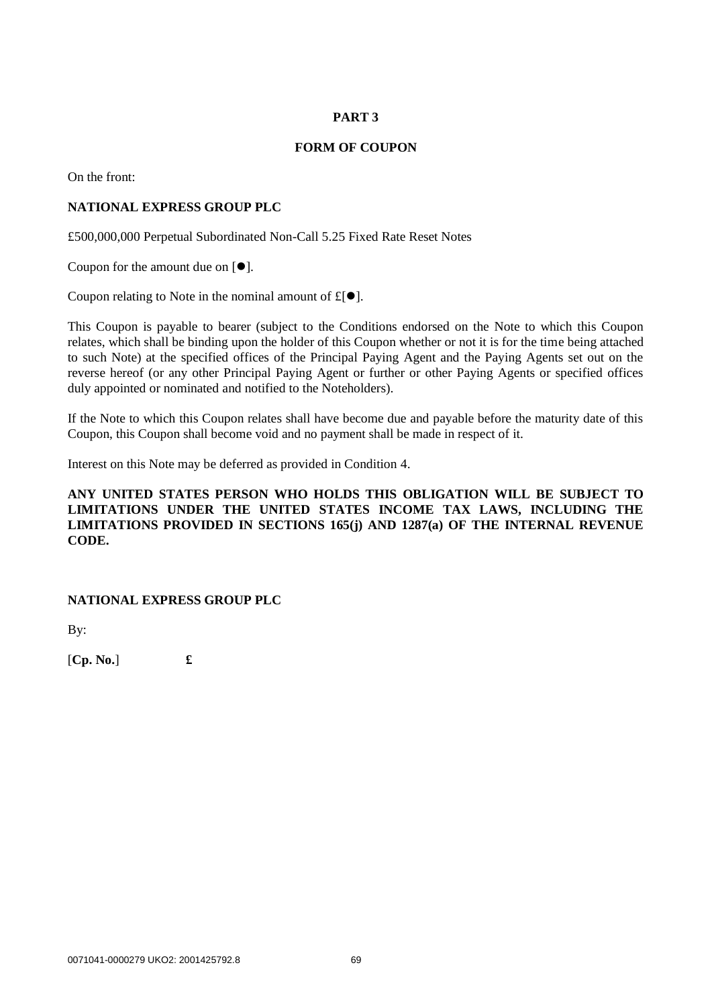## **PART 3**

## **FORM OF COUPON**

On the front:

## **NATIONAL EXPRESS GROUP PLC**

£500,000,000 Perpetual Subordinated Non-Call 5.25 Fixed Rate Reset Notes

Coupon for the amount due on  $[ $\bullet$ ].$ 

Coupon relating to Note in the nominal amount of  $f(\bullet)$ .

This Coupon is payable to bearer (subject to the Conditions endorsed on the Note to which this Coupon relates, which shall be binding upon the holder of this Coupon whether or not it is for the time being attached to such Note) at the specified offices of the Principal Paying Agent and the Paying Agents set out on the reverse hereof (or any other Principal Paying Agent or further or other Paying Agents or specified offices duly appointed or nominated and notified to the Noteholders).

If the Note to which this Coupon relates shall have become due and payable before the maturity date of this Coupon, this Coupon shall become void and no payment shall be made in respect of it.

Interest on this Note may be deferred as provided in Condition 4.

## **ANY UNITED STATES PERSON WHO HOLDS THIS OBLIGATION WILL BE SUBJECT TO LIMITATIONS UNDER THE UNITED STATES INCOME TAX LAWS, INCLUDING THE LIMITATIONS PROVIDED IN SECTIONS 165(j) AND 1287(a) OF THE INTERNAL REVENUE CODE.**

## **NATIONAL EXPRESS GROUP PLC**

By:

[**Cp. No.**] **£**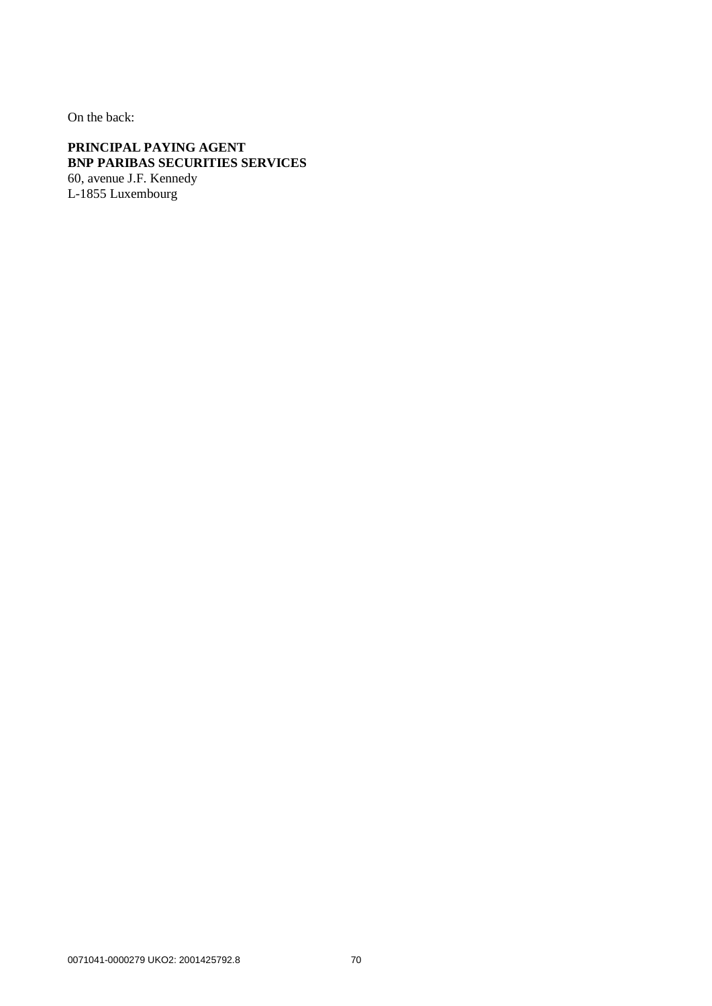On the back:

**PRINCIPAL PAYING AGENT BNP PARIBAS SECURITIES SERVICES** 60, avenue J.F. Kennedy L-1855 Luxembourg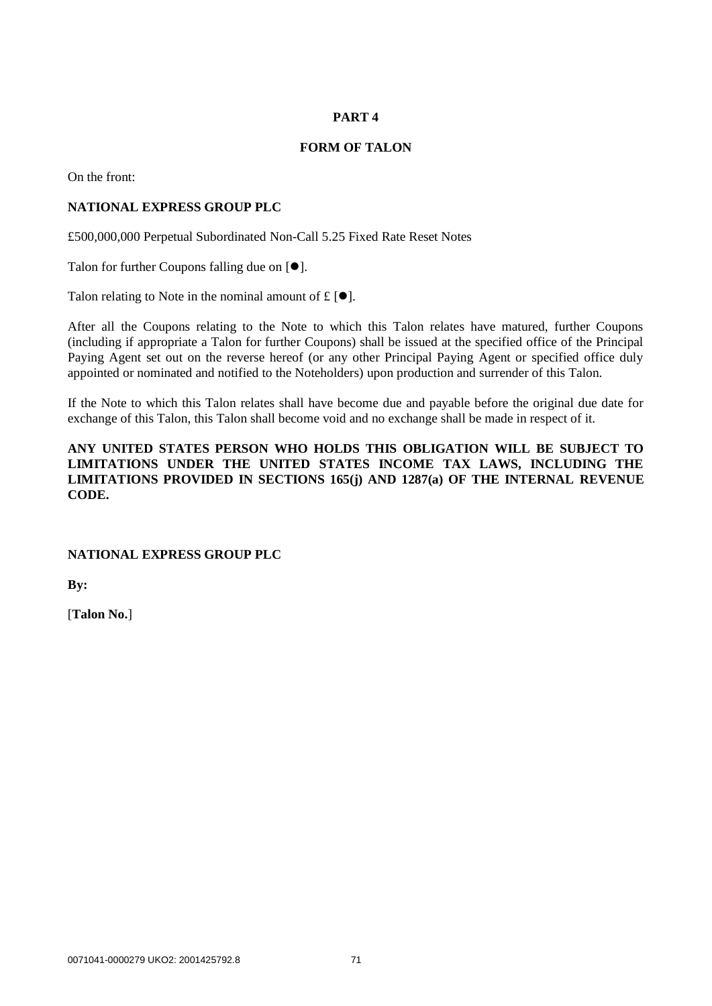## **PART 4**

## **FORM OF TALON**

On the front:

## **NATIONAL EXPRESS GROUP PLC**

£500,000,000 Perpetual Subordinated Non-Call 5.25 Fixed Rate Reset Notes

Talon for further Coupons falling due on  $[•]$ .

Talon relating to Note in the nominal amount of  $f \in \lceil \bullet \rceil$ .

After all the Coupons relating to the Note to which this Talon relates have matured, further Coupons (including if appropriate a Talon for further Coupons) shall be issued at the specified office of the Principal Paying Agent set out on the reverse hereof (or any other Principal Paying Agent or specified office duly appointed or nominated and notified to the Noteholders) upon production and surrender of this Talon.

If the Note to which this Talon relates shall have become due and payable before the original due date for exchange of this Talon, this Talon shall become void and no exchange shall be made in respect of it.

## **ANY UNITED STATES PERSON WHO HOLDS THIS OBLIGATION WILL BE SUBJECT TO LIMITATIONS UNDER THE UNITED STATES INCOME TAX LAWS, INCLUDING THE LIMITATIONS PROVIDED IN SECTIONS 165(j) AND 1287(a) OF THE INTERNAL REVENUE CODE.**

## **NATIONAL EXPRESS GROUP PLC**

**By:**

[**Talon No.**]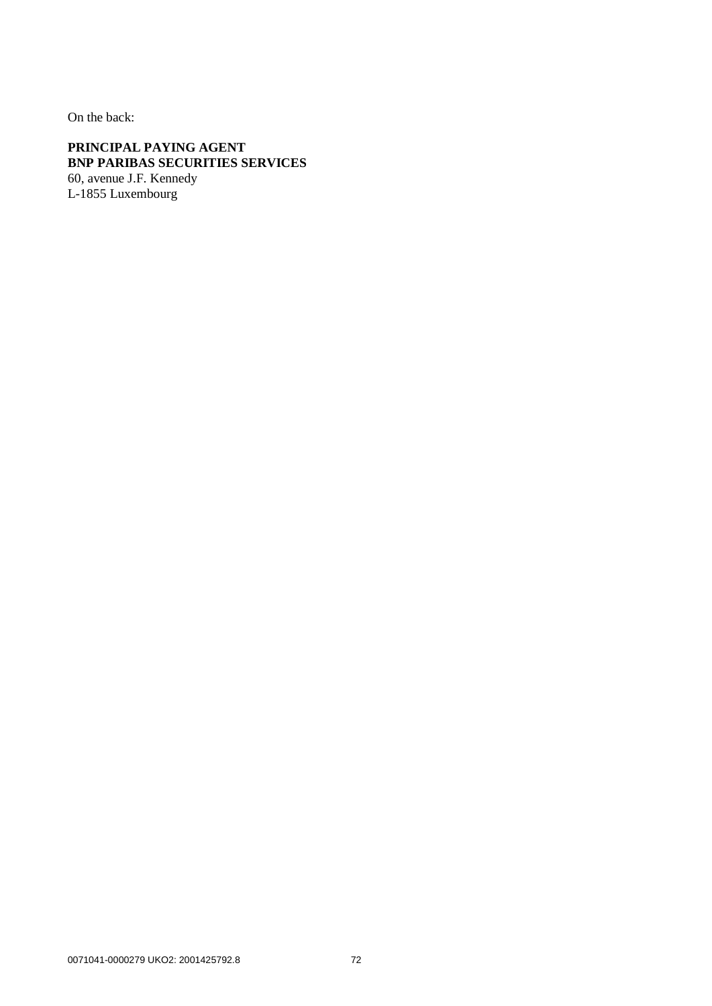On the back:

**PRINCIPAL PAYING AGENT BNP PARIBAS SECURITIES SERVICES** 60, avenue J.F. Kennedy L-1855 Luxembourg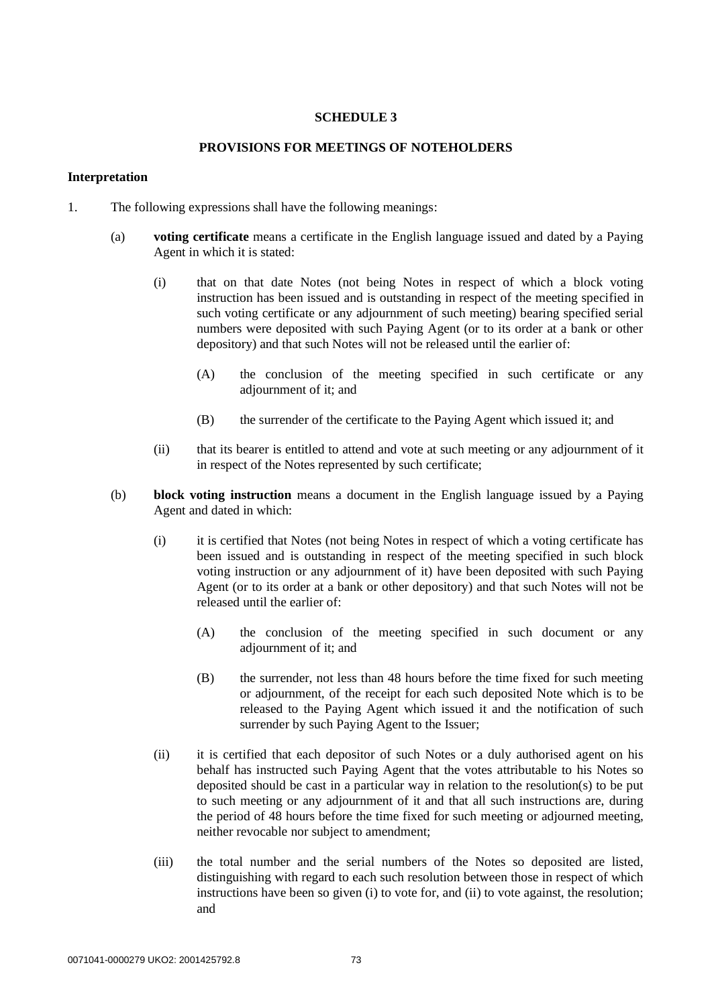## **SCHEDULE 3**

## **PROVISIONS FOR MEETINGS OF NOTEHOLDERS**

### **Interpretation**

- 1. The following expressions shall have the following meanings:
	- (a) **voting certificate** means a certificate in the English language issued and dated by a Paying Agent in which it is stated:
		- (i) that on that date Notes (not being Notes in respect of which a block voting instruction has been issued and is outstanding in respect of the meeting specified in such voting certificate or any adjournment of such meeting) bearing specified serial numbers were deposited with such Paying Agent (or to its order at a bank or other depository) and that such Notes will not be released until the earlier of:
			- (A) the conclusion of the meeting specified in such certificate or any adjournment of it; and
			- (B) the surrender of the certificate to the Paying Agent which issued it; and
		- (ii) that its bearer is entitled to attend and vote at such meeting or any adjournment of it in respect of the Notes represented by such certificate;
	- (b) **block voting instruction** means a document in the English language issued by a Paying Agent and dated in which:
		- (i) it is certified that Notes (not being Notes in respect of which a voting certificate has been issued and is outstanding in respect of the meeting specified in such block voting instruction or any adjournment of it) have been deposited with such Paying Agent (or to its order at a bank or other depository) and that such Notes will not be released until the earlier of:
			- (A) the conclusion of the meeting specified in such document or any adjournment of it; and
			- (B) the surrender, not less than 48 hours before the time fixed for such meeting or adjournment, of the receipt for each such deposited Note which is to be released to the Paying Agent which issued it and the notification of such surrender by such Paying Agent to the Issuer;
		- (ii) it is certified that each depositor of such Notes or a duly authorised agent on his behalf has instructed such Paying Agent that the votes attributable to his Notes so deposited should be cast in a particular way in relation to the resolution(s) to be put to such meeting or any adjournment of it and that all such instructions are, during the period of 48 hours before the time fixed for such meeting or adjourned meeting, neither revocable nor subject to amendment;
		- (iii) the total number and the serial numbers of the Notes so deposited are listed, distinguishing with regard to each such resolution between those in respect of which instructions have been so given (i) to vote for, and (ii) to vote against, the resolution; and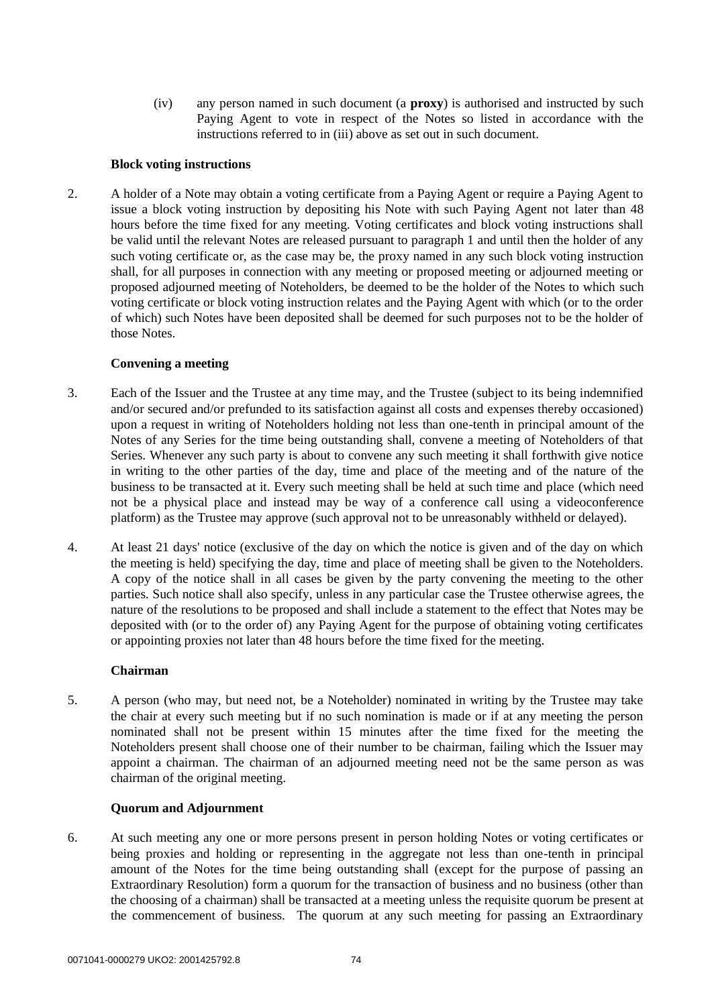(iv) any person named in such document (a **proxy**) is authorised and instructed by such Paying Agent to vote in respect of the Notes so listed in accordance with the instructions referred to in (iii) above as set out in such document.

## **Block voting instructions**

2. A holder of a Note may obtain a voting certificate from a Paying Agent or require a Paying Agent to issue a block voting instruction by depositing his Note with such Paying Agent not later than 48 hours before the time fixed for any meeting. Voting certificates and block voting instructions shall be valid until the relevant Notes are released pursuant to paragraph 1 and until then the holder of any such voting certificate or, as the case may be, the proxy named in any such block voting instruction shall, for all purposes in connection with any meeting or proposed meeting or adjourned meeting or proposed adjourned meeting of Noteholders, be deemed to be the holder of the Notes to which such voting certificate or block voting instruction relates and the Paying Agent with which (or to the order of which) such Notes have been deposited shall be deemed for such purposes not to be the holder of those Notes.

## **Convening a meeting**

- 3. Each of the Issuer and the Trustee at any time may, and the Trustee (subject to its being indemnified and/or secured and/or prefunded to its satisfaction against all costs and expenses thereby occasioned) upon a request in writing of Noteholders holding not less than one-tenth in principal amount of the Notes of any Series for the time being outstanding shall, convene a meeting of Noteholders of that Series. Whenever any such party is about to convene any such meeting it shall forthwith give notice in writing to the other parties of the day, time and place of the meeting and of the nature of the business to be transacted at it. Every such meeting shall be held at such time and place (which need not be a physical place and instead may be way of a conference call using a videoconference platform) as the Trustee may approve (such approval not to be unreasonably withheld or delayed).
- 4. At least 21 days' notice (exclusive of the day on which the notice is given and of the day on which the meeting is held) specifying the day, time and place of meeting shall be given to the Noteholders. A copy of the notice shall in all cases be given by the party convening the meeting to the other parties. Such notice shall also specify, unless in any particular case the Trustee otherwise agrees, the nature of the resolutions to be proposed and shall include a statement to the effect that Notes may be deposited with (or to the order of) any Paying Agent for the purpose of obtaining voting certificates or appointing proxies not later than 48 hours before the time fixed for the meeting.

## **Chairman**

5. A person (who may, but need not, be a Noteholder) nominated in writing by the Trustee may take the chair at every such meeting but if no such nomination is made or if at any meeting the person nominated shall not be present within 15 minutes after the time fixed for the meeting the Noteholders present shall choose one of their number to be chairman, failing which the Issuer may appoint a chairman. The chairman of an adjourned meeting need not be the same person as was chairman of the original meeting.

## **Quorum and Adjournment**

6. At such meeting any one or more persons present in person holding Notes or voting certificates or being proxies and holding or representing in the aggregate not less than one-tenth in principal amount of the Notes for the time being outstanding shall (except for the purpose of passing an Extraordinary Resolution) form a quorum for the transaction of business and no business (other than the choosing of a chairman) shall be transacted at a meeting unless the requisite quorum be present at the commencement of business. The quorum at any such meeting for passing an Extraordinary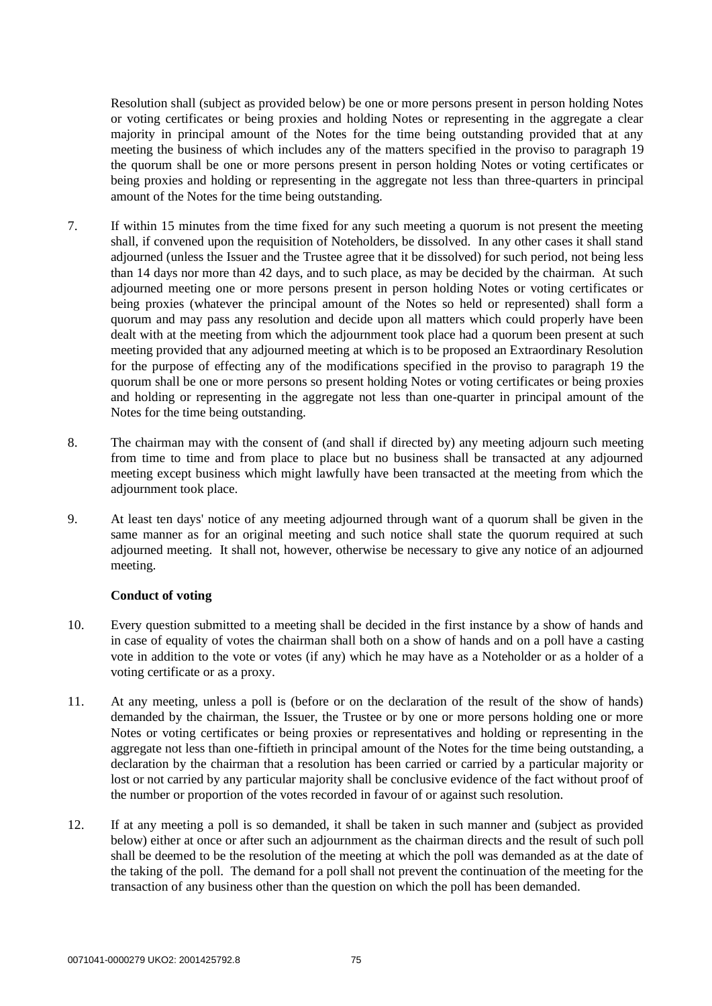Resolution shall (subject as provided below) be one or more persons present in person holding Notes or voting certificates or being proxies and holding Notes or representing in the aggregate a clear majority in principal amount of the Notes for the time being outstanding provided that at any meeting the business of which includes any of the matters specified in the proviso to paragraph 19 the quorum shall be one or more persons present in person holding Notes or voting certificates or being proxies and holding or representing in the aggregate not less than three-quarters in principal amount of the Notes for the time being outstanding.

- 7. If within 15 minutes from the time fixed for any such meeting a quorum is not present the meeting shall, if convened upon the requisition of Noteholders, be dissolved. In any other cases it shall stand adjourned (unless the Issuer and the Trustee agree that it be dissolved) for such period, not being less than 14 days nor more than 42 days, and to such place, as may be decided by the chairman. At such adjourned meeting one or more persons present in person holding Notes or voting certificates or being proxies (whatever the principal amount of the Notes so held or represented) shall form a quorum and may pass any resolution and decide upon all matters which could properly have been dealt with at the meeting from which the adjournment took place had a quorum been present at such meeting provided that any adjourned meeting at which is to be proposed an Extraordinary Resolution for the purpose of effecting any of the modifications specified in the proviso to paragraph 19 the quorum shall be one or more persons so present holding Notes or voting certificates or being proxies and holding or representing in the aggregate not less than one-quarter in principal amount of the Notes for the time being outstanding.
- 8. The chairman may with the consent of (and shall if directed by) any meeting adjourn such meeting from time to time and from place to place but no business shall be transacted at any adjourned meeting except business which might lawfully have been transacted at the meeting from which the adjournment took place.
- 9. At least ten days' notice of any meeting adjourned through want of a quorum shall be given in the same manner as for an original meeting and such notice shall state the quorum required at such adjourned meeting. It shall not, however, otherwise be necessary to give any notice of an adjourned meeting.

## **Conduct of voting**

- 10. Every question submitted to a meeting shall be decided in the first instance by a show of hands and in case of equality of votes the chairman shall both on a show of hands and on a poll have a casting vote in addition to the vote or votes (if any) which he may have as a Noteholder or as a holder of a voting certificate or as a proxy.
- 11. At any meeting, unless a poll is (before or on the declaration of the result of the show of hands) demanded by the chairman, the Issuer, the Trustee or by one or more persons holding one or more Notes or voting certificates or being proxies or representatives and holding or representing in the aggregate not less than one-fiftieth in principal amount of the Notes for the time being outstanding, a declaration by the chairman that a resolution has been carried or carried by a particular majority or lost or not carried by any particular majority shall be conclusive evidence of the fact without proof of the number or proportion of the votes recorded in favour of or against such resolution.
- 12. If at any meeting a poll is so demanded, it shall be taken in such manner and (subject as provided below) either at once or after such an adjournment as the chairman directs and the result of such poll shall be deemed to be the resolution of the meeting at which the poll was demanded as at the date of the taking of the poll. The demand for a poll shall not prevent the continuation of the meeting for the transaction of any business other than the question on which the poll has been demanded.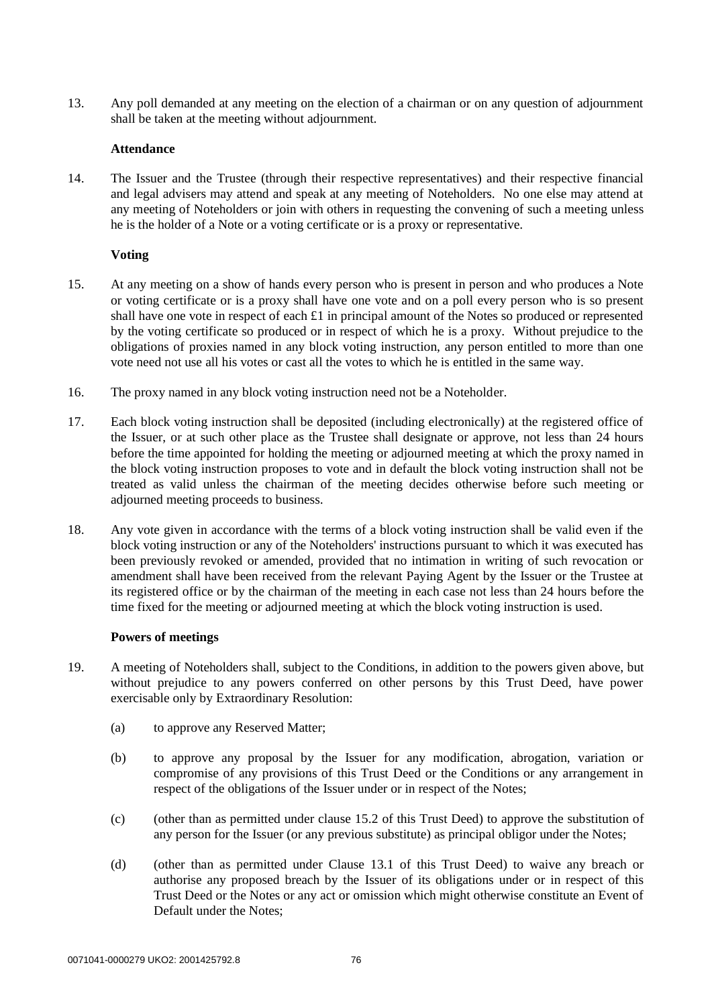13. Any poll demanded at any meeting on the election of a chairman or on any question of adjournment shall be taken at the meeting without adjournment.

### **Attendance**

14. The Issuer and the Trustee (through their respective representatives) and their respective financial and legal advisers may attend and speak at any meeting of Noteholders. No one else may attend at any meeting of Noteholders or join with others in requesting the convening of such a meeting unless he is the holder of a Note or a voting certificate or is a proxy or representative.

### **Voting**

- 15. At any meeting on a show of hands every person who is present in person and who produces a Note or voting certificate or is a proxy shall have one vote and on a poll every person who is so present shall have one vote in respect of each  $\pounds$  in principal amount of the Notes so produced or represented by the voting certificate so produced or in respect of which he is a proxy. Without prejudice to the obligations of proxies named in any block voting instruction, any person entitled to more than one vote need not use all his votes or cast all the votes to which he is entitled in the same way.
- 16. The proxy named in any block voting instruction need not be a Noteholder.
- 17. Each block voting instruction shall be deposited (including electronically) at the registered office of the Issuer, or at such other place as the Trustee shall designate or approve, not less than 24 hours before the time appointed for holding the meeting or adjourned meeting at which the proxy named in the block voting instruction proposes to vote and in default the block voting instruction shall not be treated as valid unless the chairman of the meeting decides otherwise before such meeting or adjourned meeting proceeds to business.
- 18. Any vote given in accordance with the terms of a block voting instruction shall be valid even if the block voting instruction or any of the Noteholders' instructions pursuant to which it was executed has been previously revoked or amended, provided that no intimation in writing of such revocation or amendment shall have been received from the relevant Paying Agent by the Issuer or the Trustee at its registered office or by the chairman of the meeting in each case not less than 24 hours before the time fixed for the meeting or adjourned meeting at which the block voting instruction is used.

#### **Powers of meetings**

- 19. A meeting of Noteholders shall, subject to the Conditions, in addition to the powers given above, but without prejudice to any powers conferred on other persons by this Trust Deed, have power exercisable only by Extraordinary Resolution:
	- (a) to approve any Reserved Matter;
	- (b) to approve any proposal by the Issuer for any modification, abrogation, variation or compromise of any provisions of this Trust Deed or the Conditions or any arrangement in respect of the obligations of the Issuer under or in respect of the Notes;
	- $(c)$  (other than as permitted under clause [15.2](#page-24-0) of this Trust Deed) to approve the substitution of any person for the Issuer (or any previous substitute) as principal obligor under the Notes;
	- (d) (other than as permitted under Clause [13.1](#page-23-0) of this Trust Deed) to waive any breach or authorise any proposed breach by the Issuer of its obligations under or in respect of this Trust Deed or the Notes or any act or omission which might otherwise constitute an Event of Default under the Notes;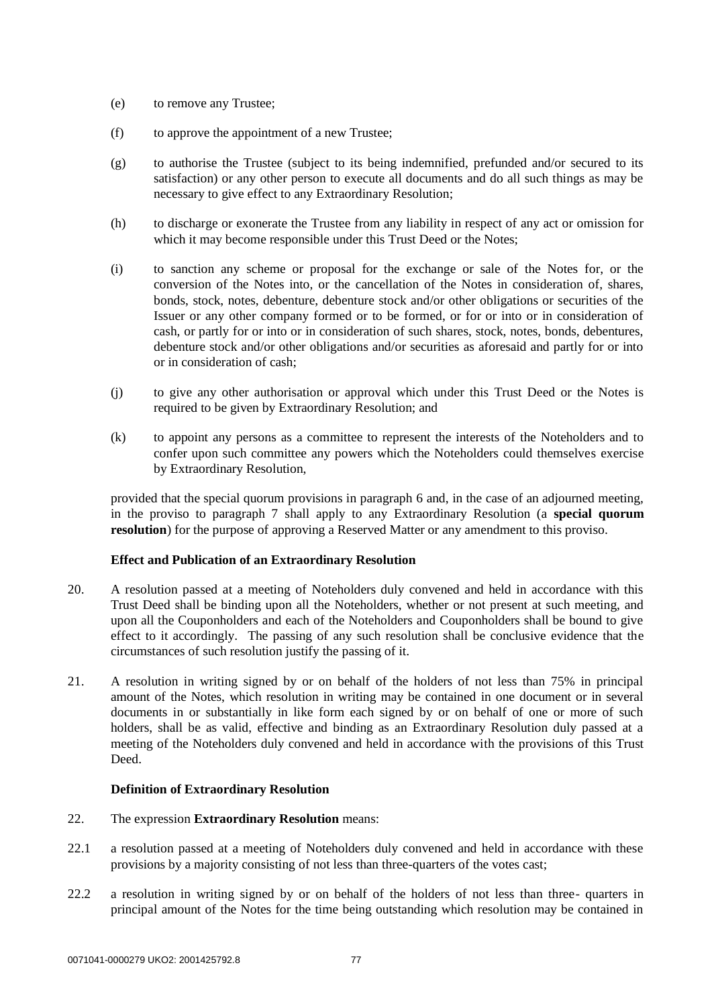- (e) to remove any Trustee;
- (f) to approve the appointment of a new Trustee;
- (g) to authorise the Trustee (subject to its being indemnified, prefunded and/or secured to its satisfaction) or any other person to execute all documents and do all such things as may be necessary to give effect to any Extraordinary Resolution;
- (h) to discharge or exonerate the Trustee from any liability in respect of any act or omission for which it may become responsible under this Trust Deed or the Notes;
- (i) to sanction any scheme or proposal for the exchange or sale of the Notes for, or the conversion of the Notes into, or the cancellation of the Notes in consideration of, shares, bonds, stock, notes, debenture, debenture stock and/or other obligations or securities of the Issuer or any other company formed or to be formed, or for or into or in consideration of cash, or partly for or into or in consideration of such shares, stock, notes, bonds, debentures, debenture stock and/or other obligations and/or securities as aforesaid and partly for or into or in consideration of cash;
- (j) to give any other authorisation or approval which under this Trust Deed or the Notes is required to be given by Extraordinary Resolution; and
- (k) to appoint any persons as a committee to represent the interests of the Noteholders and to confer upon such committee any powers which the Noteholders could themselves exercise by Extraordinary Resolution,

provided that the special quorum provisions in paragraph 6 and, in the case of an adjourned meeting, in the proviso to paragraph 7 shall apply to any Extraordinary Resolution (a **special quorum resolution**) for the purpose of approving a Reserved Matter or any amendment to this proviso.

## **Effect and Publication of an Extraordinary Resolution**

- 20. A resolution passed at a meeting of Noteholders duly convened and held in accordance with this Trust Deed shall be binding upon all the Noteholders, whether or not present at such meeting, and upon all the Couponholders and each of the Noteholders and Couponholders shall be bound to give effect to it accordingly. The passing of any such resolution shall be conclusive evidence that the circumstances of such resolution justify the passing of it.
- 21. A resolution in writing signed by or on behalf of the holders of not less than 75% in principal amount of the Notes, which resolution in writing may be contained in one document or in several documents in or substantially in like form each signed by or on behalf of one or more of such holders, shall be as valid, effective and binding as an Extraordinary Resolution duly passed at a meeting of the Noteholders duly convened and held in accordance with the provisions of this Trust Deed.

## **Definition of Extraordinary Resolution**

- 22. The expression **Extraordinary Resolution** means:
- 22.1 a resolution passed at a meeting of Noteholders duly convened and held in accordance with these provisions by a majority consisting of not less than three-quarters of the votes cast;
- 22.2 a resolution in writing signed by or on behalf of the holders of not less than three- quarters in principal amount of the Notes for the time being outstanding which resolution may be contained in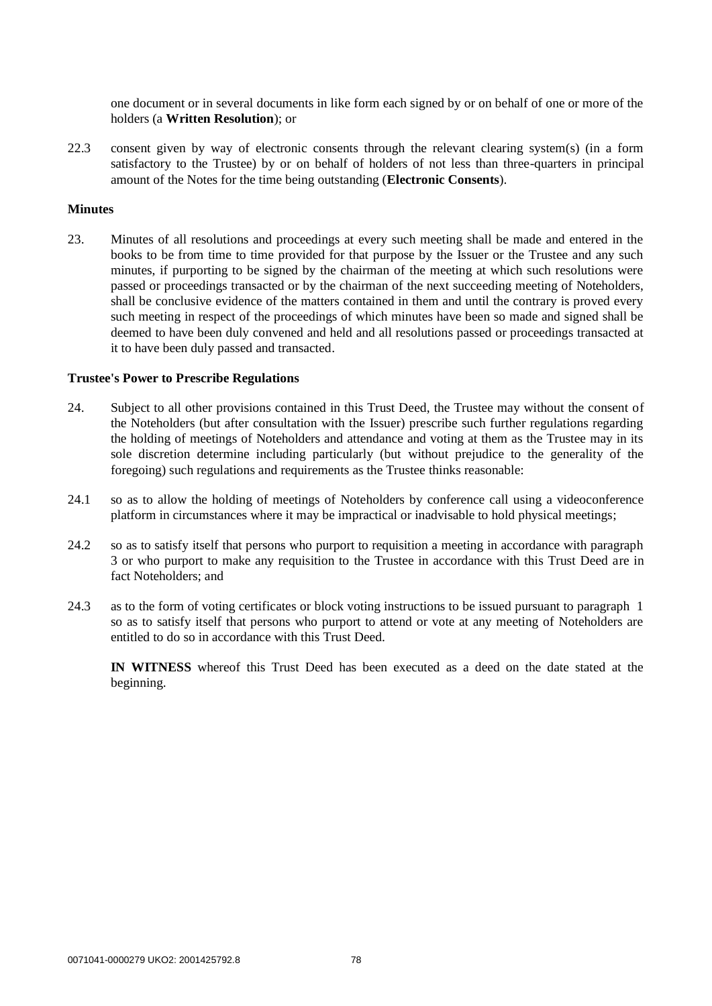one document or in several documents in like form each signed by or on behalf of one or more of the holders (a **Written Resolution**); or

22.3 consent given by way of electronic consents through the relevant clearing system(s) (in a form satisfactory to the Trustee) by or on behalf of holders of not less than three-quarters in principal amount of the Notes for the time being outstanding (**Electronic Consents**).

#### **Minutes**

23. Minutes of all resolutions and proceedings at every such meeting shall be made and entered in the books to be from time to time provided for that purpose by the Issuer or the Trustee and any such minutes, if purporting to be signed by the chairman of the meeting at which such resolutions were passed or proceedings transacted or by the chairman of the next succeeding meeting of Noteholders, shall be conclusive evidence of the matters contained in them and until the contrary is proved every such meeting in respect of the proceedings of which minutes have been so made and signed shall be deemed to have been duly convened and held and all resolutions passed or proceedings transacted at it to have been duly passed and transacted.

#### **Trustee's Power to Prescribe Regulations**

- 24. Subject to all other provisions contained in this Trust Deed, the Trustee may without the consent of the Noteholders (but after consultation with the Issuer) prescribe such further regulations regarding the holding of meetings of Noteholders and attendance and voting at them as the Trustee may in its sole discretion determine including particularly (but without prejudice to the generality of the foregoing) such regulations and requirements as the Trustee thinks reasonable:
- 24.1 so as to allow the holding of meetings of Noteholders by conference call using a videoconference platform in circumstances where it may be impractical or inadvisable to hold physical meetings;
- 24.2 so as to satisfy itself that persons who purport to requisition a meeting in accordance with paragraph 3 or who purport to make any requisition to the Trustee in accordance with this Trust Deed are in fact Noteholders; and
- 24.3 as to the form of voting certificates or block voting instructions to be issued pursuant to paragraph 1 so as to satisfy itself that persons who purport to attend or vote at any meeting of Noteholders are entitled to do so in accordance with this Trust Deed.

**IN WITNESS** whereof this Trust Deed has been executed as a deed on the date stated at the beginning.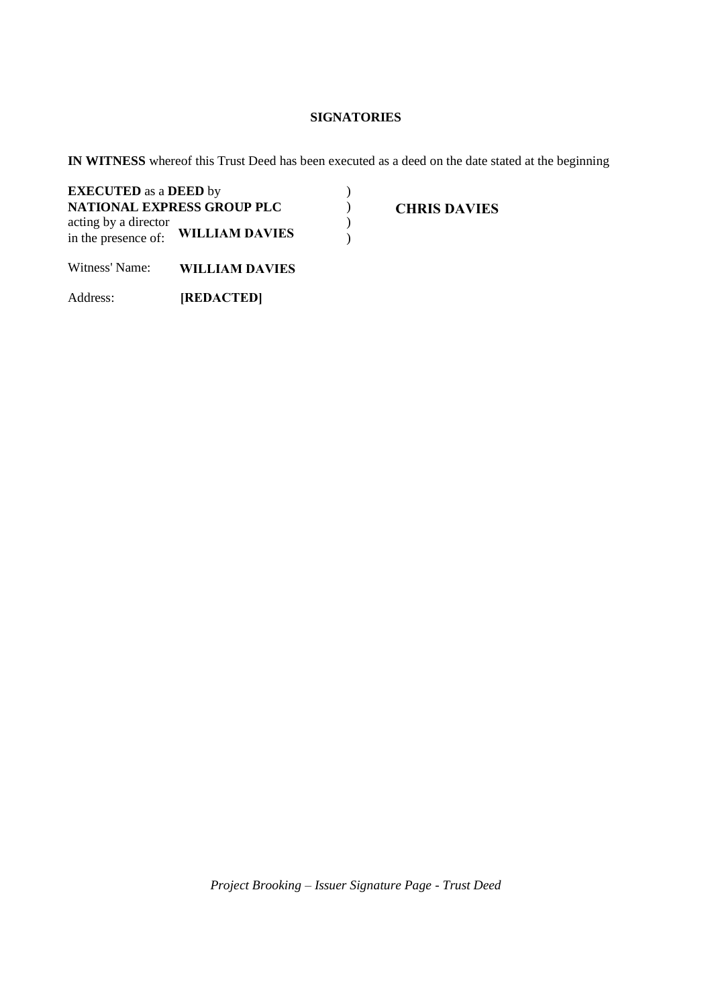# **SIGNATORIES**

**IN WITNESS** whereof this Trust Deed has been executed as a deed on the date stated at the beginning

| <b>EXECUTED</b> as a <b>DEED</b> by         |                                   |  |
|---------------------------------------------|-----------------------------------|--|
|                                             | <b>NATIONAL EXPRESS GROUP PLC</b> |  |
| acting by a director<br>in the presence of: | <b>WILLIAM DAVIES</b>             |  |

**CHRIS DAVIES**

Witness' Name: **WILLIAM DAVIES**

Address: **[REDACTED]**